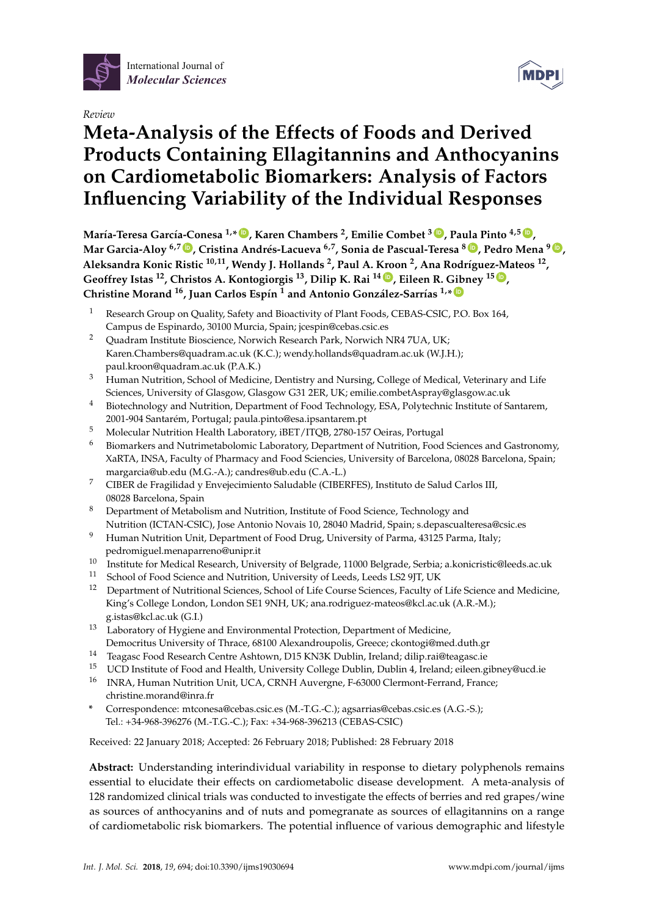

*Review*

# **Meta-Analysis of the Effects of Foods and Derived Products Containing Ellagitannins and Anthocyanins on Cardiometabolic Biomarkers: Analysis of Factors Influencing Variability of the Individual Responses**

**María-Teresa García-Conesa 1,\* [ID](https://orcid.org/0000-0002-4125-853X) , Karen Chambers <sup>2</sup> , Emilie Combet <sup>3</sup> [ID](https://orcid.org/0000-0002-9302-8971) , Paula Pinto 4,5 [ID](https://orcid.org/0000-0001-6379-1768) , Mar Garcia-Aloy 6,7 [ID](https://orcid.org/0000-0002-1330-6610) , Cristina Andrés-Lacueva 6,7, Sonia de Pascual-Teresa <sup>8</sup> [ID](https://orcid.org/0000-0001-8546-8507) , Pedro Mena <sup>9</sup> [ID](https://orcid.org/0000-0003-2150-2977) , Aleksandra Konic Ristic 10,11, Wendy J. Hollands <sup>2</sup> , Paul A. Kroon <sup>2</sup> , Ana Rodríguez-Mateos <sup>12</sup> , Geoffrey Istas <sup>12</sup>, Christos A. Kontogiorgis <sup>13</sup>, Dilip K. Rai <sup>14</sup> [ID](https://orcid.org/0000-0002-8073-4981) , Eileen R. Gibney <sup>15</sup> [ID](https://orcid.org/0000-0001-9465-052X) , Christine Morand <sup>16</sup>, Juan Carlos Espín <sup>1</sup> and Antonio González-Sarrías 1,\* [ID](https://orcid.org/0000-0002-3407-0678)**

- <sup>1</sup> Research Group on Quality, Safety and Bioactivity of Plant Foods, CEBAS-CSIC, P.O. Box 164, Campus de Espinardo, 30100 Murcia, Spain; jcespin@cebas.csic.es
- <sup>2</sup> Quadram Institute Bioscience, Norwich Research Park, Norwich NR4 7UA, UK; Karen.Chambers@quadram.ac.uk (K.C.); wendy.hollands@quadram.ac.uk (W.J.H.); paul.kroon@quadram.ac.uk (P.A.K.)
- <sup>3</sup> Human Nutrition, School of Medicine, Dentistry and Nursing, College of Medical, Veterinary and Life Sciences, University of Glasgow, Glasgow G31 2ER, UK; emilie.combetAspray@glasgow.ac.uk
- <sup>4</sup> Biotechnology and Nutrition, Department of Food Technology, ESA, Polytechnic Institute of Santarem, 2001-904 Santarém, Portugal; paula.pinto@esa.ipsantarem.pt
- <sup>5</sup> Molecular Nutrition Health Laboratory, iBET/ITQB, 2780-157 Oeiras, Portugal
- <sup>6</sup> Biomarkers and Nutrimetabolomic Laboratory, Department of Nutrition, Food Sciences and Gastronomy, XaRTA, INSA, Faculty of Pharmacy and Food Sciencies, University of Barcelona, 08028 Barcelona, Spain; margarcia@ub.edu (M.G.-A.); candres@ub.edu (C.A.-L.)
- <sup>7</sup> CIBER de Fragilidad y Envejecimiento Saludable (CIBERFES), Instituto de Salud Carlos III, 08028 Barcelona, Spain
- <sup>8</sup> Department of Metabolism and Nutrition, Institute of Food Science, Technology and Nutrition (ICTAN-CSIC), Jose Antonio Novais 10, 28040 Madrid, Spain; s.depascualteresa@csic.es
- <sup>9</sup> Human Nutrition Unit, Department of Food Drug, University of Parma, 43125 Parma, Italy; pedromiguel.menaparreno@unipr.it
- 10 Institute for Medical Research, University of Belgrade, 11000 Belgrade, Serbia; a.konicristic@leeds.ac.uk<br>11 Sebacl of Food Science and Nutrition University of Loode Loode LS2 0FL UK
- <sup>11</sup> School of Food Science and Nutrition, University of Leeds, Leeds LS2 9JT, UK<br><sup>12</sup> Department of Nutritional Sciences, School of Life Course Sciences, Equalty of
- <sup>12</sup> Department of Nutritional Sciences, School of Life Course Sciences, Faculty of Life Science and Medicine, King's College London, London SE1 9NH, UK; ana.rodriguez-mateos@kcl.ac.uk (A.R.-M.); g.istas@kcl.ac.uk (G.I.)
- <sup>13</sup> Laboratory of Hygiene and Environmental Protection, Department of Medicine, Democritus University of Thrace, 68100 Alexandroupolis, Greece; ckontogi@med.duth.gr
- <sup>14</sup> Teagasc Food Research Centre Ashtown, D15 KN3K Dublin, Ireland; dilip.rai@teagasc.ie
- <sup>15</sup> UCD Institute of Food and Health, University College Dublin, Dublin 4, Ireland; eileen.gibney@ucd.ie
- <sup>16</sup> INRA, Human Nutrition Unit, UCA, CRNH Auvergne, F-63000 Clermont-Ferrand, France; christine.morand@inra.fr
- **\*** Correspondence: mtconesa@cebas.csic.es (M.-T.G.-C.); agsarrias@cebas.csic.es (A.G.-S.); Tel.: +34-968-396276 (M.-T.G.-C.); Fax: +34-968-396213 (CEBAS-CSIC)

Received: 22 January 2018; Accepted: 26 February 2018; Published: 28 February 2018

**Abstract:** Understanding interindividual variability in response to dietary polyphenols remains essential to elucidate their effects on cardiometabolic disease development. A meta-analysis of 128 randomized clinical trials was conducted to investigate the effects of berries and red grapes/wine as sources of anthocyanins and of nuts and pomegranate as sources of ellagitannins on a range of cardiometabolic risk biomarkers. The potential influence of various demographic and lifestyle

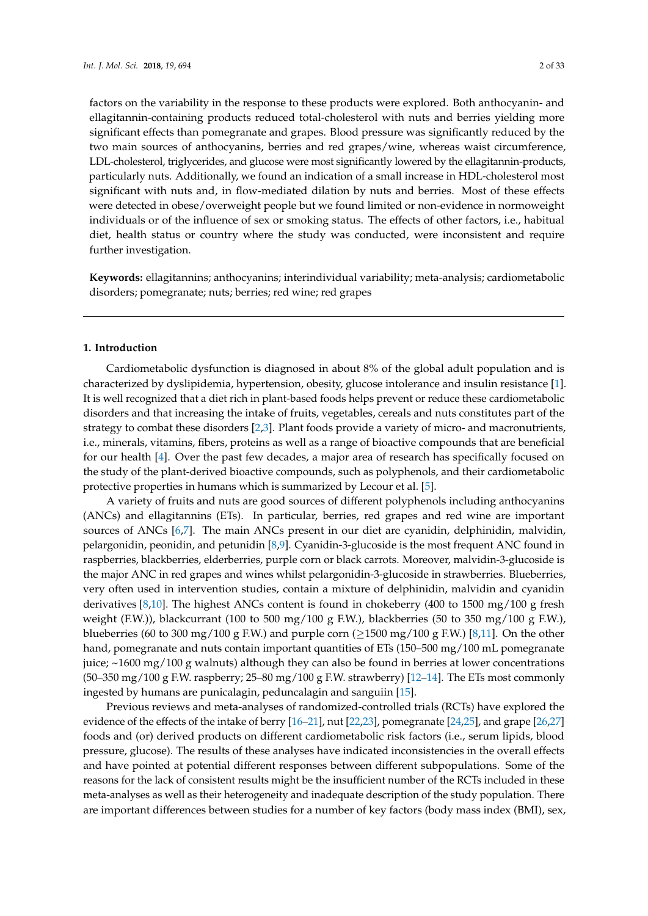factors on the variability in the response to these products were explored. Both anthocyanin- and ellagitannin-containing products reduced total-cholesterol with nuts and berries yielding more significant effects than pomegranate and grapes. Blood pressure was significantly reduced by the two main sources of anthocyanins, berries and red grapes/wine, whereas waist circumference, LDL-cholesterol, triglycerides, and glucose were most significantly lowered by the ellagitannin-products, particularly nuts. Additionally, we found an indication of a small increase in HDL-cholesterol most significant with nuts and, in flow-mediated dilation by nuts and berries. Most of these effects were detected in obese/overweight people but we found limited or non-evidence in normoweight individuals or of the influence of sex or smoking status. The effects of other factors, i.e., habitual diet, health status or country where the study was conducted, were inconsistent and require further investigation.

**Keywords:** ellagitannins; anthocyanins; interindividual variability; meta-analysis; cardiometabolic disorders; pomegranate; nuts; berries; red wine; red grapes

#### **1. Introduction**

Cardiometabolic dysfunction is diagnosed in about 8% of the global adult population and is characterized by dyslipidemia, hypertension, obesity, glucose intolerance and insulin resistance [\[1\]](#page-20-0). It is well recognized that a diet rich in plant-based foods helps prevent or reduce these cardiometabolic disorders and that increasing the intake of fruits, vegetables, cereals and nuts constitutes part of the strategy to combat these disorders [\[2](#page-20-1)[,3\]](#page-20-2). Plant foods provide a variety of micro- and macronutrients, i.e., minerals, vitamins, fibers, proteins as well as a range of bioactive compounds that are beneficial for our health [\[4\]](#page-20-3). Over the past few decades, a major area of research has specifically focused on the study of the plant-derived bioactive compounds, such as polyphenols, and their cardiometabolic protective properties in humans which is summarized by Lecour et al. [\[5\]](#page-20-4).

A variety of fruits and nuts are good sources of different polyphenols including anthocyanins (ANCs) and ellagitannins (ETs). In particular, berries, red grapes and red wine are important sources of ANCs [\[6,](#page-20-5)[7\]](#page-21-0). The main ANCs present in our diet are cyanidin, delphinidin, malvidin, pelargonidin, peonidin, and petunidin [\[8](#page-21-1)[,9\]](#page-21-2). Cyanidin-3-glucoside is the most frequent ANC found in raspberries, blackberries, elderberries, purple corn or black carrots. Moreover, malvidin-3-glucoside is the major ANC in red grapes and wines whilst pelargonidin-3-glucoside in strawberries. Blueberries, very often used in intervention studies, contain a mixture of delphinidin, malvidin and cyanidin derivatives [\[8](#page-21-1)[,10\]](#page-21-3). The highest ANCs content is found in chokeberry (400 to 1500 mg/100 g fresh weight (F.W.)), blackcurrant (100 to 500 mg/100 g F.W.), blackberries (50 to 350 mg/100 g F.W.), blueberries (60 to 300 mg/100 g F.W.) and purple corn ( $\geq$ 1500 mg/100 g F.W.) [\[8](#page-21-1)[,11\]](#page-21-4). On the other hand, pomegranate and nuts contain important quantities of ETs (150–500 mg/100 mL pomegranate juice; ~1600 mg/100 g walnuts) although they can also be found in berries at lower concentrations (50–350 mg/100 g F.W. raspberry; 25–80 mg/100 g F.W. strawberry) [\[12](#page-21-5)[–14\]](#page-21-6). The ETs most commonly ingested by humans are punicalagin, peduncalagin and sanguiin [\[15\]](#page-21-7).

Previous reviews and meta-analyses of randomized-controlled trials (RCTs) have explored the evidence of the effects of the intake of berry [\[16–](#page-21-8)[21\]](#page-21-9), nut [\[22](#page-21-10)[,23\]](#page-21-11), pomegranate [\[24](#page-21-12)[,25\]](#page-21-13), and grape [\[26,](#page-22-0)[27\]](#page-22-1) foods and (or) derived products on different cardiometabolic risk factors (i.e., serum lipids, blood pressure, glucose). The results of these analyses have indicated inconsistencies in the overall effects and have pointed at potential different responses between different subpopulations. Some of the reasons for the lack of consistent results might be the insufficient number of the RCTs included in these meta-analyses as well as their heterogeneity and inadequate description of the study population. There are important differences between studies for a number of key factors (body mass index (BMI), sex,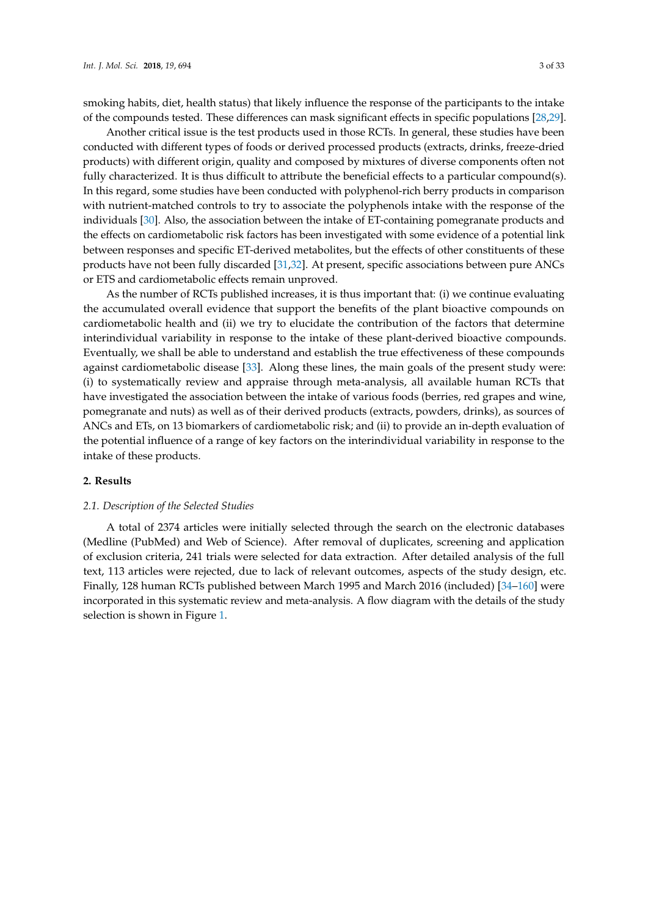smoking habits, diet, health status) that likely influence the response of the participants to the intake of the compounds tested. These differences can mask significant effects in specific populations [\[28,](#page-22-2)[29\]](#page-22-3).

Another critical issue is the test products used in those RCTs. In general, these studies have been conducted with different types of foods or derived processed products (extracts, drinks, freeze-dried products) with different origin, quality and composed by mixtures of diverse components often not fully characterized. It is thus difficult to attribute the beneficial effects to a particular compound(s). In this regard, some studies have been conducted with polyphenol-rich berry products in comparison with nutrient-matched controls to try to associate the polyphenols intake with the response of the individuals [\[30\]](#page-22-4). Also, the association between the intake of ET-containing pomegranate products and the effects on cardiometabolic risk factors has been investigated with some evidence of a potential link between responses and specific ET-derived metabolites, but the effects of other constituents of these products have not been fully discarded [\[31](#page-22-5)[,32\]](#page-22-6). At present, specific associations between pure ANCs or ETS and cardiometabolic effects remain unproved.

As the number of RCTs published increases, it is thus important that: (i) we continue evaluating the accumulated overall evidence that support the benefits of the plant bioactive compounds on cardiometabolic health and (ii) we try to elucidate the contribution of the factors that determine interindividual variability in response to the intake of these plant-derived bioactive compounds. Eventually, we shall be able to understand and establish the true effectiveness of these compounds against cardiometabolic disease [\[33\]](#page-22-7). Along these lines, the main goals of the present study were: (i) to systematically review and appraise through meta-analysis, all available human RCTs that have investigated the association between the intake of various foods (berries, red grapes and wine, pomegranate and nuts) as well as of their derived products (extracts, powders, drinks), as sources of ANCs and ETs, on 13 biomarkers of cardiometabolic risk; and (ii) to provide an in-depth evaluation of the potential influence of a range of key factors on the interindividual variability in response to the intake of these products.

# **2. Results**

#### *2.1. Description of the Selected Studies*

A total of 2374 articles were initially selected through the search on the electronic databases (Medline (PubMed) and Web of Science). After removal of duplicates, screening and application of exclusion criteria, 241 trials were selected for data extraction. After detailed analysis of the full text, 113 articles were rejected, due to lack of relevant outcomes, aspects of the study design, etc. Finally, 128 human RCTs published between March 1995 and March 2016 (included) [\[34–](#page-22-8)[160\]](#page-30-0) were incorporated in this systematic review and meta-analysis. A flow diagram with the details of the study selection is shown in Figure [1.](#page-3-0)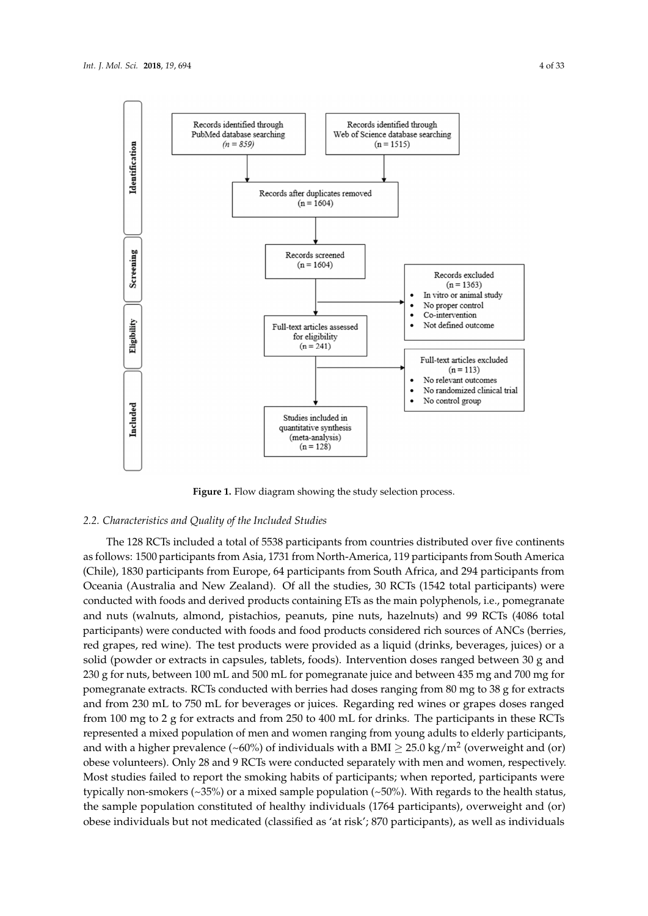<span id="page-3-0"></span>

**Figure 1.** Flow diagram showing the study selection process. **Figure 1.** Flow diagram showing the study selection process.

# *2.2. Characteristics and Quality of the Included Studies 2.2. Characteristics and Quality of the Included Studies*

The 128 RCTs included a total of 5538 participants from countries distributed over five The 128 RCTs included a total of 5538 participants from countries distributed over five continents continents as follows: 1500 participants from Asia, 1731 from North-America, 1740 participants from North-America, 1740 participants from North-America, 1740 participants from North-America, 119 participants from North-Ame as follows: 1500 participants from Asia, 1731 from North-America, 119 participants from South America<br>(Cl. 1), 1999 (Chile), 1830 participants from Europe, 64 participants from South Africa, and 294 participants from Oceania (Australia and New Zealand). Of all the studies, 30 RCTs (1542 total participants) were conducted with foods and derived products containing ETs as the main polyphenols, i.e., pomegranate and nuts (walnuts, almond, pistachios, peanuts, pine nuts, hazelnuts) and 99 RCTs (4086 total participants) were conducted with foods and food products considered rich sources of ANCs (berries, red grapes, red wine). The test products were provided as a liquid (drinks, beverages, juices) or a solid (powder or extracts in capsules, tablets, foods). Intervention doses ranged between 30 g and 230 g for nuts, between 100 mL and 500 mL for pomegranate juice and between 435 mg and 700 mg for pomegranate extracts. RCTs conducted with berries had doses ranging from 80 mg to 38 g for extracts and from 230 mL to 750 mL for beverages or juices. Regarding red wines or grapes doses ranged from 100 mg to 2 g for extracts and from 250 to 400 mL for drinks. The participants in these RCTs represented a mixed population of men and women ranging from young adults to elderly participants, and with a higher prevalence (~60%) of individuals with a BMI  $\geq 25.0 \text{ kg/m}^2$  (overweight and (or)  $\frac{1}{\sqrt{1-\frac{1}{\sqrt{1-\frac{1}{\sqrt{1-\frac{1}{\sqrt{1-\frac{1}{\sqrt{1-\frac{1}{\sqrt{1-\frac{1}{\sqrt{1-\frac{1}{\sqrt{1-\frac{1}{\sqrt{1-\frac{1}{\sqrt{1-\frac{1}{\sqrt{1-\frac{1}{\sqrt{1-\frac{1}{\sqrt{1-\frac{1}{\sqrt{1-\frac{1}{\sqrt{1-\frac{1}{\sqrt{1-\frac{1}{\sqrt{1-\frac{1}{\sqrt{1-\frac{1}{\sqrt{1-\frac{1}{\sqrt{1-\frac{1}{\sqrt{1-\frac{1}{\sqrt{1-\frac{1}{\sqrt{1-\frac{1}{\sqrt{1-\frac{1$ spoke veranteers). Only 20 and 9 roots were centraled explantely when here that we help, respectively Most studies failed to report the smoking habits of participants; when reported, participants were of studies fame to report the showing habits of participatios, when reported, participation typically non-smokers (~35%) or a mixed sample population (~50%). With regards to the health status, the sample population constituted of healthy individuals (1764 participants), overweight and (or) obese individuals but not medicated (classified as 'at risk'; 870 participants), as well as individuals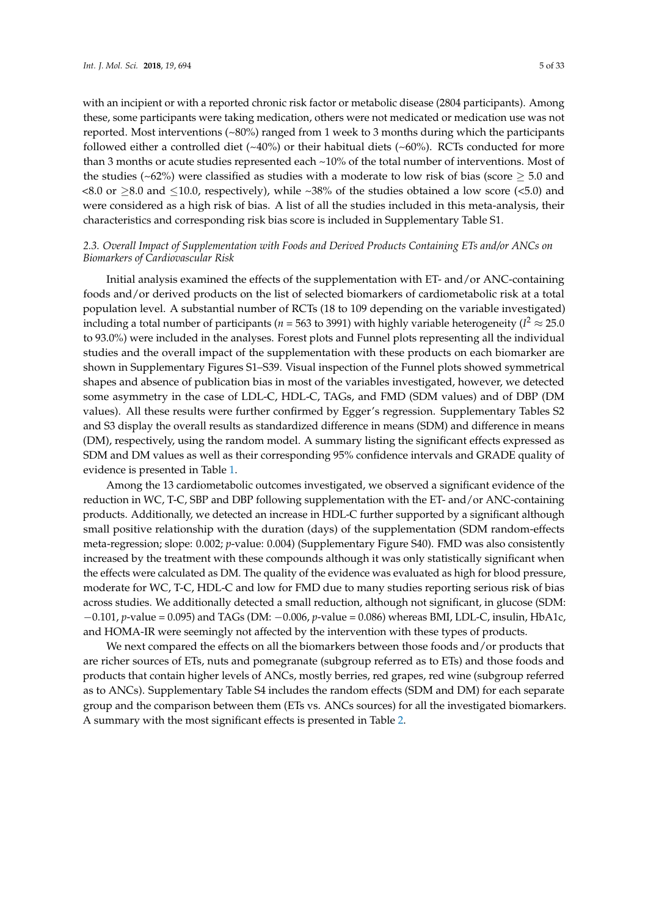with an incipient or with a reported chronic risk factor or metabolic disease (2804 participants). Among these, some participants were taking medication, others were not medicated or medication use was not reported. Most interventions (~80%) ranged from 1 week to 3 months during which the participants followed either a controlled diet  $(\sim 40\%)$  or their habitual diets  $(\sim 60\%)$ . RCTs conducted for more than 3 months or acute studies represented each ~10% of the total number of interventions. Most of the studies (~62%) were classified as studies with a moderate to low risk of bias (score  $\geq$  5.0 and  $\langle 8.0 \text{ or } 28.0 \text{ and } \leq 10.0$ , respectively), while ~38% of the studies obtained a low score (<5.0) and were considered as a high risk of bias. A list of all the studies included in this meta-analysis, their characteristics and corresponding risk bias score is included in Supplementary Table S1.

# *2.3. Overall Impact of Supplementation with Foods and Derived Products Containing ETs and/or ANCs on Biomarkers of Cardiovascular Risk*

Initial analysis examined the effects of the supplementation with ET- and/or ANC-containing foods and/or derived products on the list of selected biomarkers of cardiometabolic risk at a total population level. A substantial number of RCTs (18 to 109 depending on the variable investigated) including a total number of participants ( $n$  = 563 to 3991) with highly variable heterogeneity (I<sup>2</sup>  $\approx$  25.0 to 93.0%) were included in the analyses. Forest plots and Funnel plots representing all the individual studies and the overall impact of the supplementation with these products on each biomarker are shown in Supplementary Figures S1–S39. Visual inspection of the Funnel plots showed symmetrical shapes and absence of publication bias in most of the variables investigated, however, we detected some asymmetry in the case of LDL-C, HDL-C, TAGs, and FMD (SDM values) and of DBP (DM values). All these results were further confirmed by Egger's regression. Supplementary Tables S2 and S3 display the overall results as standardized difference in means (SDM) and difference in means (DM), respectively, using the random model. A summary listing the significant effects expressed as SDM and DM values as well as their corresponding 95% confidence intervals and GRADE quality of evidence is presented in Table [1.](#page-5-0)

Among the 13 cardiometabolic outcomes investigated, we observed a significant evidence of the reduction in WC, T-C, SBP and DBP following supplementation with the ET- and/or ANC-containing products. Additionally, we detected an increase in HDL-C further supported by a significant although small positive relationship with the duration (days) of the supplementation (SDM random-effects meta-regression; slope: 0.002; *p*-value: 0.004) (Supplementary Figure S40). FMD was also consistently increased by the treatment with these compounds although it was only statistically significant when the effects were calculated as DM. The quality of the evidence was evaluated as high for blood pressure, moderate for WC, T-C, HDL-C and low for FMD due to many studies reporting serious risk of bias across studies. We additionally detected a small reduction, although not significant, in glucose (SDM: −0.101, *p*-value = 0.095) and TAGs (DM: −0.006, *p*-value = 0.086) whereas BMI, LDL-C, insulin, HbA1c, and HOMA-IR were seemingly not affected by the intervention with these types of products.

We next compared the effects on all the biomarkers between those foods and/or products that are richer sources of ETs, nuts and pomegranate (subgroup referred as to ETs) and those foods and products that contain higher levels of ANCs, mostly berries, red grapes, red wine (subgroup referred as to ANCs). Supplementary Table S4 includes the random effects (SDM and DM) for each separate group and the comparison between them (ETs vs. ANCs sources) for all the investigated biomarkers. A summary with the most significant effects is presented in Table [2.](#page-5-1)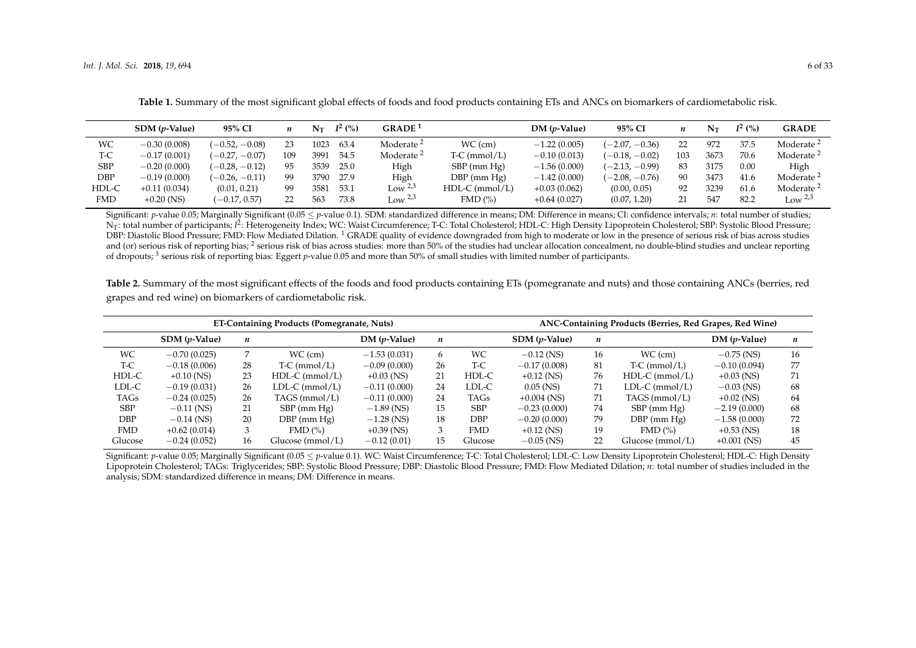|       | $SDM$ ( <i>p</i> -Value) | 95% CI           |     | $N_{\rm T}$ | $I^2$ (%) | GRADE <sup>1</sup>    |                  | $DM(p-Value)$  | 95% CI           | n   | Nт   | $I^2(%)$ | <b>GRADE</b>          |
|-------|--------------------------|------------------|-----|-------------|-----------|-----------------------|------------------|----------------|------------------|-----|------|----------|-----------------------|
| WC    | $-0.30(0.008)$           | $(-0.52, -0.08)$ | 23  | 1023        | 63.4      | Moderate <sup>2</sup> | $WC$ (cm)        | $-1.22(0.005)$ | $(-2.07, -0.36)$ | 22. | 972  | 37.5     | Moderate <sup>2</sup> |
| T-C   | $-0.17(0.001)$           | $(-0.27, -0.07)$ | 109 | 3991        | 54.5      | Moderate <sup>2</sup> | $T-C$ (mmol/L)   | $-0.10(0.013)$ | $(-0.18, -0.02)$ | 103 | 3673 | 70.6     | Moderate <sup>2</sup> |
| SBP   | $-0.20(0.000)$           | $(-0.28, -0.12)$ | 95  | 3539        | 25.0      | High                  | $SBP$ (mm $Hg$ ) | $-1.56(0.000)$ | $(-2.13, -0.99)$ | 83  | 3175 | 0.00     | High                  |
| DBP   | $-0.19(0.000)$           | $(-0.26, -0.11)$ | 99  | 3790        | 27.9      | High                  | $DBP$ (mm $Hg$ ) | $-1.42(0.000)$ | $(-2.08, -0.76)$ | 90  | 3473 | 41.6     | Moderate <sup>2</sup> |
| HDL-C | $+0.11(0.034)$           | (0.01, 0.21)     | 99  | 358.        | 53.1      | Low $2,3$             | $HDL-C$ (mmol/L) | $+0.03(0.062)$ | (0.00, 0.05)     | 92  | 3239 | 61.6     | Moderate <sup>2</sup> |
| FMD   | $+0.20$ (NS)             | $(-0.17, 0.57)$  | 22  | 563         | 73.8      | Low $2,3$             | FMD(%)           | $+0.64(0.027)$ | (0.07, 1.20)     | 21  | 547  | 82.2     | Low $2.3$             |

**Table 1.** Summary of the most significant global effects of foods and food products containing ETs and ANCs on biomarkers of cardiometabolic risk.

Significant: *p*-value 0.05; Marginally Significant (0.05 < *p*-value 0.1). SDM: standardized difference in means; DM: Difference in means; CI: confidence intervals; *n*: total number of studies; N<sub>T</sub>: total number of participants; *i*<sup>2</sup>: Heterogeneity Index; WC: Waist Circumference; T-C: Total Cholesterol; HDL-C: High Density Lipoprotein Cholesterol; SBP: Systolic Blood Pressure; DBP: Diastolic Blood Pressure; FMD: Flow Mediated Dilation. <sup>1</sup> GRADE quality of evidence downgraded from high to moderate or low in the presence of serious risk of bias across studies and (or) serious risk of reporting bias;  $^2$  serious risk of bias across studies: more than 50% of the studies had unclear allocation concealment, no double-blind studies and unclear reporting of dropouts; <sup>3</sup> serious risk of reporting bias: Eggert *p*-value 0.05 and more than 50% of small studies with limited number of participants.

**Table 2.** Summary of the most significant effects of the foods and food products containing ETs (pomegranate and nuts) and those containing ANCs (berries, red grapes and red wine) on biomarkers of cardiometabolic risk.

<span id="page-5-0"></span>

|            |                          |    | ET-Containing Products (Pomegranate, Nuts) | ANC-Containing Products (Berries, Red Grapes, Red Wine) |                  |            |                          |    |                   |                |                  |
|------------|--------------------------|----|--------------------------------------------|---------------------------------------------------------|------------------|------------|--------------------------|----|-------------------|----------------|------------------|
|            | $SDM$ ( <i>p</i> -Value) | n  |                                            | $DM(p-Value)$                                           | $\boldsymbol{n}$ |            | $SDM$ ( <i>p</i> -Value) | n  |                   | $DM(p-Value)$  | $\boldsymbol{n}$ |
| WC.        | $-0.70(0.025)$           |    | $WC$ (cm)                                  | $-1.53(0.031)$                                          | 6                | WС         | $-0.12$ (NS)             | 16 | $WC$ (cm)         | $-0.75$ (NS)   | 16               |
| T-C        | $-0.18(0.006)$           | 28 | $T-C$ (mmol/L)                             | $-0.09(0.000)$                                          | 26               | T-C        | $-0.17(0.008)$           | 81 | $T-C$ (mmol/L)    | $-0.10(0.094)$ | 77               |
| HDL-C      | $+0.10$ (NS)             | 23 | $HDL-C$ (mmol/L)                           | $+0.03$ (NS)                                            | 21               | HDL-C      | $+0.12$ (NS)             | 76 | $HDL-C$ (mmol/L)  | $+0.03$ (NS)   | 71               |
| LDL-C      | $-0.19(0.031)$           | 26 | $LDL-C (mmol/L)$                           | $-0.11(0.000)$                                          | 24               | LDL-C      | $0.05$ (NS)              | 71 | $LDL-C (mmol/L)$  | $-0.03$ (NS)   | 68               |
| TAGs       | $-0.24(0.025)$           | 26 | TAGS (mmol/L)                              | $-0.11(0.000)$                                          | 24               | TAGs       | $+0.004$ (NS)            | 71 | TAGS ( $mmol/L$ ) | $+0.02$ (NS)   | 64               |
| <b>SBP</b> | $-0.11$ (NS)             | 21 | $SBP$ (mm $Hg$ )                           | $-1.89$ (NS)                                            | 15               | <b>SBP</b> | $-0.23(0.000)$           | 74 | $SBP$ (mm $Hg$ )  | $-2.19(0.000)$ | 68               |
| DBP        | $-0.14$ (NS)             | 20 | $DBP$ (mm $Hg$ )                           | $-1.28$ (NS)                                            | 18               | DBP        | $-0.20(0.000)$           | 79 | $DBP$ (mm $Hg$ )  | $-1.58(0.000)$ | 72               |
| <b>FMD</b> | $+0.62(0.014)$           |    | FMD(%)                                     | $+0.39$ (NS)                                            |                  | <b>FMD</b> | $+0.12$ (NS)             | 19 | FMD(%)            | $+0.53$ (NS)   | 18               |
| Glucose    | $-0.24(0.052)$           | 16 | Glucose (mmol/L)                           | $-0.12(0.01)$                                           | 15               | Glucose    | $-0.05$ (NS)             | 22 | Glucose (mmol/L)  | $+0.001$ (NS)  | 45               |

<span id="page-5-1"></span>Significant: *p*-value 0.05; Marginally Significant (0.05  $\leq$  *p*-value 0.1). WC: Waist Circumference; T-C: Total Cholesterol; LDL-C: Low Density Lipoprotein Cholesterol; HDL-C: High Density Lipoprotein Cholesterol; TAGs: Triglycerides; SBP: Systolic Blood Pressure; DBP: Diastolic Blood Pressure; FMD: Flow Mediated Dilation; *n*: total number of studies included in the analysis; SDM: standardized difference in means; DM: Difference in means.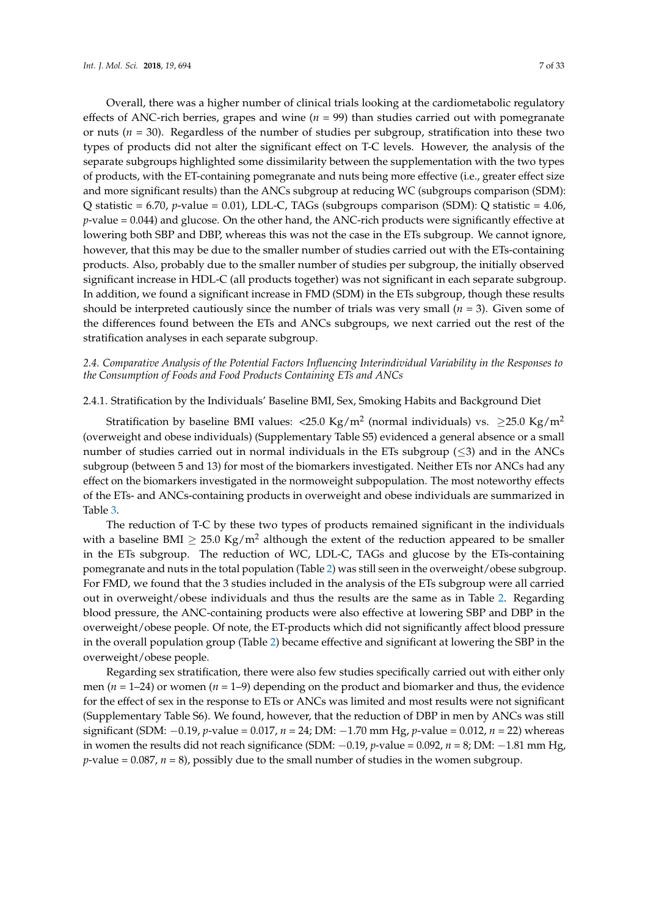Overall, there was a higher number of clinical trials looking at the cardiometabolic regulatory effects of ANC-rich berries, grapes and wine  $(n = 99)$  than studies carried out with pomegranate or nuts (*n* = 30). Regardless of the number of studies per subgroup, stratification into these two types of products did not alter the significant effect on T-C levels. However, the analysis of the separate subgroups highlighted some dissimilarity between the supplementation with the two types of products, with the ET-containing pomegranate and nuts being more effective (i.e., greater effect size and more significant results) than the ANCs subgroup at reducing WC (subgroups comparison (SDM): Q statistic = 6.70, *p*-value = 0.01), LDL-C, TAGs (subgroups comparison (SDM): Q statistic = 4.06, *p*-value = 0.044) and glucose. On the other hand, the ANC-rich products were significantly effective at lowering both SBP and DBP, whereas this was not the case in the ETs subgroup. We cannot ignore, however, that this may be due to the smaller number of studies carried out with the ETs-containing products. Also, probably due to the smaller number of studies per subgroup, the initially observed significant increase in HDL-C (all products together) was not significant in each separate subgroup. In addition, we found a significant increase in FMD (SDM) in the ETs subgroup, though these results should be interpreted cautiously since the number of trials was very small  $(n = 3)$ . Given some of the differences found between the ETs and ANCs subgroups, we next carried out the rest of the stratification analyses in each separate subgroup.

# *2.4. Comparative Analysis of the Potential Factors Influencing Interindividual Variability in the Responses to the Consumption of Foods and Food Products Containing ETs and ANCs*

# 2.4.1. Stratification by the Individuals' Baseline BMI, Sex, Smoking Habits and Background Diet

Stratification by baseline BMI values: <25.0 Kg/m<sup>2</sup> (normal individuals) vs.  $\geq$ 25.0 Kg/m<sup>2</sup> (overweight and obese individuals) (Supplementary Table S5) evidenced a general absence or a small number of studies carried out in normal individuals in the ETs subgroup  $(\leq 3)$  and in the ANCs subgroup (between 5 and 13) for most of the biomarkers investigated. Neither ETs nor ANCs had any effect on the biomarkers investigated in the normoweight subpopulation. The most noteworthy effects of the ETs- and ANCs-containing products in overweight and obese individuals are summarized in Table [3.](#page-7-0)

The reduction of T-C by these two types of products remained significant in the individuals with a baseline BMI  $\geq 25.0 \text{ Kg/m}^2$  although the extent of the reduction appeared to be smaller in the ETs subgroup. The reduction of WC, LDL-C, TAGs and glucose by the ETs-containing pomegranate and nuts in the total population (Table [2\)](#page-5-1) was still seen in the overweight/obese subgroup. For FMD, we found that the 3 studies included in the analysis of the ETs subgroup were all carried out in overweight/obese individuals and thus the results are the same as in Table [2.](#page-5-1) Regarding blood pressure, the ANC-containing products were also effective at lowering SBP and DBP in the overweight/obese people. Of note, the ET-products which did not significantly affect blood pressure in the overall population group (Table [2\)](#page-5-1) became effective and significant at lowering the SBP in the overweight/obese people.

Regarding sex stratification, there were also few studies specifically carried out with either only men (*n* = 1–24) or women (*n* = 1–9) depending on the product and biomarker and thus, the evidence for the effect of sex in the response to ETs or ANCs was limited and most results were not significant (Supplementary Table S6). We found, however, that the reduction of DBP in men by ANCs was still significant (SDM: −0.19, *p*-value = 0.017, *n* = 24; DM: −1.70 mm Hg, *p*-value = 0.012, *n* = 22) whereas in women the results did not reach significance (SDM: −0.19, *p*-value = 0.092, *n* = 8; DM: −1.81 mm Hg, *p*-value = 0.087, *n* = 8), possibly due to the small number of studies in the women subgroup.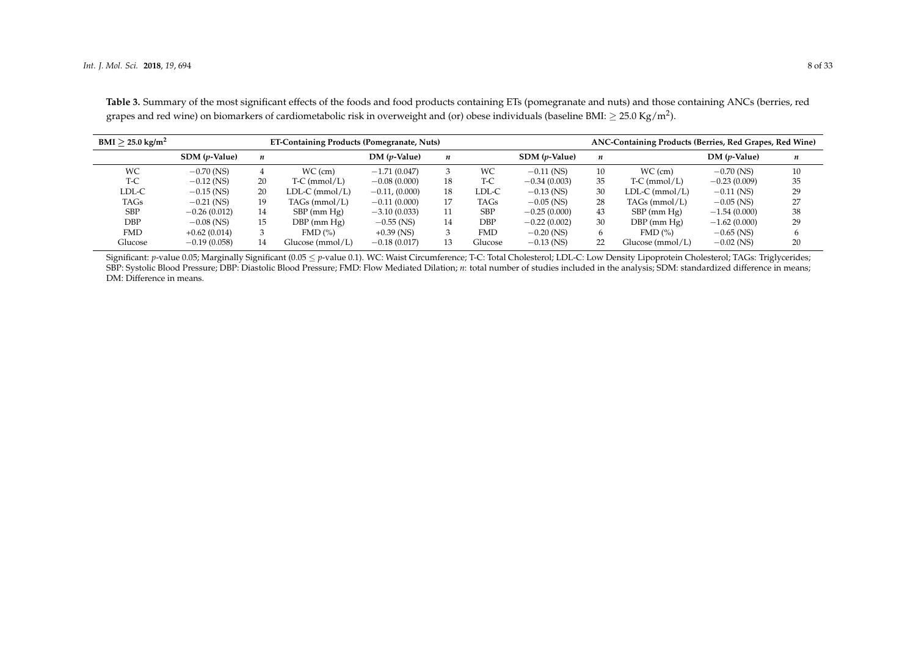| $BMI > 25.0 \text{ kg/m}^2$ |                          |                  | <b>ET-Containing Products (Pomegranate, Nuts)</b> |                  | ANC-Containing Products (Berries, Red Grapes, Red Wine) |            |                |    |                  |                |    |
|-----------------------------|--------------------------|------------------|---------------------------------------------------|------------------|---------------------------------------------------------|------------|----------------|----|------------------|----------------|----|
|                             | $SDM$ ( <i>p</i> -Value) | $\boldsymbol{n}$ |                                                   | $DM(p-Value)$    | $\boldsymbol{n}$                                        |            | $SDM(p-Value)$ | n  |                  | $DM(p-Value)$  | n  |
| <b>WC</b>                   | $-0.70$ (NS)             | 4                | $WC$ (cm)                                         | $-1.71(0.047)$   | 3                                                       | WС         | $-0.11$ (NS)   | 10 | WC (cm)          | $-0.70$ (NS)   | 10 |
| T-C                         | $-0.12$ (NS)             | 20               | $T-C$ (mmol/L)                                    | $-0.08(0.000)$   | 18                                                      | $T-C$      | $-0.34(0.003)$ | 35 | $T-C$ (mmol/L)   | $-0.23(0.009)$ | 35 |
| LDL-C                       | $-0.15$ (NS)             | 20               | $LDL-C$ (mmol/L)                                  | $-0.11, (0.000)$ | 18                                                      | LDL-C      | $-0.13$ (NS)   | 30 | $LDL-C (mmol/L)$ | $-0.11$ (NS)   | 29 |
| TAGs                        | $-0.21$ (NS)             | 19               | $TAGs$ (mmol/L)                                   | $-0.11(0.000)$   | 17                                                      | TAGs       | $-0.05$ (NS)   | 28 | $TAGs$ (mmol/L)  | $-0.05$ (NS)   | 27 |
| <b>SBP</b>                  | $-0.26(0.012)$           | 14               | $SBP$ (mm $Hg$ )                                  | $-3.10(0.033)$   | 11                                                      | <b>SBP</b> | $-0.25(0.000)$ | 43 | $SBP$ (mm $Hg$ ) | $-1.54(0.000)$ | 38 |
| DBP                         | $-0.08$ (NS)             | 15               | $DBP$ (mm $Hg$ )                                  | $-0.55$ (NS)     | 14                                                      | DBP        | $-0.22(0.002)$ | 30 | $DBP$ (mm $Hg$ ) | $-1.62(0.000)$ | 29 |
| <b>FMD</b>                  | $+0.62(0.014)$           |                  | $FMD$ $\left(\% \right)$                          | $+0.39$ (NS)     | 3                                                       | <b>FMD</b> | $-0.20$ (NS)   | 6  | $FMD$ $(\%)$     | $-0.65$ (NS)   |    |
| Glucose                     | $-0.19(0.058)$           | 14               | Glucose (mmol/L)                                  | $-0.18(0.017)$   | 13                                                      | Glucose    | $-0.13$ (NS)   | 22 | Glucose (mmol/L) | $-0.02$ (NS)   | 20 |

**Table 3.** Summary of the most significant effects of the foods and food products containing ETs (pomegranate and nuts) and those containing ANCs (berries, red grapes and red wine) on biomarkers of cardiometabolic risk in overweight and (or) obese individuals (baseline BMI:  $\geq$  25.0 Kg/m<sup>2</sup>).

<span id="page-7-0"></span>Significant: *p*-value 0.05; Marginally Significant (0.05 ≤ *p*-value 0.1). WC: Waist Circumference; T-C: Total Cholesterol; LDL-C: Low Density Lipoprotein Cholesterol; TAGs: Triglycerides; SBP: Systolic Blood Pressure; DBP: Diastolic Blood Pressure; FMD: Flow Mediated Dilation; *n*: total number of studies included in the analysis; SDM: standardized difference in means; DM: Difference in means.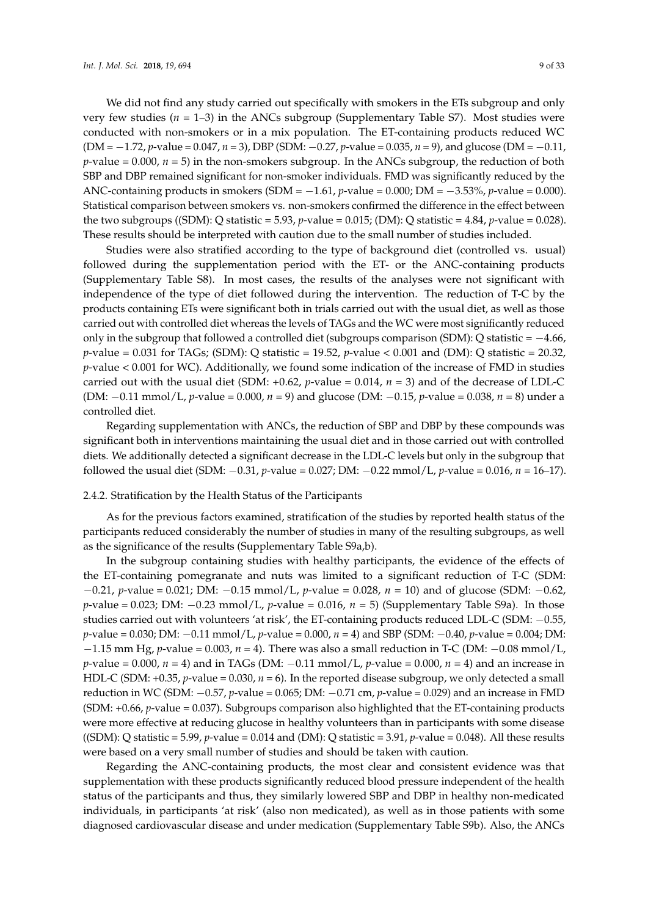We did not find any study carried out specifically with smokers in the ETs subgroup and only very few studies (*n* = 1–3) in the ANCs subgroup (Supplementary Table S7). Most studies were conducted with non-smokers or in a mix population. The ET-containing products reduced WC (DM = −1.72, *p*-value = 0.047, *n* = 3), DBP (SDM: −0.27, *p*-value = 0.035, *n* = 9), and glucose (DM = −0.11, *p*-value = 0.000, *n* = 5) in the non-smokers subgroup. In the ANCs subgroup, the reduction of both SBP and DBP remained significant for non-smoker individuals. FMD was significantly reduced by the ANC-containing products in smokers (SDM = −1.61, *p*-value = 0.000; DM = −3.53%, *p*-value = 0.000). Statistical comparison between smokers vs. non-smokers confirmed the difference in the effect between the two subgroups ((SDM): Q statistic = 5.93, *p*-value = 0.015; (DM): Q statistic = 4.84, *p*-value = 0.028). These results should be interpreted with caution due to the small number of studies included.

Studies were also stratified according to the type of background diet (controlled vs. usual) followed during the supplementation period with the ET- or the ANC-containing products (Supplementary Table S8). In most cases, the results of the analyses were not significant with independence of the type of diet followed during the intervention. The reduction of T-C by the products containing ETs were significant both in trials carried out with the usual diet, as well as those carried out with controlled diet whereas the levels of TAGs and the WC were most significantly reduced only in the subgroup that followed a controlled diet (subgroups comparison (SDM): Q statistic = −4.66,  $p$ -value = 0.031 for TAGs; (SDM): Q statistic = 19.52,  $p$ -value < 0.001 and (DM): Q statistic = 20.32, *p*-value < 0.001 for WC). Additionally, we found some indication of the increase of FMD in studies carried out with the usual diet (SDM:  $+0.62$ ,  $p$ -value = 0.014,  $n = 3$ ) and of the decrease of LDL-C (DM: −0.11 mmol/L, *p*-value = 0.000, *n* = 9) and glucose (DM: −0.15, *p*-value = 0.038, *n* = 8) under a controlled diet.

Regarding supplementation with ANCs, the reduction of SBP and DBP by these compounds was significant both in interventions maintaining the usual diet and in those carried out with controlled diets. We additionally detected a significant decrease in the LDL-C levels but only in the subgroup that followed the usual diet (SDM: −0.31, *p*-value = 0.027; DM: −0.22 mmol/L, *p*-value = 0.016, *n* = 16–17).

# 2.4.2. Stratification by the Health Status of the Participants

As for the previous factors examined, stratification of the studies by reported health status of the participants reduced considerably the number of studies in many of the resulting subgroups, as well as the significance of the results (Supplementary Table S9a,b).

In the subgroup containing studies with healthy participants, the evidence of the effects of the ET-containing pomegranate and nuts was limited to a significant reduction of T-C (SDM: −0.21, *p*-value = 0.021; DM: −0.15 mmol/L, *p*-value = 0.028, *n* = 10) and of glucose (SDM: −0.62, *p*-value = 0.023; DM: −0.23 mmol/L, *p*-value = 0.016, *n* = 5) (Supplementary Table S9a). In those studies carried out with volunteers 'at risk', the ET-containing products reduced LDL-C (SDM: −0.55, *p*-value = 0.030; DM: −0.11 mmol/L, *p*-value = 0.000, *n* = 4) and SBP (SDM: −0.40, *p*-value = 0.004; DM: −1.15 mm Hg, *p*-value = 0.003, *n* = 4). There was also a small reduction in T-C (DM: −0.08 mmol/L, *p*-value = 0.000, *n* = 4) and in TAGs (DM: −0.11 mmol/L, *p*-value = 0.000, *n* = 4) and an increase in HDL-C (SDM: +0.35, *p*-value = 0.030, *n* = 6). In the reported disease subgroup, we only detected a small reduction in WC (SDM: −0.57, *p*-value = 0.065; DM: −0.71 cm, *p*-value = 0.029) and an increase in FMD (SDM: +0.66, *p*-value = 0.037). Subgroups comparison also highlighted that the ET-containing products were more effective at reducing glucose in healthy volunteers than in participants with some disease ((SDM): Q statistic = 5.99,  $p$ -value = 0.014 and (DM): Q statistic = 3.91,  $p$ -value = 0.048). All these results were based on a very small number of studies and should be taken with caution.

Regarding the ANC-containing products, the most clear and consistent evidence was that supplementation with these products significantly reduced blood pressure independent of the health status of the participants and thus, they similarly lowered SBP and DBP in healthy non-medicated individuals, in participants 'at risk' (also non medicated), as well as in those patients with some diagnosed cardiovascular disease and under medication (Supplementary Table S9b). Also, the ANCs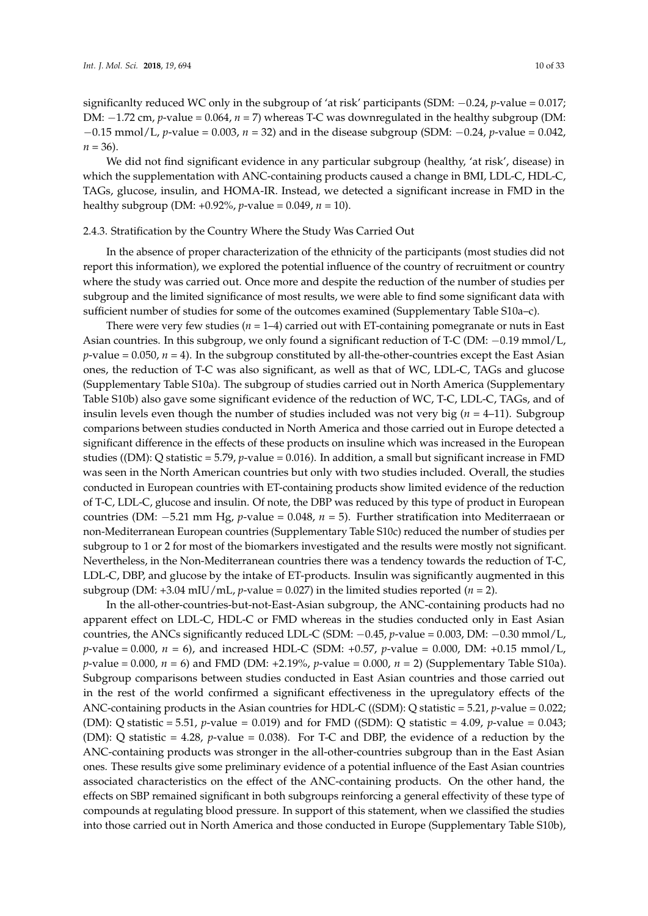$n = 36$ ).

significanlty reduced WC only in the subgroup of 'at risk' participants (SDM: −0.24, *p*-value = 0.017; DM: −1.72 cm, *p*-value = 0.064, *n* = 7) whereas T-C was downregulated in the healthy subgroup (DM: −0.15 mmol/L, *p*-value = 0.003, *n* = 32) and in the disease subgroup (SDM: −0.24, *p*-value = 0.042,

We did not find significant evidence in any particular subgroup (healthy, 'at risk', disease) in which the supplementation with ANC-containing products caused a change in BMI, LDL-C, HDL-C, TAGs, glucose, insulin, and HOMA-IR. Instead, we detected a significant increase in FMD in the healthy subgroup (DM: +0.92%, *p*-value = 0.049, *n* = 10).

### 2.4.3. Stratification by the Country Where the Study Was Carried Out

In the absence of proper characterization of the ethnicity of the participants (most studies did not report this information), we explored the potential influence of the country of recruitment or country where the study was carried out. Once more and despite the reduction of the number of studies per subgroup and the limited significance of most results, we were able to find some significant data with sufficient number of studies for some of the outcomes examined (Supplementary Table S10a–c).

There were very few studies ( $n = 1-4$ ) carried out with ET-containing pomegranate or nuts in East Asian countries. In this subgroup, we only found a significant reduction of T-C (DM: −0.19 mmol/L,  $p$ -value = 0.050,  $n = 4$ ). In the subgroup constituted by all-the-other-countries except the East Asian ones, the reduction of T-C was also significant, as well as that of WC, LDL-C, TAGs and glucose (Supplementary Table S10a). The subgroup of studies carried out in North America (Supplementary Table S10b) also gave some significant evidence of the reduction of WC, T-C, LDL-C, TAGs, and of insulin levels even though the number of studies included was not very big  $(n = 4-11)$ . Subgroup comparions between studies conducted in North America and those carried out in Europe detected a significant difference in the effects of these products on insuline which was increased in the European studies ((DM): Q statistic = 5.79, *p*-value = 0.016). In addition, a small but significant increase in FMD was seen in the North American countries but only with two studies included. Overall, the studies conducted in European countries with ET-containing products show limited evidence of the reduction of T-C, LDL-C, glucose and insulin. Of note, the DBP was reduced by this type of product in European countries (DM: −5.21 mm Hg, *p*-value = 0.048, *n* = 5). Further stratification into Mediterraean or non-Mediterranean European countries (Supplementary Table S10c) reduced the number of studies per subgroup to 1 or 2 for most of the biomarkers investigated and the results were mostly not significant. Nevertheless, in the Non-Mediterranean countries there was a tendency towards the reduction of T-C, LDL-C, DBP, and glucose by the intake of ET-products. Insulin was significantly augmented in this subgroup (DM:  $+3.04$  mIU/mL, *p*-value = 0.027) in the limited studies reported (*n* = 2).

In the all-other-countries-but-not-East-Asian subgroup, the ANC-containing products had no apparent effect on LDL-C, HDL-C or FMD whereas in the studies conducted only in East Asian countries, the ANCs significantly reduced LDL-C (SDM: −0.45, *p*-value = 0.003, DM: −0.30 mmol/L, *p*-value = 0.000, *n* = 6), and increased HDL-C (SDM: +0.57, *p*-value = 0.000, DM: +0.15 mmol/L, *p*-value = 0.000, *n* = 6) and FMD (DM: +2.19%, *p*-value = 0.000, *n* = 2) (Supplementary Table S10a). Subgroup comparisons between studies conducted in East Asian countries and those carried out in the rest of the world confirmed a significant effectiveness in the upregulatory effects of the ANC-containing products in the Asian countries for HDL-C ((SDM): Q statistic = 5.21, *p*-value = 0.022; (DM): Q statistic = 5.51, *p*-value = 0.019) and for FMD ((SDM): Q statistic = 4.09, *p*-value = 0.043; (DM): Q statistic = 4.28, *p*-value = 0.038). For T-C and DBP, the evidence of a reduction by the ANC-containing products was stronger in the all-other-countries subgroup than in the East Asian ones. These results give some preliminary evidence of a potential influence of the East Asian countries associated characteristics on the effect of the ANC-containing products. On the other hand, the effects on SBP remained significant in both subgroups reinforcing a general effectivity of these type of compounds at regulating blood pressure. In support of this statement, when we classified the studies into those carried out in North America and those conducted in Europe (Supplementary Table S10b),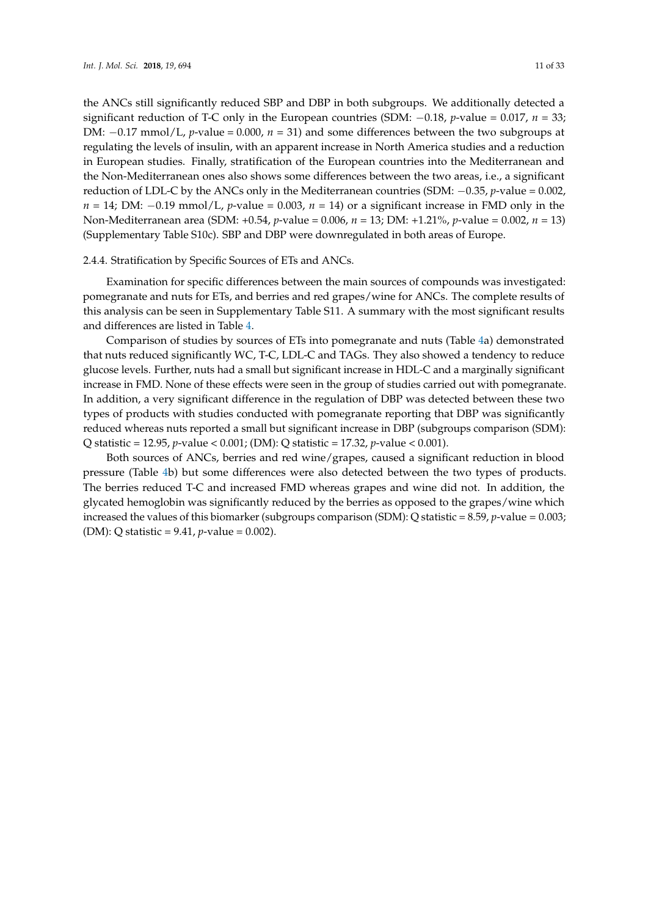the ANCs still significantly reduced SBP and DBP in both subgroups. We additionally detected a significant reduction of T-C only in the European countries (SDM: −0.18, *p*-value = 0.017, *n* = 33; DM: −0.17 mmol/L, *p*-value = 0.000, *n* = 31) and some differences between the two subgroups at regulating the levels of insulin, with an apparent increase in North America studies and a reduction in European studies. Finally, stratification of the European countries into the Mediterranean and the Non-Mediterranean ones also shows some differences between the two areas, i.e., a significant reduction of LDL-C by the ANCs only in the Mediterranean countries (SDM: −0.35, *p*-value = 0.002, *n* = 14; DM: −0.19 mmol/L, *p*-value = 0.003, *n* = 14) or a significant increase in FMD only in the Non-Mediterranean area (SDM: +0.54, *p*-value = 0.006, *n* = 13; DM: +1.21%, *p*-value = 0.002, *n* = 13) (Supplementary Table S10c). SBP and DBP were downregulated in both areas of Europe.

# 2.4.4. Stratification by Specific Sources of ETs and ANCs.

Examination for specific differences between the main sources of compounds was investigated: pomegranate and nuts for ETs, and berries and red grapes/wine for ANCs. The complete results of this analysis can be seen in Supplementary Table S11. A summary with the most significant results and differences are listed in Table [4.](#page-11-0)

Comparison of studies by sources of ETs into pomegranate and nuts (Table [4a](#page-11-0)) demonstrated that nuts reduced significantly WC, T-C, LDL-C and TAGs. They also showed a tendency to reduce glucose levels. Further, nuts had a small but significant increase in HDL-C and a marginally significant increase in FMD. None of these effects were seen in the group of studies carried out with pomegranate. In addition, a very significant difference in the regulation of DBP was detected between these two types of products with studies conducted with pomegranate reporting that DBP was significantly reduced whereas nuts reported a small but significant increase in DBP (subgroups comparison (SDM): Q statistic = 12.95, *p*-value < 0.001; (DM): Q statistic = 17.32, *p*-value < 0.001).

Both sources of ANCs, berries and red wine/grapes, caused a significant reduction in blood pressure (Table [4b](#page-11-0)) but some differences were also detected between the two types of products. The berries reduced T-C and increased FMD whereas grapes and wine did not. In addition, the glycated hemoglobin was significantly reduced by the berries as opposed to the grapes/wine which increased the values of this biomarker (subgroups comparison (SDM): Q statistic = 8.59, *p*-value = 0.003; (DM): Q statistic = 9.41, *p*-value = 0.002).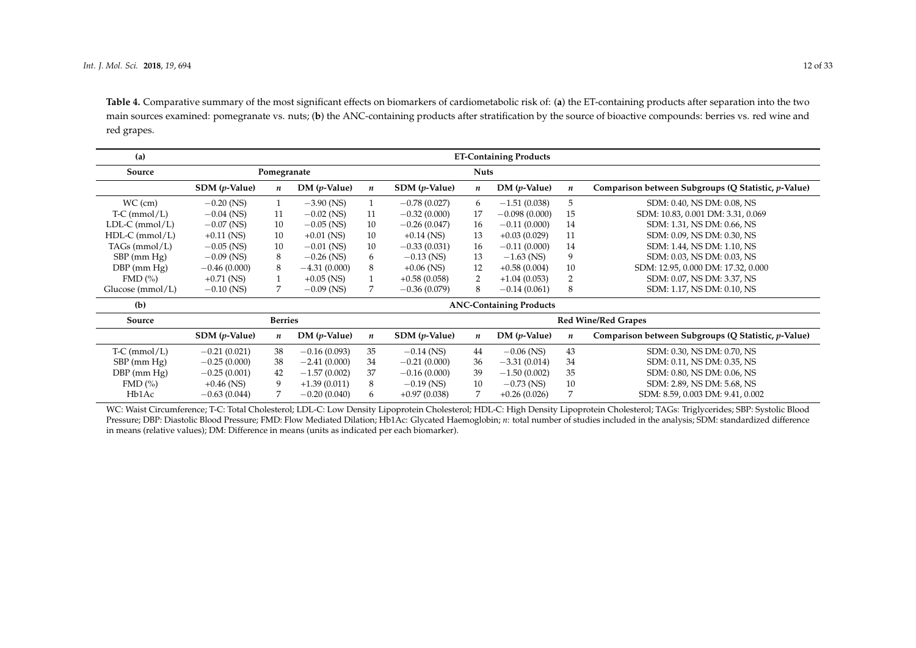**Table 4.** Comparative summary of the most significant effects on biomarkers of cardiometabolic risk of: (**a**) the ET-containing products after separation into the two main sources examined: pomegranate vs. nuts; (**b**) the ANC-containing products after stratification by the source of bioactive compounds: berries vs. red wine and red grapes.

| (a)                              |                     |                  |                      |                  |                          |                  | <b>ET-Containing Products</b>  |                  |                                                     |
|----------------------------------|---------------------|------------------|----------------------|------------------|--------------------------|------------------|--------------------------------|------------------|-----------------------------------------------------|
| Source                           |                     | Pomegranate      |                      |                  |                          | <b>Nuts</b>      |                                |                  |                                                     |
|                                  | $SDM(p-Value)$      | n                | $DM(p\text{-Value})$ | $\boldsymbol{n}$ | $SDM$ ( <i>p</i> -Value) | n                | $DM(p-Value)$                  | $\boldsymbol{n}$ | Comparison between Subgroups (Q Statistic, p-Value) |
| $WC$ (cm)                        | $-0.20$ (NS)        | 1                | $-3.90$ (NS)         | $\mathbf{1}$     | $-0.78(0.027)$           | 6                | $-1.51(0.038)$                 | 5                | SDM: 0.40, NS DM: 0.08, NS                          |
| $T-C$ (mmol/L)                   | $-0.04$ (NS)        | 11               | $-0.02$ (NS)         | 11               | $-0.32(0.000)$           | 17               | $-0.098(0.000)$                | 15               | SDM: 10.83, 0.001 DM: 3.31, 0.069                   |
| $LDL-C$ (mmol/L)                 | $-0.07$ (NS)        | 10               | $-0.05$ (NS)         | 10               | $-0.26(0.047)$           | 16               | $-0.11(0.000)$                 | 14               | SDM: 1.31, NS DM: 0.66, NS                          |
| $HDL-C$ (mmol/L)                 | $+0.11$ (NS)        | 10               | $+0.01$ (NS)         | 10               | $+0.14$ (NS)             | 13               | $+0.03(0.029)$                 | 11               | SDM: 0.09, NS DM: 0.30, NS                          |
| TAGs ( $mmol/L$ )                | $-0.05$ (NS)        | 10               | $-0.01$ (NS)         | 10               | $-0.33(0.031)$           | 16               | $-0.11(0.000)$                 | 14               | SDM: 1.44, NS DM: 1.10, NS                          |
| $SBP$ (mm $Hg$ )                 | $-0.09$ (NS)        | 8                | $-0.26$ (NS)         | 6                | $-0.13$ (NS)             | 13               | $-1.63$ (NS)                   | 9                | SDM: 0.03, NS DM: 0.03, NS                          |
| $DBP$ (mm $Hg$ )                 | $-0.46(0.000)$      | 8                | $-4.31(0.000)$       | 8                | $+0.06$ (NS)             | 12               | $+0.58(0.004)$                 | 10               | SDM: 12.95, 0.000 DM: 17.32, 0.000                  |
| $FMD$ $\left(\frac{9}{6}\right)$ | $+0.71$ (NS)        | $\mathbf{1}$     | $+0.05$ (NS)         | $\mathbf{1}$     | $+0.58(0.058)$           | 2                | $+1.04(0.053)$                 | 2                | SDM: 0.07, NS DM: 3.37, NS                          |
| Glucose $(mmol/L)$               | $-0.10$ (NS)        | 7                | $-0.09$ (NS)         | $\overline{7}$   | $-0.36(0.079)$           | 8                | $-0.14(0.061)$                 | 8                | SDM: 1.17, NS DM: 0.10, NS                          |
| (b)                              |                     |                  |                      |                  |                          |                  | <b>ANC-Containing Products</b> |                  |                                                     |
| Source                           |                     | <b>Berries</b>   |                      |                  |                          |                  |                                |                  | <b>Red Wine/Red Grapes</b>                          |
|                                  | $SDM$ ( $p$ -Value) | $\boldsymbol{n}$ | $DM(p\text{-Value})$ | $\boldsymbol{n}$ | $SDM$ ( <i>p</i> -Value) | $\boldsymbol{n}$ | $DM(p-Value)$                  | $\boldsymbol{n}$ | Comparison between Subgroups (Q Statistic, p-Value) |
| $T-C$ (mmol/L)                   | $-0.21(0.021)$      | 38               | $-0.16(0.093)$       | 35               | $-0.14$ (NS)             | 44               | $-0.06$ (NS)                   | 43               | SDM: 0.30, NS DM: 0.70, NS                          |
| $SBP$ (mm $Hg$ )                 | $-0.25(0.000)$      | 38               | $-2.41(0.000)$       | 34               | $-0.21(0.000)$           | 36               | $-3.31(0.014)$                 | 34               | SDM: 0.11, NS DM: 0.35, NS                          |
| $DBP$ (mm $Hg$ )                 | $-0.25(0.001)$      | 42               | $-1.57(0.002)$       | 37               | $-0.16(0.000)$           | 39               | $-1.50(0.002)$                 | 35               | SDM: 0.80, NS DM: 0.06, NS                          |
| $FMD$ $\left(\frac{9}{6}\right)$ | $+0.46$ (NS)        | 9                | $+1.39(0.011)$       | 8                | $-0.19$ (NS)             | 10               | $-0.73$ (NS)                   | 10               | SDM: 2.89, NS DM: 5.68, NS                          |
| Hb1Ac                            | $-0.63(0.044)$      | $\overline{7}$   | $-0.20(0.040)$       | 6                | $+0.97(0.038)$           | 7                | $+0.26(0.026)$                 | 7                | SDM: 8.59, 0.003 DM: 9.41, 0.002                    |

<span id="page-11-0"></span>WC: Waist Circumference; T-C: Total Cholesterol; LDL-C: Low Density Lipoprotein Cholesterol; HDL-C: High Density Lipoprotein Cholesterol; TAGs: Triglycerides; SBP: Systolic Blood Pressure; DBP: Diastolic Blood Pressure; FMD: Flow Mediated Dilation; Hb1Ac: Glycated Haemoglobin; *n*: total number of studies included in the analysis; SDM: standardized difference in means (relative values); DM: Difference in means (units as indicated per each biomarker).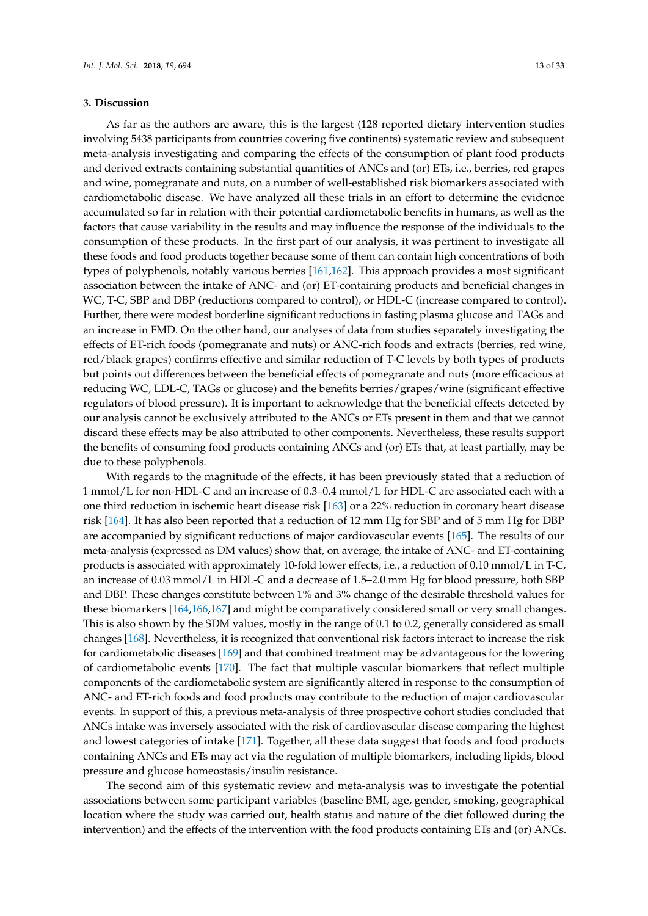#### **3. Discussion**

As far as the authors are aware, this is the largest (128 reported dietary intervention studies involving 5438 participants from countries covering five continents) systematic review and subsequent meta-analysis investigating and comparing the effects of the consumption of plant food products and derived extracts containing substantial quantities of ANCs and (or) ETs, i.e., berries, red grapes and wine, pomegranate and nuts, on a number of well-established risk biomarkers associated with cardiometabolic disease. We have analyzed all these trials in an effort to determine the evidence accumulated so far in relation with their potential cardiometabolic benefits in humans, as well as the factors that cause variability in the results and may influence the response of the individuals to the consumption of these products. In the first part of our analysis, it was pertinent to investigate all these foods and food products together because some of them can contain high concentrations of both types of polyphenols, notably various berries [\[161,](#page-30-1)[162\]](#page-30-2). This approach provides a most significant association between the intake of ANC- and (or) ET-containing products and beneficial changes in WC, T-C, SBP and DBP (reductions compared to control), or HDL-C (increase compared to control). Further, there were modest borderline significant reductions in fasting plasma glucose and TAGs and an increase in FMD. On the other hand, our analyses of data from studies separately investigating the effects of ET-rich foods (pomegranate and nuts) or ANC-rich foods and extracts (berries, red wine, red/black grapes) confirms effective and similar reduction of T-C levels by both types of products but points out differences between the beneficial effects of pomegranate and nuts (more efficacious at reducing WC, LDL-C, TAGs or glucose) and the benefits berries/grapes/wine (significant effective regulators of blood pressure). It is important to acknowledge that the beneficial effects detected by our analysis cannot be exclusively attributed to the ANCs or ETs present in them and that we cannot discard these effects may be also attributed to other components. Nevertheless, these results support the benefits of consuming food products containing ANCs and (or) ETs that, at least partially, may be due to these polyphenols.

With regards to the magnitude of the effects, it has been previously stated that a reduction of 1 mmol/L for non-HDL-C and an increase of 0.3–0.4 mmol/L for HDL-C are associated each with a one third reduction in ischemic heart disease risk [\[163\]](#page-30-3) or a 22% reduction in coronary heart disease risk [\[164\]](#page-30-4). It has also been reported that a reduction of 12 mm Hg for SBP and of 5 mm Hg for DBP are accompanied by significant reductions of major cardiovascular events [\[165\]](#page-30-5). The results of our meta-analysis (expressed as DM values) show that, on average, the intake of ANC- and ET-containing products is associated with approximately 10-fold lower effects, i.e., a reduction of 0.10 mmol/L in T-C, an increase of 0.03 mmol/L in HDL-C and a decrease of 1.5–2.0 mm Hg for blood pressure, both SBP and DBP. These changes constitute between 1% and 3% change of the desirable threshold values for these biomarkers [\[164,](#page-30-4)[166,](#page-30-6)[167\]](#page-30-7) and might be comparatively considered small or very small changes. This is also shown by the SDM values, mostly in the range of 0.1 to 0.2, generally considered as small changes [\[168\]](#page-30-8). Nevertheless, it is recognized that conventional risk factors interact to increase the risk for cardiometabolic diseases [\[169\]](#page-30-9) and that combined treatment may be advantageous for the lowering of cardiometabolic events [\[170\]](#page-30-10). The fact that multiple vascular biomarkers that reflect multiple components of the cardiometabolic system are significantly altered in response to the consumption of ANC- and ET-rich foods and food products may contribute to the reduction of major cardiovascular events. In support of this, a previous meta-analysis of three prospective cohort studies concluded that ANCs intake was inversely associated with the risk of cardiovascular disease comparing the highest and lowest categories of intake [\[171\]](#page-30-11). Together, all these data suggest that foods and food products containing ANCs and ETs may act via the regulation of multiple biomarkers, including lipids, blood pressure and glucose homeostasis/insulin resistance.

The second aim of this systematic review and meta-analysis was to investigate the potential associations between some participant variables (baseline BMI, age, gender, smoking, geographical location where the study was carried out, health status and nature of the diet followed during the intervention) and the effects of the intervention with the food products containing ETs and (or) ANCs.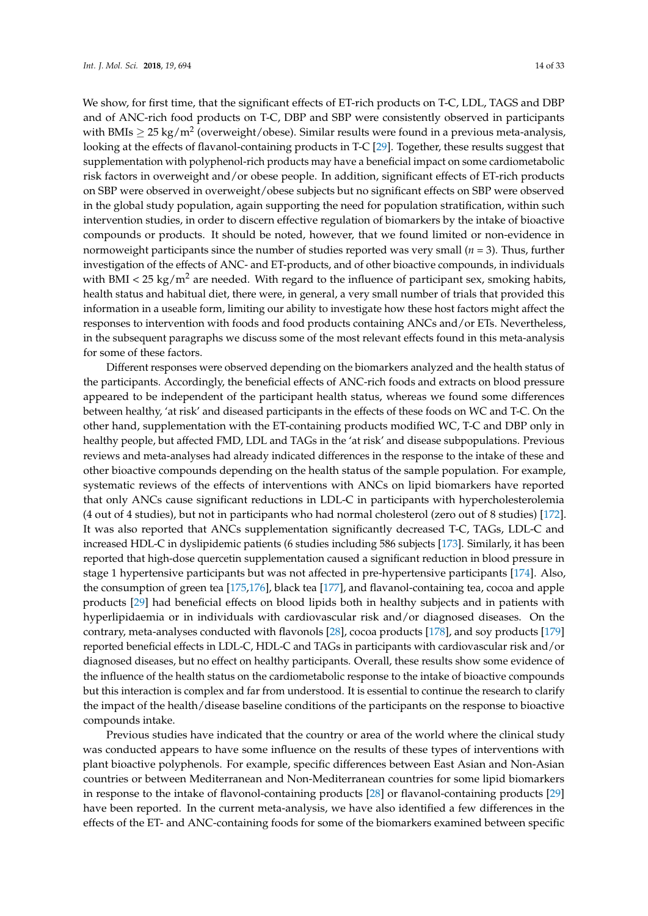We show, for first time, that the significant effects of ET-rich products on T-C, LDL, TAGS and DBP and of ANC-rich food products on T-C, DBP and SBP were consistently observed in participants with BMIs  $\geq$  25 kg/m $^2$  (overweight/obese). Similar results were found in a previous meta-analysis, looking at the effects of flavanol-containing products in T-C [\[29\]](#page-22-3). Together, these results suggest that supplementation with polyphenol-rich products may have a beneficial impact on some cardiometabolic risk factors in overweight and/or obese people. In addition, significant effects of ET-rich products on SBP were observed in overweight/obese subjects but no significant effects on SBP were observed in the global study population, again supporting the need for population stratification, within such intervention studies, in order to discern effective regulation of biomarkers by the intake of bioactive compounds or products. It should be noted, however, that we found limited or non-evidence in normoweight participants since the number of studies reported was very small (*n* = 3). Thus, further investigation of the effects of ANC- and ET-products, and of other bioactive compounds, in individuals with BMI <  $25 \text{ kg/m}^2$  are needed. With regard to the influence of participant sex, smoking habits, health status and habitual diet, there were, in general, a very small number of trials that provided this information in a useable form, limiting our ability to investigate how these host factors might affect the responses to intervention with foods and food products containing ANCs and/or ETs. Nevertheless, in the subsequent paragraphs we discuss some of the most relevant effects found in this meta-analysis for some of these factors.

Different responses were observed depending on the biomarkers analyzed and the health status of the participants. Accordingly, the beneficial effects of ANC-rich foods and extracts on blood pressure appeared to be independent of the participant health status, whereas we found some differences between healthy, 'at risk' and diseased participants in the effects of these foods on WC and T-C. On the other hand, supplementation with the ET-containing products modified WC, T-C and DBP only in healthy people, but affected FMD, LDL and TAGs in the 'at risk' and disease subpopulations. Previous reviews and meta-analyses had already indicated differences in the response to the intake of these and other bioactive compounds depending on the health status of the sample population. For example, systematic reviews of the effects of interventions with ANCs on lipid biomarkers have reported that only ANCs cause significant reductions in LDL-C in participants with hypercholesterolemia (4 out of 4 studies), but not in participants who had normal cholesterol (zero out of 8 studies) [\[172\]](#page-30-12). It was also reported that ANCs supplementation significantly decreased T-C, TAGs, LDL-C and increased HDL-C in dyslipidemic patients (6 studies including 586 subjects [\[173\]](#page-30-13). Similarly, it has been reported that high-dose quercetin supplementation caused a significant reduction in blood pressure in stage 1 hypertensive participants but was not affected in pre-hypertensive participants [\[174\]](#page-30-14). Also, the consumption of green tea [\[175](#page-30-15)[,176\]](#page-30-16), black tea [\[177\]](#page-30-17), and flavanol-containing tea, cocoa and apple products [\[29\]](#page-22-3) had beneficial effects on blood lipids both in healthy subjects and in patients with hyperlipidaemia or in individuals with cardiovascular risk and/or diagnosed diseases. On the contrary, meta-analyses conducted with flavonols [\[28\]](#page-22-2), cocoa products [\[178\]](#page-31-0), and soy products [\[179\]](#page-31-1) reported beneficial effects in LDL-C, HDL-C and TAGs in participants with cardiovascular risk and/or diagnosed diseases, but no effect on healthy participants. Overall, these results show some evidence of the influence of the health status on the cardiometabolic response to the intake of bioactive compounds but this interaction is complex and far from understood. It is essential to continue the research to clarify the impact of the health/disease baseline conditions of the participants on the response to bioactive compounds intake.

Previous studies have indicated that the country or area of the world where the clinical study was conducted appears to have some influence on the results of these types of interventions with plant bioactive polyphenols. For example, specific differences between East Asian and Non-Asian countries or between Mediterranean and Non-Mediterranean countries for some lipid biomarkers in response to the intake of flavonol-containing products [\[28\]](#page-22-2) or flavanol-containing products [\[29\]](#page-22-3) have been reported. In the current meta-analysis, we have also identified a few differences in the effects of the ET- and ANC-containing foods for some of the biomarkers examined between specific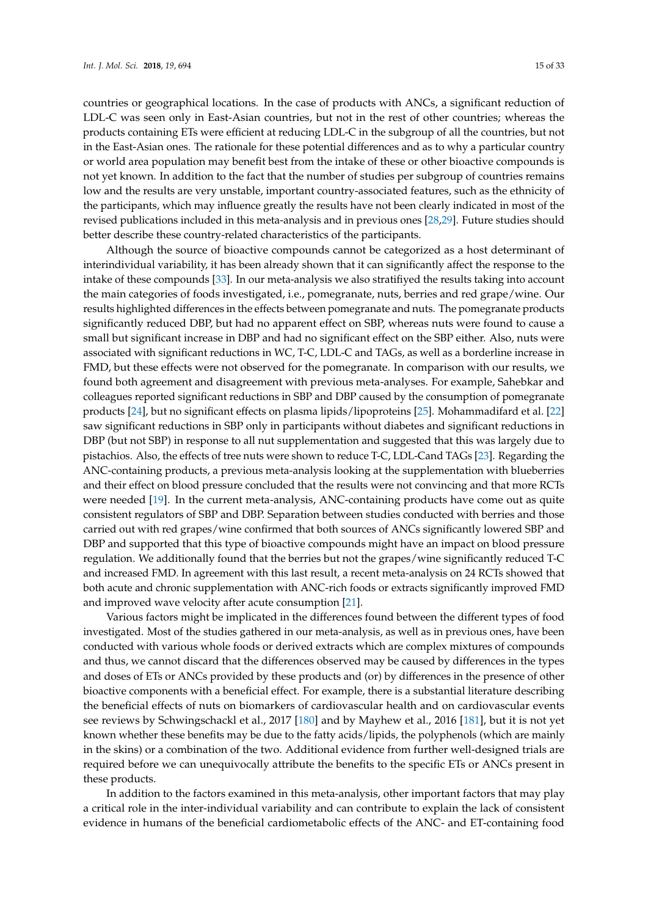countries or geographical locations. In the case of products with ANCs, a significant reduction of LDL-C was seen only in East-Asian countries, but not in the rest of other countries; whereas the products containing ETs were efficient at reducing LDL-C in the subgroup of all the countries, but not in the East-Asian ones. The rationale for these potential differences and as to why a particular country or world area population may benefit best from the intake of these or other bioactive compounds is not yet known. In addition to the fact that the number of studies per subgroup of countries remains low and the results are very unstable, important country-associated features, such as the ethnicity of the participants, which may influence greatly the results have not been clearly indicated in most of the revised publications included in this meta-analysis and in previous ones [\[28](#page-22-2)[,29\]](#page-22-3). Future studies should better describe these country-related characteristics of the participants.

Although the source of bioactive compounds cannot be categorized as a host determinant of interindividual variability, it has been already shown that it can significantly affect the response to the intake of these compounds [\[33\]](#page-22-7). In our meta-analysis we also stratifiyed the results taking into account the main categories of foods investigated, i.e., pomegranate, nuts, berries and red grape/wine. Our results highlighted differences in the effects between pomegranate and nuts. The pomegranate products significantly reduced DBP, but had no apparent effect on SBP, whereas nuts were found to cause a small but significant increase in DBP and had no significant effect on the SBP either. Also, nuts were associated with significant reductions in WC, T-C, LDL-C and TAGs, as well as a borderline increase in FMD, but these effects were not observed for the pomegranate. In comparison with our results, we found both agreement and disagreement with previous meta-analyses. For example, Sahebkar and colleagues reported significant reductions in SBP and DBP caused by the consumption of pomegranate products [\[24\]](#page-21-12), but no significant effects on plasma lipids/lipoproteins [\[25\]](#page-21-13). Mohammadifard et al. [\[22\]](#page-21-10) saw significant reductions in SBP only in participants without diabetes and significant reductions in DBP (but not SBP) in response to all nut supplementation and suggested that this was largely due to pistachios. Also, the effects of tree nuts were shown to reduce T-C, LDL-Cand TAGs [\[23\]](#page-21-11). Regarding the ANC-containing products, a previous meta-analysis looking at the supplementation with blueberries and their effect on blood pressure concluded that the results were not convincing and that more RCTs were needed [\[19\]](#page-21-14). In the current meta-analysis, ANC-containing products have come out as quite consistent regulators of SBP and DBP. Separation between studies conducted with berries and those carried out with red grapes/wine confirmed that both sources of ANCs significantly lowered SBP and DBP and supported that this type of bioactive compounds might have an impact on blood pressure regulation. We additionally found that the berries but not the grapes/wine significantly reduced T-C and increased FMD. In agreement with this last result, a recent meta-analysis on 24 RCTs showed that both acute and chronic supplementation with ANC-rich foods or extracts significantly improved FMD and improved wave velocity after acute consumption [\[21\]](#page-21-9).

Various factors might be implicated in the differences found between the different types of food investigated. Most of the studies gathered in our meta-analysis, as well as in previous ones, have been conducted with various whole foods or derived extracts which are complex mixtures of compounds and thus, we cannot discard that the differences observed may be caused by differences in the types and doses of ETs or ANCs provided by these products and (or) by differences in the presence of other bioactive components with a beneficial effect. For example, there is a substantial literature describing the beneficial effects of nuts on biomarkers of cardiovascular health and on cardiovascular events see reviews by Schwingschackl et al., 2017 [\[180\]](#page-31-2) and by Mayhew et al., 2016 [\[181\]](#page-31-3), but it is not yet known whether these benefits may be due to the fatty acids/lipids, the polyphenols (which are mainly in the skins) or a combination of the two. Additional evidence from further well-designed trials are required before we can unequivocally attribute the benefits to the specific ETs or ANCs present in these products.

In addition to the factors examined in this meta-analysis, other important factors that may play a critical role in the inter-individual variability and can contribute to explain the lack of consistent evidence in humans of the beneficial cardiometabolic effects of the ANC- and ET-containing food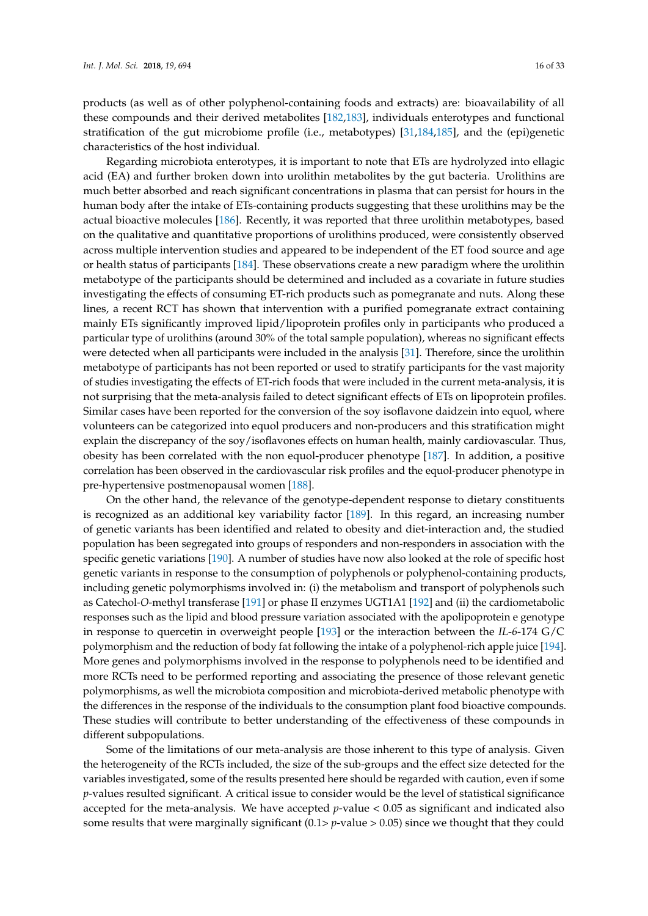products (as well as of other polyphenol-containing foods and extracts) are: bioavailability of all these compounds and their derived metabolites [\[182](#page-31-4)[,183\]](#page-31-5), individuals enterotypes and functional stratification of the gut microbiome profile (i.e., metabotypes) [\[31,](#page-22-5)[184](#page-31-6)[,185\]](#page-31-7), and the (epi)genetic characteristics of the host individual.

Regarding microbiota enterotypes, it is important to note that ETs are hydrolyzed into ellagic acid (EA) and further broken down into urolithin metabolites by the gut bacteria. Urolithins are much better absorbed and reach significant concentrations in plasma that can persist for hours in the human body after the intake of ETs-containing products suggesting that these urolithins may be the actual bioactive molecules [\[186\]](#page-31-8). Recently, it was reported that three urolithin metabotypes, based on the qualitative and quantitative proportions of urolithins produced, were consistently observed across multiple intervention studies and appeared to be independent of the ET food source and age or health status of participants [\[184\]](#page-31-6). These observations create a new paradigm where the urolithin metabotype of the participants should be determined and included as a covariate in future studies investigating the effects of consuming ET-rich products such as pomegranate and nuts. Along these lines, a recent RCT has shown that intervention with a purified pomegranate extract containing mainly ETs significantly improved lipid/lipoprotein profiles only in participants who produced a particular type of urolithins (around 30% of the total sample population), whereas no significant effects were detected when all participants were included in the analysis [\[31\]](#page-22-5). Therefore, since the urolithin metabotype of participants has not been reported or used to stratify participants for the vast majority of studies investigating the effects of ET-rich foods that were included in the current meta-analysis, it is not surprising that the meta-analysis failed to detect significant effects of ETs on lipoprotein profiles. Similar cases have been reported for the conversion of the soy isoflavone daidzein into equol, where volunteers can be categorized into equol producers and non-producers and this stratification might explain the discrepancy of the soy/isoflavones effects on human health, mainly cardiovascular. Thus, obesity has been correlated with the non equol-producer phenotype [\[187\]](#page-31-9). In addition, a positive correlation has been observed in the cardiovascular risk profiles and the equol-producer phenotype in pre-hypertensive postmenopausal women [\[188\]](#page-31-10).

On the other hand, the relevance of the genotype-dependent response to dietary constituents is recognized as an additional key variability factor [\[189\]](#page-31-11). In this regard, an increasing number of genetic variants has been identified and related to obesity and diet-interaction and, the studied population has been segregated into groups of responders and non-responders in association with the specific genetic variations [\[190\]](#page-31-12). A number of studies have now also looked at the role of specific host genetic variants in response to the consumption of polyphenols or polyphenol-containing products, including genetic polymorphisms involved in: (i) the metabolism and transport of polyphenols such as Catechol-*O*-methyl transferase [\[191\]](#page-31-13) or phase II enzymes UGT1A1 [\[192\]](#page-31-14) and (ii) the cardiometabolic responses such as the lipid and blood pressure variation associated with the apolipoprotein e genotype in response to quercetin in overweight people [\[193\]](#page-31-15) or the interaction between the *IL-6*-174 G/C polymorphism and the reduction of body fat following the intake of a polyphenol-rich apple juice [\[194\]](#page-31-16). More genes and polymorphisms involved in the response to polyphenols need to be identified and more RCTs need to be performed reporting and associating the presence of those relevant genetic polymorphisms, as well the microbiota composition and microbiota-derived metabolic phenotype with the differences in the response of the individuals to the consumption plant food bioactive compounds. These studies will contribute to better understanding of the effectiveness of these compounds in different subpopulations.

Some of the limitations of our meta-analysis are those inherent to this type of analysis. Given the heterogeneity of the RCTs included, the size of the sub-groups and the effect size detected for the variables investigated, some of the results presented here should be regarded with caution, even if some *p*-values resulted significant. A critical issue to consider would be the level of statistical significance accepted for the meta-analysis. We have accepted *p*-value < 0.05 as significant and indicated also some results that were marginally significant (0.1> *p*-value > 0.05) since we thought that they could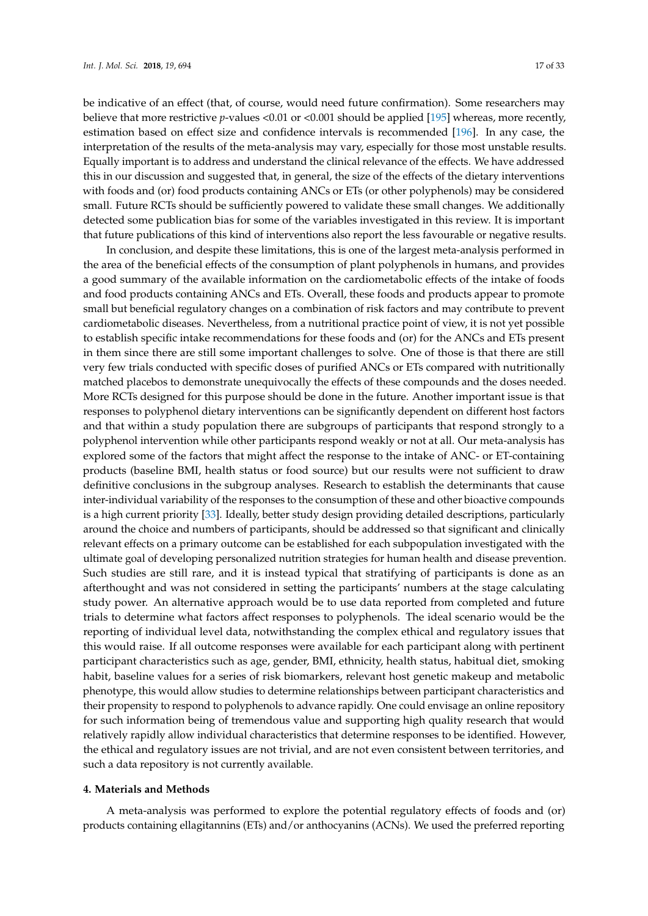be indicative of an effect (that, of course, would need future confirmation). Some researchers may believe that more restrictive *p*-values <0.01 or <0.001 should be applied [\[195\]](#page-31-17) whereas, more recently, estimation based on effect size and confidence intervals is recommended [\[196\]](#page-31-18). In any case, the interpretation of the results of the meta-analysis may vary, especially for those most unstable results. Equally important is to address and understand the clinical relevance of the effects. We have addressed this in our discussion and suggested that, in general, the size of the effects of the dietary interventions with foods and (or) food products containing ANCs or ETs (or other polyphenols) may be considered small. Future RCTs should be sufficiently powered to validate these small changes. We additionally detected some publication bias for some of the variables investigated in this review. It is important that future publications of this kind of interventions also report the less favourable or negative results.

In conclusion, and despite these limitations, this is one of the largest meta-analysis performed in the area of the beneficial effects of the consumption of plant polyphenols in humans, and provides a good summary of the available information on the cardiometabolic effects of the intake of foods and food products containing ANCs and ETs. Overall, these foods and products appear to promote small but beneficial regulatory changes on a combination of risk factors and may contribute to prevent cardiometabolic diseases. Nevertheless, from a nutritional practice point of view, it is not yet possible to establish specific intake recommendations for these foods and (or) for the ANCs and ETs present in them since there are still some important challenges to solve. One of those is that there are still very few trials conducted with specific doses of purified ANCs or ETs compared with nutritionally matched placebos to demonstrate unequivocally the effects of these compounds and the doses needed. More RCTs designed for this purpose should be done in the future. Another important issue is that responses to polyphenol dietary interventions can be significantly dependent on different host factors and that within a study population there are subgroups of participants that respond strongly to a polyphenol intervention while other participants respond weakly or not at all. Our meta-analysis has explored some of the factors that might affect the response to the intake of ANC- or ET-containing products (baseline BMI, health status or food source) but our results were not sufficient to draw definitive conclusions in the subgroup analyses. Research to establish the determinants that cause inter-individual variability of the responses to the consumption of these and other bioactive compounds is a high current priority [\[33\]](#page-22-7). Ideally, better study design providing detailed descriptions, particularly around the choice and numbers of participants, should be addressed so that significant and clinically relevant effects on a primary outcome can be established for each subpopulation investigated with the ultimate goal of developing personalized nutrition strategies for human health and disease prevention. Such studies are still rare, and it is instead typical that stratifying of participants is done as an afterthought and was not considered in setting the participants' numbers at the stage calculating study power. An alternative approach would be to use data reported from completed and future trials to determine what factors affect responses to polyphenols. The ideal scenario would be the reporting of individual level data, notwithstanding the complex ethical and regulatory issues that this would raise. If all outcome responses were available for each participant along with pertinent participant characteristics such as age, gender, BMI, ethnicity, health status, habitual diet, smoking habit, baseline values for a series of risk biomarkers, relevant host genetic makeup and metabolic phenotype, this would allow studies to determine relationships between participant characteristics and their propensity to respond to polyphenols to advance rapidly. One could envisage an online repository for such information being of tremendous value and supporting high quality research that would relatively rapidly allow individual characteristics that determine responses to be identified. However, the ethical and regulatory issues are not trivial, and are not even consistent between territories, and such a data repository is not currently available.

#### **4. Materials and Methods**

A meta-analysis was performed to explore the potential regulatory effects of foods and (or) products containing ellagitannins (ETs) and/or anthocyanins (ACNs). We used the preferred reporting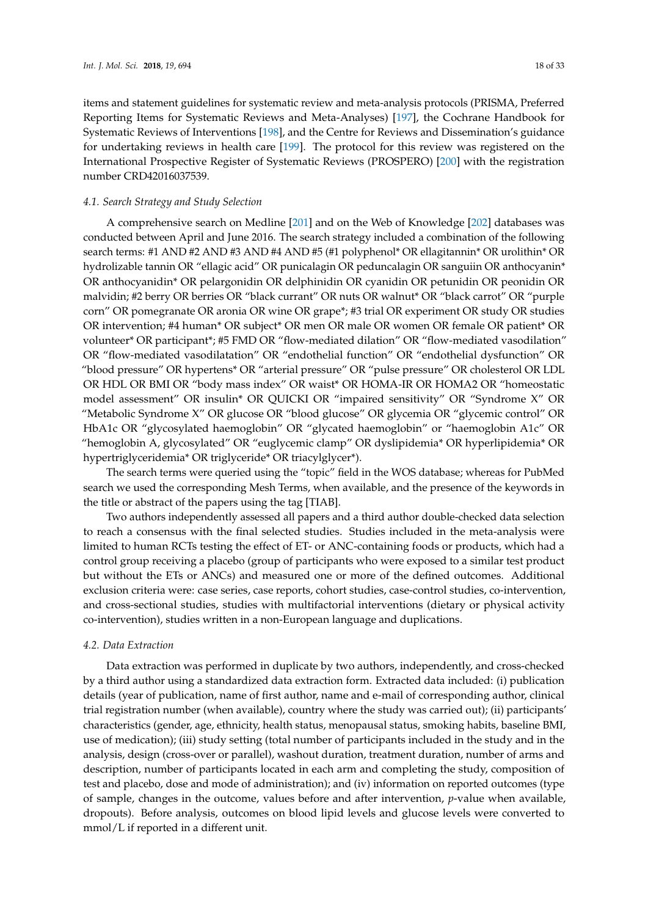items and statement guidelines for systematic review and meta-analysis protocols (PRISMA, Preferred Reporting Items for Systematic Reviews and Meta-Analyses) [\[197\]](#page-32-0), the Cochrane Handbook for Systematic Reviews of Interventions [\[198\]](#page-32-1), and the Centre for Reviews and Dissemination's guidance for undertaking reviews in health care [\[199\]](#page-32-2). The protocol for this review was registered on the International Prospective Register of Systematic Reviews (PROSPERO) [\[200\]](#page-32-3) with the registration number CRD42016037539.

### *4.1. Search Strategy and Study Selection*

A comprehensive search on Medline [\[201\]](#page-32-4) and on the Web of Knowledge [\[202\]](#page-32-5) databases was conducted between April and June 2016. The search strategy included a combination of the following search terms: #1 AND #2 AND #3 AND #4 AND #5 (#1 polyphenol\* OR ellagitannin\* OR urolithin\* OR hydrolizable tannin OR "ellagic acid" OR punicalagin OR peduncalagin OR sanguiin OR anthocyanin\* OR anthocyanidin\* OR pelargonidin OR delphinidin OR cyanidin OR petunidin OR peonidin OR malvidin; #2 berry OR berries OR "black currant" OR nuts OR walnut\* OR "black carrot" OR "purple corn" OR pomegranate OR aronia OR wine OR grape\*; #3 trial OR experiment OR study OR studies OR intervention; #4 human\* OR subject\* OR men OR male OR women OR female OR patient\* OR volunteer\* OR participant\*; #5 FMD OR "flow-mediated dilation" OR "flow-mediated vasodilation" OR "flow-mediated vasodilatation" OR "endothelial function" OR "endothelial dysfunction" OR "blood pressure" OR hypertens\* OR "arterial pressure" OR "pulse pressure" OR cholesterol OR LDL OR HDL OR BMI OR "body mass index" OR waist\* OR HOMA-IR OR HOMA2 OR "homeostatic model assessment" OR insulin\* OR QUICKI OR "impaired sensitivity" OR "Syndrome X" OR "Metabolic Syndrome X" OR glucose OR "blood glucose" OR glycemia OR "glycemic control" OR HbA1c OR "glycosylated haemoglobin" OR "glycated haemoglobin" or "haemoglobin A1c" OR "hemoglobin A, glycosylated" OR "euglycemic clamp" OR dyslipidemia\* OR hyperlipidemia\* OR hypertriglyceridemia\* OR triglyceride\* OR triacylglycer\*).

The search terms were queried using the "topic" field in the WOS database; whereas for PubMed search we used the corresponding Mesh Terms, when available, and the presence of the keywords in the title or abstract of the papers using the tag [TIAB].

Two authors independently assessed all papers and a third author double-checked data selection to reach a consensus with the final selected studies. Studies included in the meta-analysis were limited to human RCTs testing the effect of ET- or ANC-containing foods or products, which had a control group receiving a placebo (group of participants who were exposed to a similar test product but without the ETs or ANCs) and measured one or more of the defined outcomes. Additional exclusion criteria were: case series, case reports, cohort studies, case-control studies, co-intervention, and cross-sectional studies, studies with multifactorial interventions (dietary or physical activity co-intervention), studies written in a non-European language and duplications.

#### *4.2. Data Extraction*

Data extraction was performed in duplicate by two authors, independently, and cross-checked by a third author using a standardized data extraction form. Extracted data included: (i) publication details (year of publication, name of first author, name and e-mail of corresponding author, clinical trial registration number (when available), country where the study was carried out); (ii) participants' characteristics (gender, age, ethnicity, health status, menopausal status, smoking habits, baseline BMI, use of medication); (iii) study setting (total number of participants included in the study and in the analysis, design (cross-over or parallel), washout duration, treatment duration, number of arms and description, number of participants located in each arm and completing the study, composition of test and placebo, dose and mode of administration); and (iv) information on reported outcomes (type of sample, changes in the outcome, values before and after intervention, *p*-value when available, dropouts). Before analysis, outcomes on blood lipid levels and glucose levels were converted to mmol/L if reported in a different unit.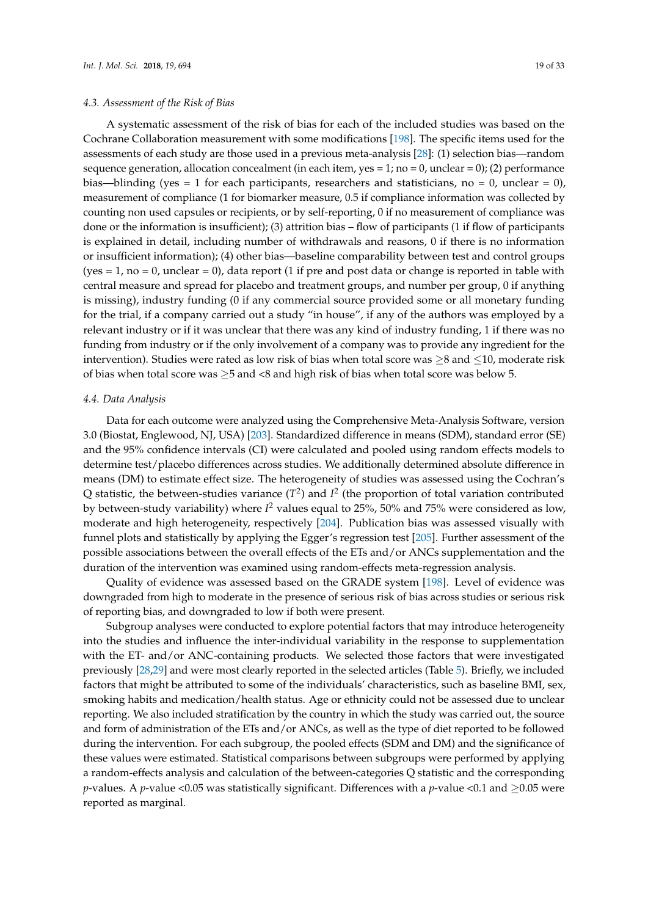# *4.3. Assessment of the Risk of Bias*

A systematic assessment of the risk of bias for each of the included studies was based on the Cochrane Collaboration measurement with some modifications [\[198\]](#page-32-1). The specific items used for the assessments of each study are those used in a previous meta-analysis [\[28\]](#page-22-2): (1) selection bias—random sequence generation, allocation concealment (in each item, yes = 1; no = 0, unclear = 0); (2) performance bias—blinding (yes = 1 for each participants, researchers and statisticians, no = 0, unclear = 0), measurement of compliance (1 for biomarker measure, 0.5 if compliance information was collected by counting non used capsules or recipients, or by self-reporting, 0 if no measurement of compliance was done or the information is insufficient); (3) attrition bias – flow of participants (1 if flow of participants is explained in detail, including number of withdrawals and reasons, 0 if there is no information or insufficient information); (4) other bias—baseline comparability between test and control groups  $(yes = 1, no = 0, unclear = 0), data report (1 if pre and post data or change is reported in table with$ central measure and spread for placebo and treatment groups, and number per group, 0 if anything is missing), industry funding (0 if any commercial source provided some or all monetary funding for the trial, if a company carried out a study "in house", if any of the authors was employed by a relevant industry or if it was unclear that there was any kind of industry funding, 1 if there was no funding from industry or if the only involvement of a company was to provide any ingredient for the intervention). Studies were rated as low risk of bias when total score was ≥8 and ≤10, moderate risk of bias when total score was  $\geq$ 5 and <8 and high risk of bias when total score was below 5.

#### *4.4. Data Analysis*

Data for each outcome were analyzed using the Comprehensive Meta-Analysis Software, version 3.0 (Biostat, Englewood, NJ, USA) [\[203\]](#page-32-6). Standardized difference in means (SDM), standard error (SE) and the 95% confidence intervals (CI) were calculated and pooled using random effects models to determine test/placebo differences across studies. We additionally determined absolute difference in means (DM) to estimate effect size. The heterogeneity of studies was assessed using the Cochran's Q statistic, the between-studies variance  $(T^2)$  and  $I^2$  (the proportion of total variation contributed by between-study variability) where *I* <sup>2</sup> values equal to 25%, 50% and 75% were considered as low, moderate and high heterogeneity, respectively [\[204\]](#page-32-7). Publication bias was assessed visually with funnel plots and statistically by applying the Egger's regression test [\[205\]](#page-32-8). Further assessment of the possible associations between the overall effects of the ETs and/or ANCs supplementation and the duration of the intervention was examined using random-effects meta-regression analysis.

Quality of evidence was assessed based on the GRADE system [\[198\]](#page-32-1). Level of evidence was downgraded from high to moderate in the presence of serious risk of bias across studies or serious risk of reporting bias, and downgraded to low if both were present.

Subgroup analyses were conducted to explore potential factors that may introduce heterogeneity into the studies and influence the inter-individual variability in the response to supplementation with the ET- and/or ANC-containing products. We selected those factors that were investigated previously [\[28,](#page-22-2)[29\]](#page-22-3) and were most clearly reported in the selected articles (Table [5\)](#page-19-0). Briefly, we included factors that might be attributed to some of the individuals' characteristics, such as baseline BMI, sex, smoking habits and medication/health status. Age or ethnicity could not be assessed due to unclear reporting. We also included stratification by the country in which the study was carried out, the source and form of administration of the ETs and/or ANCs, as well as the type of diet reported to be followed during the intervention. For each subgroup, the pooled effects (SDM and DM) and the significance of these values were estimated. Statistical comparisons between subgroups were performed by applying a random-effects analysis and calculation of the between-categories Q statistic and the corresponding *p*-values. A *p*-value <0.05 was statistically significant. Differences with a *p*-value <0.1 and  $\geq$ 0.05 were reported as marginal.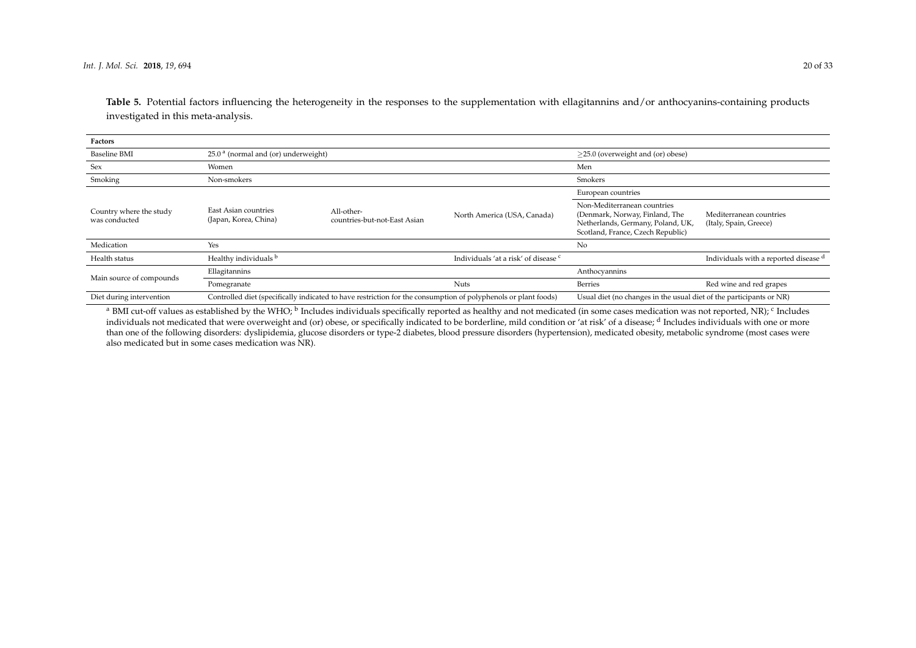**Table 5.** Potential factors influencing the heterogeneity in the responses to the supplementation with ellagitannins and/or anthocyanins-containing products investigated in this meta-analysis.

| Factors                                  |                                                 |                                                                                                                |                                                 |                                                                                                                                         |                                                   |  |  |
|------------------------------------------|-------------------------------------------------|----------------------------------------------------------------------------------------------------------------|-------------------------------------------------|-----------------------------------------------------------------------------------------------------------------------------------------|---------------------------------------------------|--|--|
| <b>Baseline BMI</b>                      | 25.0 <sup>a</sup> (normal and (or) underweight) |                                                                                                                | $\geq$ 25.0 (overweight and (or) obese)         |                                                                                                                                         |                                                   |  |  |
| Sex                                      | Women                                           |                                                                                                                | Men                                             |                                                                                                                                         |                                                   |  |  |
| Smoking                                  | Non-smokers                                     |                                                                                                                | Smokers                                         |                                                                                                                                         |                                                   |  |  |
|                                          |                                                 |                                                                                                                |                                                 | European countries                                                                                                                      |                                                   |  |  |
| Country where the study<br>was conducted | East Asian countries<br>(Japan, Korea, China)   | All-other-<br>countries-but-not-East Asian                                                                     | North America (USA, Canada)                     | Non-Mediterranean countries<br>(Denmark, Norway, Finland, The<br>Netherlands, Germany, Poland, UK,<br>Scotland, France, Czech Republic) | Mediterranean countries<br>(Italy, Spain, Greece) |  |  |
| Medication                               | Yes                                             |                                                                                                                |                                                 | No                                                                                                                                      |                                                   |  |  |
| Health status                            | Healthy individuals b                           |                                                                                                                | Individuals 'at a risk' of disease <sup>c</sup> |                                                                                                                                         | Individuals with a reported disease d             |  |  |
| Main source of compounds                 | Ellagitannins                                   |                                                                                                                |                                                 | Anthocyannins                                                                                                                           |                                                   |  |  |
|                                          | Pomegranate                                     |                                                                                                                | <b>Nuts</b>                                     | Berries                                                                                                                                 | Red wine and red grapes                           |  |  |
| Diet during intervention                 |                                                 | Controlled diet (specifically indicated to have restriction for the consumption of polyphenols or plant foods) |                                                 | Usual diet (no changes in the usual diet of the participants or NR)                                                                     |                                                   |  |  |

<span id="page-19-0"></span><sup>a</sup> BMI cut-off values as established by the WHO; <sup>b</sup> Includes individuals specifically reported as healthy and not medicated (in some cases medication was not reported, NR); <sup>c</sup> Includes individuals not medicated that were overweight and (or) obese, or specifically indicated to be borderline, mild condition or 'at risk' of a disease; <sup>d</sup> Includes individuals with one or more than one of the following disorders: dyslipidemia, glucose disorders or type-2 diabetes, blood pressure disorders (hypertension), medicated obesity, metabolic syndrome (most cases were also medicated but in some cases medication was NR).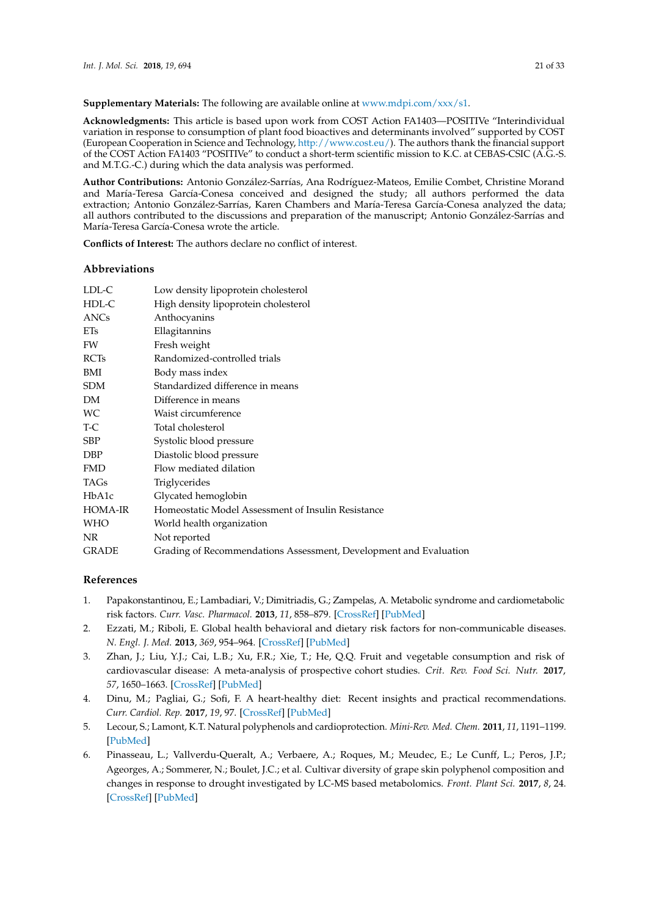**Supplementary Materials:** The following are available online at [www.mdpi.com/xxx/s1.](www.mdpi.com/xxx/s1)

**Acknowledgments:** This article is based upon work from COST Action FA1403—POSITIVe "Interindividual variation in response to consumption of plant food bioactives and determinants involved" supported by COST (European Cooperation in Science and Technology, [http://www.cost.eu/\)](http://www.cost.eu/). The authors thank the financial support of the COST Action FA1403 "POSITIVe" to conduct a short-term scientific mission to K.C. at CEBAS-CSIC (A.G.-S. and M.T.G.-C.) during which the data analysis was performed.

**Author Contributions:** Antonio González-Sarrías, Ana Rodríguez-Mateos, Emilie Combet, Christine Morand and María-Teresa García-Conesa conceived and designed the study; all authors performed the data extraction; Antonio González-Sarrías, Karen Chambers and María-Teresa García-Conesa analyzed the data; all authors contributed to the discussions and preparation of the manuscript; Antonio González-Sarrías and María-Teresa García-Conesa wrote the article.

**Conflicts of Interest:** The authors declare no conflict of interest.

#### **Abbreviations**

| LDL-C          | Low density lipoprotein cholesterol                               |
|----------------|-------------------------------------------------------------------|
| HDL-C          | High density lipoprotein cholesterol                              |
| ANCs           | Anthocyanins                                                      |
| <b>ETs</b>     | Ellagitannins                                                     |
| FW             | Fresh weight                                                      |
| <b>RCTs</b>    | Randomized-controlled trials                                      |
| BMI            | Body mass index                                                   |
| <b>SDM</b>     | Standardized difference in means                                  |
| DM             | Difference in means                                               |
| WС             | Waist circumference                                               |
| T-C            | Total cholesterol                                                 |
| <b>SBP</b>     | Systolic blood pressure                                           |
| <b>DBP</b>     | Diastolic blood pressure                                          |
| <b>FMD</b>     | Flow mediated dilation                                            |
| TAGs           | <b>Triglycerides</b>                                              |
| HbA1c          | Glycated hemoglobin                                               |
| <b>HOMA-IR</b> | Homeostatic Model Assessment of Insulin Resistance                |
| <b>WHO</b>     | World health organization                                         |
| NR.            | Not reported                                                      |
| <b>GRADE</b>   | Grading of Recommendations Assessment, Development and Evaluation |
|                |                                                                   |

# **References**

- <span id="page-20-0"></span>1. Papakonstantinou, E.; Lambadiari, V.; Dimitriadis, G.; Zampelas, A. Metabolic syndrome and cardiometabolic risk factors. *Curr. Vasc. Pharmacol.* **2013**, *11*, 858–879. [\[CrossRef\]](http://dx.doi.org/10.2174/15701611113116660176) [\[PubMed\]](http://www.ncbi.nlm.nih.gov/pubmed/24484465)
- <span id="page-20-1"></span>2. Ezzati, M.; Riboli, E. Global health behavioral and dietary risk factors for non-communicable diseases. *N. Engl. J. Med.* **2013**, *369*, 954–964. [\[CrossRef\]](http://dx.doi.org/10.1056/NEJMra1203528) [\[PubMed\]](http://www.ncbi.nlm.nih.gov/pubmed/24004122)
- <span id="page-20-2"></span>3. Zhan, J.; Liu, Y.J.; Cai, L.B.; Xu, F.R.; Xie, T.; He, Q.Q. Fruit and vegetable consumption and risk of cardiovascular disease: A meta-analysis of prospective cohort studies. *Crit. Rev. Food Sci. Nutr.* **2017**, *57*, 1650–1663. [\[CrossRef\]](http://dx.doi.org/10.1080/10408398.2015.1008980) [\[PubMed\]](http://www.ncbi.nlm.nih.gov/pubmed/26114864)
- <span id="page-20-3"></span>4. Dinu, M.; Pagliai, G.; Sofi, F. A heart-healthy diet: Recent insights and practical recommendations. *Curr. Cardiol. Rep.* **2017**, *19*, 97. [\[CrossRef\]](http://dx.doi.org/10.1007/s11886-017-0908-0) [\[PubMed\]](http://www.ncbi.nlm.nih.gov/pubmed/28840462)
- <span id="page-20-4"></span>5. Lecour, S.; Lamont, K.T. Natural polyphenols and cardioprotection. *Mini-Rev. Med. Chem.* **2011**, *11*, 1191–1199. [\[PubMed\]](http://www.ncbi.nlm.nih.gov/pubmed/22070680)
- <span id="page-20-5"></span>6. Pinasseau, L.; Vallverdu-Queralt, A.; Verbaere, A.; Roques, M.; Meudec, E.; Le Cunff, L.; Peros, J.P.; Ageorges, A.; Sommerer, N.; Boulet, J.C.; et al. Cultivar diversity of grape skin polyphenol composition and changes in response to drought investigated by LC-MS based metabolomics. *Front. Plant Sci.* **2017**, *8*, 24. [\[CrossRef\]](http://dx.doi.org/10.3389/fpls.2017.01826) [\[PubMed\]](http://www.ncbi.nlm.nih.gov/pubmed/29163566)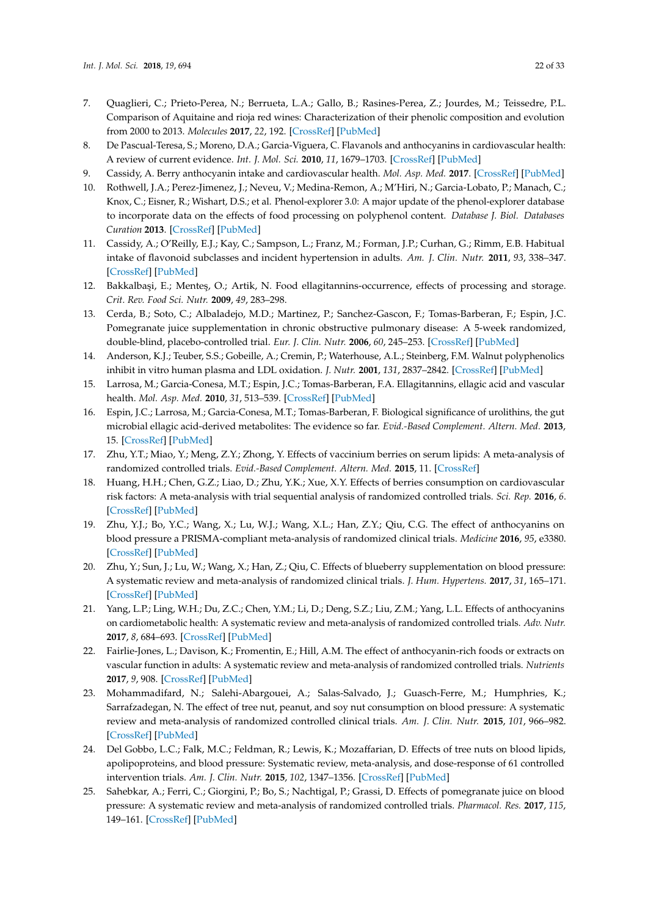- <span id="page-21-0"></span>7. Quaglieri, C.; Prieto-Perea, N.; Berrueta, L.A.; Gallo, B.; Rasines-Perea, Z.; Jourdes, M.; Teissedre, P.L. Comparison of Aquitaine and rioja red wines: Characterization of their phenolic composition and evolution from 2000 to 2013. *Molecules* **2017**, *22*, 192. [\[CrossRef\]](http://dx.doi.org/10.3390/molecules22020192) [\[PubMed\]](http://www.ncbi.nlm.nih.gov/pubmed/28125043)
- <span id="page-21-1"></span>8. De Pascual-Teresa, S.; Moreno, D.A.; Garcia-Viguera, C. Flavanols and anthocyanins in cardiovascular health: A review of current evidence. *Int. J. Mol. Sci.* **2010**, *11*, 1679–1703. [\[CrossRef\]](http://dx.doi.org/10.3390/ijms11041679) [\[PubMed\]](http://www.ncbi.nlm.nih.gov/pubmed/20480037)
- <span id="page-21-2"></span>9. Cassidy, A. Berry anthocyanin intake and cardiovascular health. *Mol. Asp. Med.* **2017**. [\[CrossRef\]](http://dx.doi.org/10.1016/j.mam.2017.05.002) [\[PubMed\]](http://www.ncbi.nlm.nih.gov/pubmed/28483533)
- <span id="page-21-3"></span>10. Rothwell, J.A.; Perez-Jimenez, J.; Neveu, V.; Medina-Remon, A.; M'Hiri, N.; Garcia-Lobato, P.; Manach, C.; Knox, C.; Eisner, R.; Wishart, D.S.; et al. Phenol-explorer 3.0: A major update of the phenol-explorer database to incorporate data on the effects of food processing on polyphenol content. *Database J. Biol. Databases Curation* **2013**. [\[CrossRef\]](http://dx.doi.org/10.1093/database/bat070) [\[PubMed\]](http://www.ncbi.nlm.nih.gov/pubmed/24103452)
- <span id="page-21-4"></span>11. Cassidy, A.; O'Reilly, E.J.; Kay, C.; Sampson, L.; Franz, M.; Forman, J.P.; Curhan, G.; Rimm, E.B. Habitual intake of flavonoid subclasses and incident hypertension in adults. *Am. J. Clin. Nutr.* **2011**, *93*, 338–347. [\[CrossRef\]](http://dx.doi.org/10.3945/ajcn.110.006783) [\[PubMed\]](http://www.ncbi.nlm.nih.gov/pubmed/21106916)
- <span id="page-21-5"></span>12. Bakkalbaşi, E.; Menteş, O.; Artik, N. Food ellagitannins-occurrence, effects of processing and storage. *Crit. Rev. Food Sci. Nutr.* **2009**, *49*, 283–298.
- 13. Cerda, B.; Soto, C.; Albaladejo, M.D.; Martinez, P.; Sanchez-Gascon, F.; Tomas-Barberan, F.; Espin, J.C. Pomegranate juice supplementation in chronic obstructive pulmonary disease: A 5-week randomized, double-blind, placebo-controlled trial. *Eur. J. Clin. Nutr.* **2006**, *60*, 245–253. [\[CrossRef\]](http://dx.doi.org/10.1038/sj.ejcn.1602309) [\[PubMed\]](http://www.ncbi.nlm.nih.gov/pubmed/16278692)
- <span id="page-21-6"></span>14. Anderson, K.J.; Teuber, S.S.; Gobeille, A.; Cremin, P.; Waterhouse, A.L.; Steinberg, F.M. Walnut polyphenolics inhibit in vitro human plasma and LDL oxidation. *J. Nutr.* **2001**, *131*, 2837–2842. [\[CrossRef\]](http://dx.doi.org/10.1093/jn/131.11.2837) [\[PubMed\]](http://www.ncbi.nlm.nih.gov/pubmed/11694605)
- <span id="page-21-7"></span>15. Larrosa, M.; Garcia-Conesa, M.T.; Espin, J.C.; Tomas-Barberan, F.A. Ellagitannins, ellagic acid and vascular health. *Mol. Asp. Med.* **2010**, *31*, 513–539. [\[CrossRef\]](http://dx.doi.org/10.1016/j.mam.2010.09.005) [\[PubMed\]](http://www.ncbi.nlm.nih.gov/pubmed/20837052)
- <span id="page-21-8"></span>16. Espin, J.C.; Larrosa, M.; Garcia-Conesa, M.T.; Tomas-Barberan, F. Biological significance of urolithins, the gut microbial ellagic acid-derived metabolites: The evidence so far. *Evid.-Based Complement. Altern. Med.* **2013**, 15. [\[CrossRef\]](http://dx.doi.org/10.1155/2013/270418) [\[PubMed\]](http://www.ncbi.nlm.nih.gov/pubmed/23781257)
- 17. Zhu, Y.T.; Miao, Y.; Meng, Z.Y.; Zhong, Y. Effects of vaccinium berries on serum lipids: A meta-analysis of randomized controlled trials. *Evid.-Based Complement. Altern. Med.* **2015**, 11. [\[CrossRef\]](http://dx.doi.org/10.1155/2015/790329)
- 18. Huang, H.H.; Chen, G.Z.; Liao, D.; Zhu, Y.K.; Xue, X.Y. Effects of berries consumption on cardiovascular risk factors: A meta-analysis with trial sequential analysis of randomized controlled trials. *Sci. Rep.* **2016**, *6*. [\[CrossRef\]](http://dx.doi.org/10.1038/srep23625) [\[PubMed\]](http://www.ncbi.nlm.nih.gov/pubmed/27006201)
- <span id="page-21-14"></span>19. Zhu, Y.J.; Bo, Y.C.; Wang, X.; Lu, W.J.; Wang, X.L.; Han, Z.Y.; Qiu, C.G. The effect of anthocyanins on blood pressure a PRISMA-compliant meta-analysis of randomized clinical trials. *Medicine* **2016**, *95*, e3380. [\[CrossRef\]](http://dx.doi.org/10.1097/MD.0000000000003380) [\[PubMed\]](http://www.ncbi.nlm.nih.gov/pubmed/27082604)
- 20. Zhu, Y.; Sun, J.; Lu, W.; Wang, X.; Han, Z.; Qiu, C. Effects of blueberry supplementation on blood pressure: A systematic review and meta-analysis of randomized clinical trials. *J. Hum. Hypertens.* **2017**, *31*, 165–171. [\[CrossRef\]](http://dx.doi.org/10.1038/jhh.2016.70) [\[PubMed\]](http://www.ncbi.nlm.nih.gov/pubmed/27654329)
- <span id="page-21-9"></span>21. Yang, L.P.; Ling, W.H.; Du, Z.C.; Chen, Y.M.; Li, D.; Deng, S.Z.; Liu, Z.M.; Yang, L.L. Effects of anthocyanins on cardiometabolic health: A systematic review and meta-analysis of randomized controlled trials. *Adv. Nutr.* **2017**, *8*, 684–693. [\[CrossRef\]](http://dx.doi.org/10.3945/an.116.014852) [\[PubMed\]](http://www.ncbi.nlm.nih.gov/pubmed/28916569)
- <span id="page-21-10"></span>22. Fairlie-Jones, L.; Davison, K.; Fromentin, E.; Hill, A.M. The effect of anthocyanin-rich foods or extracts on vascular function in adults: A systematic review and meta-analysis of randomized controlled trials. *Nutrients* **2017**, *9*, 908. [\[CrossRef\]](http://dx.doi.org/10.3390/nu9080908) [\[PubMed\]](http://www.ncbi.nlm.nih.gov/pubmed/28825651)
- <span id="page-21-11"></span>23. Mohammadifard, N.; Salehi-Abargouei, A.; Salas-Salvado, J.; Guasch-Ferre, M.; Humphries, K.; Sarrafzadegan, N. The effect of tree nut, peanut, and soy nut consumption on blood pressure: A systematic review and meta-analysis of randomized controlled clinical trials. *Am. J. Clin. Nutr.* **2015**, *101*, 966–982. [\[CrossRef\]](http://dx.doi.org/10.3945/ajcn.114.091595) [\[PubMed\]](http://www.ncbi.nlm.nih.gov/pubmed/25809855)
- <span id="page-21-12"></span>24. Del Gobbo, L.C.; Falk, M.C.; Feldman, R.; Lewis, K.; Mozaffarian, D. Effects of tree nuts on blood lipids, apolipoproteins, and blood pressure: Systematic review, meta-analysis, and dose-response of 61 controlled intervention trials. *Am. J. Clin. Nutr.* **2015**, *102*, 1347–1356. [\[CrossRef\]](http://dx.doi.org/10.3945/ajcn.115.110965) [\[PubMed\]](http://www.ncbi.nlm.nih.gov/pubmed/26561616)
- <span id="page-21-13"></span>25. Sahebkar, A.; Ferri, C.; Giorgini, P.; Bo, S.; Nachtigal, P.; Grassi, D. Effects of pomegranate juice on blood pressure: A systematic review and meta-analysis of randomized controlled trials. *Pharmacol. Res.* **2017**, *115*, 149–161. [\[CrossRef\]](http://dx.doi.org/10.1016/j.phrs.2016.11.018) [\[PubMed\]](http://www.ncbi.nlm.nih.gov/pubmed/27888156)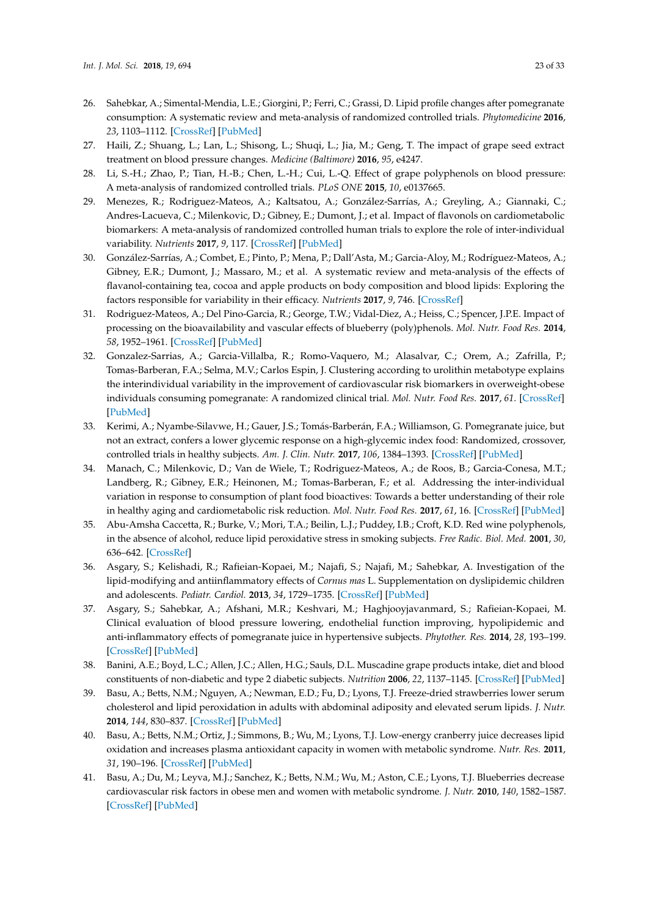- <span id="page-22-0"></span>26. Sahebkar, A.; Simental-Mendia, L.E.; Giorgini, P.; Ferri, C.; Grassi, D. Lipid profile changes after pomegranate consumption: A systematic review and meta-analysis of randomized controlled trials. *Phytomedicine* **2016**, *23*, 1103–1112. [\[CrossRef\]](http://dx.doi.org/10.1016/j.phymed.2015.12.014) [\[PubMed\]](http://www.ncbi.nlm.nih.gov/pubmed/26857863)
- <span id="page-22-1"></span>27. Haili, Z.; Shuang, L.; Lan, L.; Shisong, L.; Shuqi, L.; Jia, M.; Geng, T. The impact of grape seed extract treatment on blood pressure changes. *Medicine (Baltimore)* **2016**, *95*, e4247.
- <span id="page-22-2"></span>28. Li, S.-H.; Zhao, P.; Tian, H.-B.; Chen, L.-H.; Cui, L.-Q. Effect of grape polyphenols on blood pressure: A meta-analysis of randomized controlled trials. *PLoS ONE* **2015**, *10*, e0137665.
- <span id="page-22-3"></span>29. Menezes, R.; Rodriguez-Mateos, A.; Kaltsatou, A.; González-Sarrías, A.; Greyling, A.; Giannaki, C.; Andres-Lacueva, C.; Milenkovic, D.; Gibney, E.; Dumont, J.; et al. Impact of flavonols on cardiometabolic biomarkers: A meta-analysis of randomized controlled human trials to explore the role of inter-individual variability. *Nutrients* **2017**, *9*, 117. [\[CrossRef\]](http://dx.doi.org/10.3390/nu9020117) [\[PubMed\]](http://www.ncbi.nlm.nih.gov/pubmed/28208791)
- <span id="page-22-4"></span>30. González-Sarrías, A.; Combet, E.; Pinto, P.; Mena, P.; Dall'Asta, M.; Garcia-Aloy, M.; Rodríguez-Mateos, A.; Gibney, E.R.; Dumont, J.; Massaro, M.; et al. A systematic review and meta-analysis of the effects of flavanol-containing tea, cocoa and apple products on body composition and blood lipids: Exploring the factors responsible for variability in their efficacy. *Nutrients* **2017**, *9*, 746. [\[CrossRef\]](http://dx.doi.org/10.3390/nu9070746)
- <span id="page-22-5"></span>31. Rodriguez-Mateos, A.; Del Pino-Garcia, R.; George, T.W.; Vidal-Diez, A.; Heiss, C.; Spencer, J.P.E. Impact of processing on the bioavailability and vascular effects of blueberry (poly)phenols. *Mol. Nutr. Food Res.* **2014**, *58*, 1952–1961. [\[CrossRef\]](http://dx.doi.org/10.1002/mnfr.201400231) [\[PubMed\]](http://www.ncbi.nlm.nih.gov/pubmed/25044909)
- <span id="page-22-6"></span>32. Gonzalez-Sarrias, A.; Garcia-Villalba, R.; Romo-Vaquero, M.; Alasalvar, C.; Orem, A.; Zafrilla, P.; Tomas-Barberan, F.A.; Selma, M.V.; Carlos Espin, J. Clustering according to urolithin metabotype explains the interindividual variability in the improvement of cardiovascular risk biomarkers in overweight-obese individuals consuming pomegranate: A randomized clinical trial. *Mol. Nutr. Food Res.* **2017**, *61*. [\[CrossRef\]](http://dx.doi.org/10.1002/mnfr.201600830) [\[PubMed\]](http://www.ncbi.nlm.nih.gov/pubmed/27879044)
- <span id="page-22-7"></span>33. Kerimi, A.; Nyambe-Silavwe, H.; Gauer, J.S.; Tomás-Barberán, F.A.; Williamson, G. Pomegranate juice, but not an extract, confers a lower glycemic response on a high-glycemic index food: Randomized, crossover, controlled trials in healthy subjects. *Am. J. Clin. Nutr.* **2017**, *106*, 1384–1393. [\[CrossRef\]](http://dx.doi.org/10.3945/ajcn.117.161968) [\[PubMed\]](http://www.ncbi.nlm.nih.gov/pubmed/29021286)
- <span id="page-22-8"></span>34. Manach, C.; Milenkovic, D.; Van de Wiele, T.; Rodriguez-Mateos, A.; de Roos, B.; Garcia-Conesa, M.T.; Landberg, R.; Gibney, E.R.; Heinonen, M.; Tomas-Barberan, F.; et al. Addressing the inter-individual variation in response to consumption of plant food bioactives: Towards a better understanding of their role in healthy aging and cardiometabolic risk reduction. *Mol. Nutr. Food Res.* **2017**, *61*, 16. [\[CrossRef\]](http://dx.doi.org/10.1002/mnfr.201600557) [\[PubMed\]](http://www.ncbi.nlm.nih.gov/pubmed/27687784)
- 35. Abu-Amsha Caccetta, R.; Burke, V.; Mori, T.A.; Beilin, L.J.; Puddey, I.B.; Croft, K.D. Red wine polyphenols, in the absence of alcohol, reduce lipid peroxidative stress in smoking subjects. *Free Radic. Biol. Med.* **2001**, *30*, 636–642. [\[CrossRef\]](http://dx.doi.org/10.1016/S0891-5849(00)00497-4)
- 36. Asgary, S.; Kelishadi, R.; Rafieian-Kopaei, M.; Najafi, S.; Najafi, M.; Sahebkar, A. Investigation of the lipid-modifying and antiinflammatory effects of *Cornus mas* L. Supplementation on dyslipidemic children and adolescents. *Pediatr. Cardiol.* **2013**, *34*, 1729–1735. [\[CrossRef\]](http://dx.doi.org/10.1007/s00246-013-0693-5) [\[PubMed\]](http://www.ncbi.nlm.nih.gov/pubmed/23625305)
- 37. Asgary, S.; Sahebkar, A.; Afshani, M.R.; Keshvari, M.; Haghjooyjavanmard, S.; Rafieian-Kopaei, M. Clinical evaluation of blood pressure lowering, endothelial function improving, hypolipidemic and anti-inflammatory effects of pomegranate juice in hypertensive subjects. *Phytother. Res.* **2014**, *28*, 193–199. [\[CrossRef\]](http://dx.doi.org/10.1002/ptr.4977) [\[PubMed\]](http://www.ncbi.nlm.nih.gov/pubmed/23519910)
- 38. Banini, A.E.; Boyd, L.C.; Allen, J.C.; Allen, H.G.; Sauls, D.L. Muscadine grape products intake, diet and blood constituents of non-diabetic and type 2 diabetic subjects. *Nutrition* **2006**, *22*, 1137–1145. [\[CrossRef\]](http://dx.doi.org/10.1016/j.nut.2006.08.012) [\[PubMed\]](http://www.ncbi.nlm.nih.gov/pubmed/17030113)
- 39. Basu, A.; Betts, N.M.; Nguyen, A.; Newman, E.D.; Fu, D.; Lyons, T.J. Freeze-dried strawberries lower serum cholesterol and lipid peroxidation in adults with abdominal adiposity and elevated serum lipids. *J. Nutr.* **2014**, *144*, 830–837. [\[CrossRef\]](http://dx.doi.org/10.3945/jn.113.188169) [\[PubMed\]](http://www.ncbi.nlm.nih.gov/pubmed/24670970)
- 40. Basu, A.; Betts, N.M.; Ortiz, J.; Simmons, B.; Wu, M.; Lyons, T.J. Low-energy cranberry juice decreases lipid oxidation and increases plasma antioxidant capacity in women with metabolic syndrome. *Nutr. Res.* **2011**, *31*, 190–196. [\[CrossRef\]](http://dx.doi.org/10.1016/j.nutres.2011.02.003) [\[PubMed\]](http://www.ncbi.nlm.nih.gov/pubmed/21481712)
- 41. Basu, A.; Du, M.; Leyva, M.J.; Sanchez, K.; Betts, N.M.; Wu, M.; Aston, C.E.; Lyons, T.J. Blueberries decrease cardiovascular risk factors in obese men and women with metabolic syndrome. *J. Nutr.* **2010**, *140*, 1582–1587. [\[CrossRef\]](http://dx.doi.org/10.3945/jn.110.124701) [\[PubMed\]](http://www.ncbi.nlm.nih.gov/pubmed/20660279)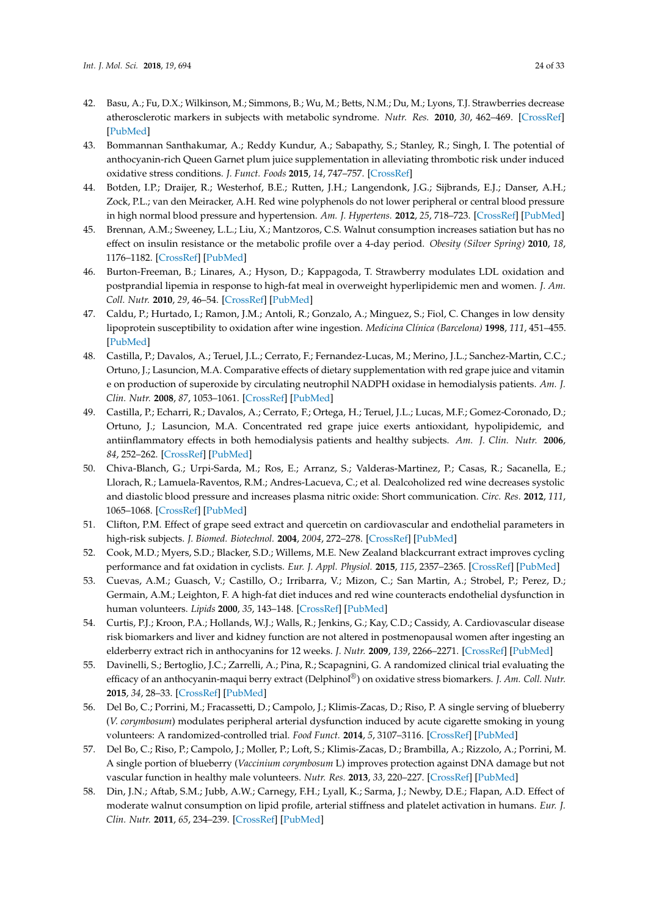- 42. Basu, A.; Fu, D.X.; Wilkinson, M.; Simmons, B.; Wu, M.; Betts, N.M.; Du, M.; Lyons, T.J. Strawberries decrease atherosclerotic markers in subjects with metabolic syndrome. *Nutr. Res.* **2010**, *30*, 462–469. [\[CrossRef\]](http://dx.doi.org/10.1016/j.nutres.2010.06.016) [\[PubMed\]](http://www.ncbi.nlm.nih.gov/pubmed/20797478)
- 43. Bommannan Santhakumar, A.; Reddy Kundur, A.; Sabapathy, S.; Stanley, R.; Singh, I. The potential of anthocyanin-rich Queen Garnet plum juice supplementation in alleviating thrombotic risk under induced oxidative stress conditions. *J. Funct. Foods* **2015**, *14*, 747–757. [\[CrossRef\]](http://dx.doi.org/10.1016/j.jff.2015.03.003)
- 44. Botden, I.P.; Draijer, R.; Westerhof, B.E.; Rutten, J.H.; Langendonk, J.G.; Sijbrands, E.J.; Danser, A.H.; Zock, P.L.; van den Meiracker, A.H. Red wine polyphenols do not lower peripheral or central blood pressure in high normal blood pressure and hypertension. *Am. J. Hypertens.* **2012**, *25*, 718–723. [\[CrossRef\]](http://dx.doi.org/10.1038/ajh.2012.25) [\[PubMed\]](http://www.ncbi.nlm.nih.gov/pubmed/22421906)
- 45. Brennan, A.M.; Sweeney, L.L.; Liu, X.; Mantzoros, C.S. Walnut consumption increases satiation but has no effect on insulin resistance or the metabolic profile over a 4-day period. *Obesity (Silver Spring)* **2010**, *18*, 1176–1182. [\[CrossRef\]](http://dx.doi.org/10.1038/oby.2009.409) [\[PubMed\]](http://www.ncbi.nlm.nih.gov/pubmed/19910942)
- 46. Burton-Freeman, B.; Linares, A.; Hyson, D.; Kappagoda, T. Strawberry modulates LDL oxidation and postprandial lipemia in response to high-fat meal in overweight hyperlipidemic men and women. *J. Am. Coll. Nutr.* **2010**, *29*, 46–54. [\[CrossRef\]](http://dx.doi.org/10.1080/07315724.2010.10719816) [\[PubMed\]](http://www.ncbi.nlm.nih.gov/pubmed/20595645)
- 47. Caldu, P.; Hurtado, I.; Ramon, J.M.; Antoli, R.; Gonzalo, A.; Minguez, S.; Fiol, C. Changes in low density lipoprotein susceptibility to oxidation after wine ingestion. *Medicina Clínica (Barcelona)* **1998**, *111*, 451–455. [\[PubMed\]](http://www.ncbi.nlm.nih.gov/pubmed/10026035)
- 48. Castilla, P.; Davalos, A.; Teruel, J.L.; Cerrato, F.; Fernandez-Lucas, M.; Merino, J.L.; Sanchez-Martin, C.C.; Ortuno, J.; Lasuncion, M.A. Comparative effects of dietary supplementation with red grape juice and vitamin e on production of superoxide by circulating neutrophil NADPH oxidase in hemodialysis patients. *Am. J. Clin. Nutr.* **2008**, *87*, 1053–1061. [\[CrossRef\]](http://dx.doi.org/10.1093/ajcn/87.4.1053) [\[PubMed\]](http://www.ncbi.nlm.nih.gov/pubmed/18400731)
- 49. Castilla, P.; Echarri, R.; Davalos, A.; Cerrato, F.; Ortega, H.; Teruel, J.L.; Lucas, M.F.; Gomez-Coronado, D.; Ortuno, J.; Lasuncion, M.A. Concentrated red grape juice exerts antioxidant, hypolipidemic, and antiinflammatory effects in both hemodialysis patients and healthy subjects. *Am. J. Clin. Nutr.* **2006**, *84*, 252–262. [\[CrossRef\]](http://dx.doi.org/10.1093/ajcn/84.1.252) [\[PubMed\]](http://www.ncbi.nlm.nih.gov/pubmed/16825703)
- 50. Chiva-Blanch, G.; Urpi-Sarda, M.; Ros, E.; Arranz, S.; Valderas-Martinez, P.; Casas, R.; Sacanella, E.; Llorach, R.; Lamuela-Raventos, R.M.; Andres-Lacueva, C.; et al. Dealcoholized red wine decreases systolic and diastolic blood pressure and increases plasma nitric oxide: Short communication. *Circ. Res.* **2012**, *111*, 1065–1068. [\[CrossRef\]](http://dx.doi.org/10.1161/CIRCRESAHA.112.275636) [\[PubMed\]](http://www.ncbi.nlm.nih.gov/pubmed/22955728)
- 51. Clifton, P.M. Effect of grape seed extract and quercetin on cardiovascular and endothelial parameters in high-risk subjects. *J. Biomed. Biotechnol.* **2004**, *2004*, 272–278. [\[CrossRef\]](http://dx.doi.org/10.1155/S1110724304403088) [\[PubMed\]](http://www.ncbi.nlm.nih.gov/pubmed/15577189)
- 52. Cook, M.D.; Myers, S.D.; Blacker, S.D.; Willems, M.E. New Zealand blackcurrant extract improves cycling performance and fat oxidation in cyclists. *Eur. J. Appl. Physiol.* **2015**, *115*, 2357–2365. [\[CrossRef\]](http://dx.doi.org/10.1007/s00421-015-3215-8) [\[PubMed\]](http://www.ncbi.nlm.nih.gov/pubmed/26175097)
- 53. Cuevas, A.M.; Guasch, V.; Castillo, O.; Irribarra, V.; Mizon, C.; San Martin, A.; Strobel, P.; Perez, D.; Germain, A.M.; Leighton, F. A high-fat diet induces and red wine counteracts endothelial dysfunction in human volunteers. *Lipids* **2000**, *35*, 143–148. [\[CrossRef\]](http://dx.doi.org/10.1007/BF02664763) [\[PubMed\]](http://www.ncbi.nlm.nih.gov/pubmed/10757544)
- 54. Curtis, P.J.; Kroon, P.A.; Hollands, W.J.; Walls, R.; Jenkins, G.; Kay, C.D.; Cassidy, A. Cardiovascular disease risk biomarkers and liver and kidney function are not altered in postmenopausal women after ingesting an elderberry extract rich in anthocyanins for 12 weeks. *J. Nutr.* **2009**, *139*, 2266–2271. [\[CrossRef\]](http://dx.doi.org/10.3945/jn.109.113126) [\[PubMed\]](http://www.ncbi.nlm.nih.gov/pubmed/19793846)
- 55. Davinelli, S.; Bertoglio, J.C.; Zarrelli, A.; Pina, R.; Scapagnini, G. A randomized clinical trial evaluating the efficacy of an anthocyanin-maqui berry extract (Delphinol®) on oxidative stress biomarkers. *J. Am. Coll. Nutr.* **2015**, *34*, 28–33. [\[CrossRef\]](http://dx.doi.org/10.1080/07315724.2015.1080108) [\[PubMed\]](http://www.ncbi.nlm.nih.gov/pubmed/26400431)
- 56. Del Bo, C.; Porrini, M.; Fracassetti, D.; Campolo, J.; Klimis-Zacas, D.; Riso, P. A single serving of blueberry (*V. corymbosum*) modulates peripheral arterial dysfunction induced by acute cigarette smoking in young volunteers: A randomized-controlled trial. *Food Funct.* **2014**, *5*, 3107–3116. [\[CrossRef\]](http://dx.doi.org/10.1039/C4FO00570H) [\[PubMed\]](http://www.ncbi.nlm.nih.gov/pubmed/25263326)
- 57. Del Bo, C.; Riso, P.; Campolo, J.; Moller, P.; Loft, S.; Klimis-Zacas, D.; Brambilla, A.; Rizzolo, A.; Porrini, M. A single portion of blueberry (*Vaccinium corymbosum* L) improves protection against DNA damage but not vascular function in healthy male volunteers. *Nutr. Res.* **2013**, *33*, 220–227. [\[CrossRef\]](http://dx.doi.org/10.1016/j.nutres.2012.12.009) [\[PubMed\]](http://www.ncbi.nlm.nih.gov/pubmed/23507228)
- 58. Din, J.N.; Aftab, S.M.; Jubb, A.W.; Carnegy, F.H.; Lyall, K.; Sarma, J.; Newby, D.E.; Flapan, A.D. Effect of moderate walnut consumption on lipid profile, arterial stiffness and platelet activation in humans. *Eur. J. Clin. Nutr.* **2011**, *65*, 234–239. [\[CrossRef\]](http://dx.doi.org/10.1038/ejcn.2010.233) [\[PubMed\]](http://www.ncbi.nlm.nih.gov/pubmed/21048773)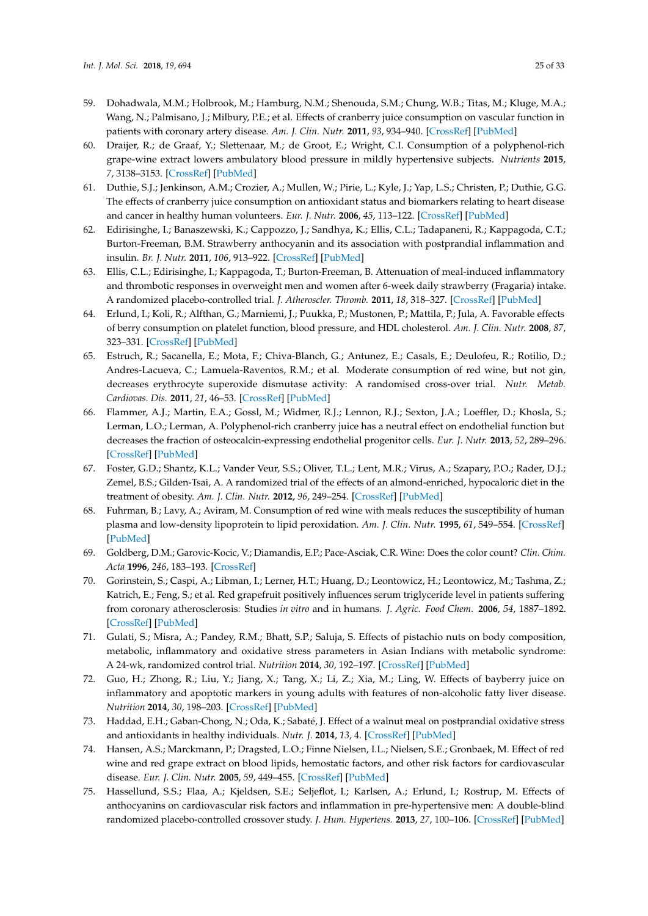- 59. Dohadwala, M.M.; Holbrook, M.; Hamburg, N.M.; Shenouda, S.M.; Chung, W.B.; Titas, M.; Kluge, M.A.; Wang, N.; Palmisano, J.; Milbury, P.E.; et al. Effects of cranberry juice consumption on vascular function in patients with coronary artery disease. *Am. J. Clin. Nutr.* **2011**, *93*, 934–940. [\[CrossRef\]](http://dx.doi.org/10.3945/ajcn.110.004242) [\[PubMed\]](http://www.ncbi.nlm.nih.gov/pubmed/21411615)
- 60. Draijer, R.; de Graaf, Y.; Slettenaar, M.; de Groot, E.; Wright, C.I. Consumption of a polyphenol-rich grape-wine extract lowers ambulatory blood pressure in mildly hypertensive subjects. *Nutrients* **2015**, *7*, 3138–3153. [\[CrossRef\]](http://dx.doi.org/10.3390/nu7053138) [\[PubMed\]](http://www.ncbi.nlm.nih.gov/pubmed/25942487)
- 61. Duthie, S.J.; Jenkinson, A.M.; Crozier, A.; Mullen, W.; Pirie, L.; Kyle, J.; Yap, L.S.; Christen, P.; Duthie, G.G. The effects of cranberry juice consumption on antioxidant status and biomarkers relating to heart disease and cancer in healthy human volunteers. *Eur. J. Nutr.* **2006**, *45*, 113–122. [\[CrossRef\]](http://dx.doi.org/10.1007/s00394-005-0572-9) [\[PubMed\]](http://www.ncbi.nlm.nih.gov/pubmed/16032375)
- 62. Edirisinghe, I.; Banaszewski, K.; Cappozzo, J.; Sandhya, K.; Ellis, C.L.; Tadapaneni, R.; Kappagoda, C.T.; Burton-Freeman, B.M. Strawberry anthocyanin and its association with postprandial inflammation and insulin. *Br. J. Nutr.* **2011**, *106*, 913–922. [\[CrossRef\]](http://dx.doi.org/10.1017/S0007114511001176) [\[PubMed\]](http://www.ncbi.nlm.nih.gov/pubmed/21736853)
- 63. Ellis, C.L.; Edirisinghe, I.; Kappagoda, T.; Burton-Freeman, B. Attenuation of meal-induced inflammatory and thrombotic responses in overweight men and women after 6-week daily strawberry (Fragaria) intake. A randomized placebo-controlled trial. *J. Atheroscler. Thromb.* **2011**, *18*, 318–327. [\[CrossRef\]](http://dx.doi.org/10.5551/jat.6114) [\[PubMed\]](http://www.ncbi.nlm.nih.gov/pubmed/21242652)
- 64. Erlund, I.; Koli, R.; Alfthan, G.; Marniemi, J.; Puukka, P.; Mustonen, P.; Mattila, P.; Jula, A. Favorable effects of berry consumption on platelet function, blood pressure, and HDL cholesterol. *Am. J. Clin. Nutr.* **2008**, *87*, 323–331. [\[CrossRef\]](http://dx.doi.org/10.1093/ajcn/87.2.323) [\[PubMed\]](http://www.ncbi.nlm.nih.gov/pubmed/18258621)
- 65. Estruch, R.; Sacanella, E.; Mota, F.; Chiva-Blanch, G.; Antunez, E.; Casals, E.; Deulofeu, R.; Rotilio, D.; Andres-Lacueva, C.; Lamuela-Raventos, R.M.; et al. Moderate consumption of red wine, but not gin, decreases erythrocyte superoxide dismutase activity: A randomised cross-over trial. *Nutr. Metab. Cardiovas. Dis.* **2011**, *21*, 46–53. [\[CrossRef\]](http://dx.doi.org/10.1016/j.numecd.2009.07.006) [\[PubMed\]](http://www.ncbi.nlm.nih.gov/pubmed/19819677)
- 66. Flammer, A.J.; Martin, E.A.; Gossl, M.; Widmer, R.J.; Lennon, R.J.; Sexton, J.A.; Loeffler, D.; Khosla, S.; Lerman, L.O.; Lerman, A. Polyphenol-rich cranberry juice has a neutral effect on endothelial function but decreases the fraction of osteocalcin-expressing endothelial progenitor cells. *Eur. J. Nutr.* **2013**, *52*, 289–296. [\[CrossRef\]](http://dx.doi.org/10.1007/s00394-012-0334-4) [\[PubMed\]](http://www.ncbi.nlm.nih.gov/pubmed/22382203)
- 67. Foster, G.D.; Shantz, K.L.; Vander Veur, S.S.; Oliver, T.L.; Lent, M.R.; Virus, A.; Szapary, P.O.; Rader, D.J.; Zemel, B.S.; Gilden-Tsai, A. A randomized trial of the effects of an almond-enriched, hypocaloric diet in the treatment of obesity. *Am. J. Clin. Nutr.* **2012**, *96*, 249–254. [\[CrossRef\]](http://dx.doi.org/10.3945/ajcn.112.037895) [\[PubMed\]](http://www.ncbi.nlm.nih.gov/pubmed/22743313)
- 68. Fuhrman, B.; Lavy, A.; Aviram, M. Consumption of red wine with meals reduces the susceptibility of human plasma and low-density lipoprotein to lipid peroxidation. *Am. J. Clin. Nutr.* **1995**, *61*, 549–554. [\[CrossRef\]](http://dx.doi.org/10.1093/ajcn/61.3.549) [\[PubMed\]](http://www.ncbi.nlm.nih.gov/pubmed/7872219)
- 69. Goldberg, D.M.; Garovic-Kocic, V.; Diamandis, E.P.; Pace-Asciak, C.R. Wine: Does the color count? *Clin. Chim. Acta* **1996**, *246*, 183–193. [\[CrossRef\]](http://dx.doi.org/10.1016/0009-8981(96)06229-8)
- 70. Gorinstein, S.; Caspi, A.; Libman, I.; Lerner, H.T.; Huang, D.; Leontowicz, H.; Leontowicz, M.; Tashma, Z.; Katrich, E.; Feng, S.; et al. Red grapefruit positively influences serum triglyceride level in patients suffering from coronary atherosclerosis: Studies *in vitro* and in humans. *J. Agric. Food Chem.* **2006**, *54*, 1887–1892. [\[CrossRef\]](http://dx.doi.org/10.1021/jf058171g) [\[PubMed\]](http://www.ncbi.nlm.nih.gov/pubmed/16506849)
- 71. Gulati, S.; Misra, A.; Pandey, R.M.; Bhatt, S.P.; Saluja, S. Effects of pistachio nuts on body composition, metabolic, inflammatory and oxidative stress parameters in Asian Indians with metabolic syndrome: A 24-wk, randomized control trial. *Nutrition* **2014**, *30*, 192–197. [\[CrossRef\]](http://dx.doi.org/10.1016/j.nut.2013.08.005) [\[PubMed\]](http://www.ncbi.nlm.nih.gov/pubmed/24377454)
- 72. Guo, H.; Zhong, R.; Liu, Y.; Jiang, X.; Tang, X.; Li, Z.; Xia, M.; Ling, W. Effects of bayberry juice on inflammatory and apoptotic markers in young adults with features of non-alcoholic fatty liver disease. *Nutrition* **2014**, *30*, 198–203. [\[CrossRef\]](http://dx.doi.org/10.1016/j.nut.2013.07.023) [\[PubMed\]](http://www.ncbi.nlm.nih.gov/pubmed/24377455)
- 73. Haddad, E.H.; Gaban-Chong, N.; Oda, K.; Sabaté, J. Effect of a walnut meal on postprandial oxidative stress and antioxidants in healthy individuals. *Nutr. J.* **2014**, *13*, 4. [\[CrossRef\]](http://dx.doi.org/10.1186/1475-2891-13-4) [\[PubMed\]](http://www.ncbi.nlm.nih.gov/pubmed/24410903)
- 74. Hansen, A.S.; Marckmann, P.; Dragsted, L.O.; Finne Nielsen, I.L.; Nielsen, S.E.; Gronbaek, M. Effect of red wine and red grape extract on blood lipids, hemostatic factors, and other risk factors for cardiovascular disease. *Eur. J. Clin. Nutr.* **2005**, *59*, 449–455. [\[CrossRef\]](http://dx.doi.org/10.1038/sj.ejcn.1602107) [\[PubMed\]](http://www.ncbi.nlm.nih.gov/pubmed/15674304)
- 75. Hassellund, S.S.; Flaa, A.; Kjeldsen, S.E.; Seljeflot, I.; Karlsen, A.; Erlund, I.; Rostrup, M. Effects of anthocyanins on cardiovascular risk factors and inflammation in pre-hypertensive men: A double-blind randomized placebo-controlled crossover study. *J. Hum. Hypertens.* **2013**, *27*, 100–106. [\[CrossRef\]](http://dx.doi.org/10.1038/jhh.2012.4) [\[PubMed\]](http://www.ncbi.nlm.nih.gov/pubmed/22336903)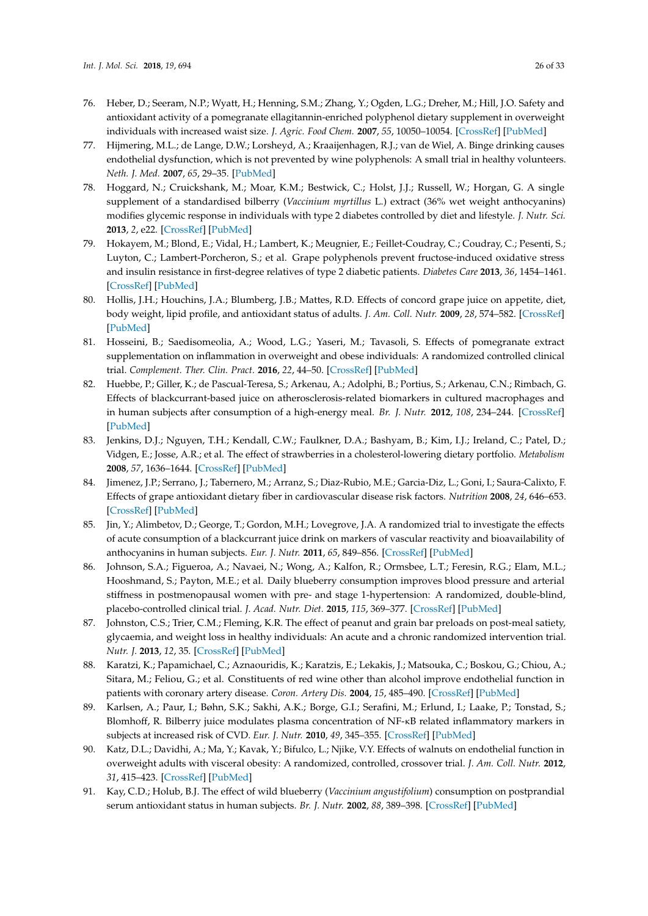- 76. Heber, D.; Seeram, N.P.; Wyatt, H.; Henning, S.M.; Zhang, Y.; Ogden, L.G.; Dreher, M.; Hill, J.O. Safety and antioxidant activity of a pomegranate ellagitannin-enriched polyphenol dietary supplement in overweight individuals with increased waist size. *J. Agric. Food Chem.* **2007**, *55*, 10050–10054. [\[CrossRef\]](http://dx.doi.org/10.1021/jf071689v) [\[PubMed\]](http://www.ncbi.nlm.nih.gov/pubmed/17966977)
- 77. Hijmering, M.L.; de Lange, D.W.; Lorsheyd, A.; Kraaijenhagen, R.J.; van de Wiel, A. Binge drinking causes endothelial dysfunction, which is not prevented by wine polyphenols: A small trial in healthy volunteers. *Neth. J. Med.* **2007**, *65*, 29–35. [\[PubMed\]](http://www.ncbi.nlm.nih.gov/pubmed/17293637)
- 78. Hoggard, N.; Cruickshank, M.; Moar, K.M.; Bestwick, C.; Holst, J.J.; Russell, W.; Horgan, G. A single supplement of a standardised bilberry (*Vaccinium myrtillus* L.) extract (36% wet weight anthocyanins) modifies glycemic response in individuals with type 2 diabetes controlled by diet and lifestyle. *J. Nutr. Sci.* **2013**, *2*, e22. [\[CrossRef\]](http://dx.doi.org/10.1017/jns.2013.16) [\[PubMed\]](http://www.ncbi.nlm.nih.gov/pubmed/25191571)
- 79. Hokayem, M.; Blond, E.; Vidal, H.; Lambert, K.; Meugnier, E.; Feillet-Coudray, C.; Coudray, C.; Pesenti, S.; Luyton, C.; Lambert-Porcheron, S.; et al. Grape polyphenols prevent fructose-induced oxidative stress and insulin resistance in first-degree relatives of type 2 diabetic patients. *Diabetes Care* **2013**, *36*, 1454–1461. [\[CrossRef\]](http://dx.doi.org/10.2337/dc12-1652) [\[PubMed\]](http://www.ncbi.nlm.nih.gov/pubmed/23275372)
- 80. Hollis, J.H.; Houchins, J.A.; Blumberg, J.B.; Mattes, R.D. Effects of concord grape juice on appetite, diet, body weight, lipid profile, and antioxidant status of adults. *J. Am. Coll. Nutr.* **2009**, *28*, 574–582. [\[CrossRef\]](http://dx.doi.org/10.1080/07315724.2009.10719789) [\[PubMed\]](http://www.ncbi.nlm.nih.gov/pubmed/20439553)
- 81. Hosseini, B.; Saedisomeolia, A.; Wood, L.G.; Yaseri, M.; Tavasoli, S. Effects of pomegranate extract supplementation on inflammation in overweight and obese individuals: A randomized controlled clinical trial. *Complement. Ther. Clin. Pract.* **2016**, *22*, 44–50. [\[CrossRef\]](http://dx.doi.org/10.1016/j.ctcp.2015.12.003) [\[PubMed\]](http://www.ncbi.nlm.nih.gov/pubmed/26850805)
- 82. Huebbe, P.; Giller, K.; de Pascual-Teresa, S.; Arkenau, A.; Adolphi, B.; Portius, S.; Arkenau, C.N.; Rimbach, G. Effects of blackcurrant-based juice on atherosclerosis-related biomarkers in cultured macrophages and in human subjects after consumption of a high-energy meal. *Br. J. Nutr.* **2012**, *108*, 234–244. [\[CrossRef\]](http://dx.doi.org/10.1017/S0007114511005642) [\[PubMed\]](http://www.ncbi.nlm.nih.gov/pubmed/22011640)
- 83. Jenkins, D.J.; Nguyen, T.H.; Kendall, C.W.; Faulkner, D.A.; Bashyam, B.; Kim, I.J.; Ireland, C.; Patel, D.; Vidgen, E.; Josse, A.R.; et al. The effect of strawberries in a cholesterol-lowering dietary portfolio. *Metabolism* **2008**, *57*, 1636–1644. [\[CrossRef\]](http://dx.doi.org/10.1016/j.metabol.2008.07.018) [\[PubMed\]](http://www.ncbi.nlm.nih.gov/pubmed/19013285)
- 84. Jimenez, J.P.; Serrano, J.; Tabernero, M.; Arranz, S.; Diaz-Rubio, M.E.; Garcia-Diz, L.; Goni, I.; Saura-Calixto, F. Effects of grape antioxidant dietary fiber in cardiovascular disease risk factors. *Nutrition* **2008**, *24*, 646–653. [\[CrossRef\]](http://dx.doi.org/10.1016/j.nut.2008.03.012) [\[PubMed\]](http://www.ncbi.nlm.nih.gov/pubmed/18485668)
- 85. Jin, Y.; Alimbetov, D.; George, T.; Gordon, M.H.; Lovegrove, J.A. A randomized trial to investigate the effects of acute consumption of a blackcurrant juice drink on markers of vascular reactivity and bioavailability of anthocyanins in human subjects. *Eur. J. Nutr.* **2011**, *65*, 849–856. [\[CrossRef\]](http://dx.doi.org/10.1038/ejcn.2011.55) [\[PubMed\]](http://www.ncbi.nlm.nih.gov/pubmed/21540876)
- 86. Johnson, S.A.; Figueroa, A.; Navaei, N.; Wong, A.; Kalfon, R.; Ormsbee, L.T.; Feresin, R.G.; Elam, M.L.; Hooshmand, S.; Payton, M.E.; et al. Daily blueberry consumption improves blood pressure and arterial stiffness in postmenopausal women with pre- and stage 1-hypertension: A randomized, double-blind, placebo-controlled clinical trial. *J. Acad. Nutr. Diet.* **2015**, *115*, 369–377. [\[CrossRef\]](http://dx.doi.org/10.1016/j.jand.2014.11.001) [\[PubMed\]](http://www.ncbi.nlm.nih.gov/pubmed/25578927)
- 87. Johnston, C.S.; Trier, C.M.; Fleming, K.R. The effect of peanut and grain bar preloads on post-meal satiety, glycaemia, and weight loss in healthy individuals: An acute and a chronic randomized intervention trial. *Nutr. J.* **2013**, *12*, 35. [\[CrossRef\]](http://dx.doi.org/10.1186/1475-2891-12-35) [\[PubMed\]](http://www.ncbi.nlm.nih.gov/pubmed/23537225)
- 88. Karatzi, K.; Papamichael, C.; Aznaouridis, K.; Karatzis, E.; Lekakis, J.; Matsouka, C.; Boskou, G.; Chiou, A.; Sitara, M.; Feliou, G.; et al. Constituents of red wine other than alcohol improve endothelial function in patients with coronary artery disease. *Coron. Artery Dis.* **2004**, *15*, 485–490. [\[CrossRef\]](http://dx.doi.org/10.1097/00019501-200412000-00005) [\[PubMed\]](http://www.ncbi.nlm.nih.gov/pubmed/15585989)
- 89. Karlsen, A.; Paur, I.; Bøhn, S.K.; Sakhi, A.K.; Borge, G.I.; Serafini, M.; Erlund, I.; Laake, P.; Tonstad, S.; Blomhoff, R. Bilberry juice modulates plasma concentration of NF-κB related inflammatory markers in subjects at increased risk of CVD. *Eur. J. Nutr.* **2010**, *49*, 345–355. [\[CrossRef\]](http://dx.doi.org/10.1007/s00394-010-0092-0) [\[PubMed\]](http://www.ncbi.nlm.nih.gov/pubmed/20119859)
- 90. Katz, D.L.; Davidhi, A.; Ma, Y.; Kavak, Y.; Bifulco, L.; Njike, V.Y. Effects of walnuts on endothelial function in overweight adults with visceral obesity: A randomized, controlled, crossover trial. *J. Am. Coll. Nutr.* **2012**, *31*, 415–423. [\[CrossRef\]](http://dx.doi.org/10.1080/07315724.2012.10720468) [\[PubMed\]](http://www.ncbi.nlm.nih.gov/pubmed/23756586)
- 91. Kay, C.D.; Holub, B.J. The effect of wild blueberry (*Vaccinium angustifolium*) consumption on postprandial serum antioxidant status in human subjects. *Br. J. Nutr.* **2002**, *88*, 389–398. [\[CrossRef\]](http://dx.doi.org/10.1079/BJN2002665) [\[PubMed\]](http://www.ncbi.nlm.nih.gov/pubmed/12323088)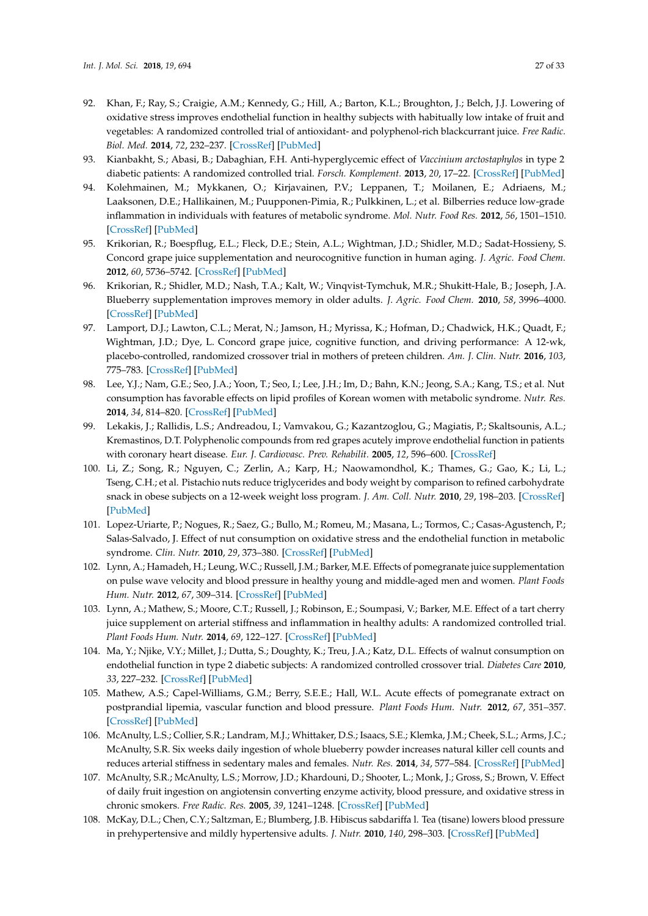- 92. Khan, F.; Ray, S.; Craigie, A.M.; Kennedy, G.; Hill, A.; Barton, K.L.; Broughton, J.; Belch, J.J. Lowering of oxidative stress improves endothelial function in healthy subjects with habitually low intake of fruit and vegetables: A randomized controlled trial of antioxidant- and polyphenol-rich blackcurrant juice. *Free Radic. Biol. Med.* **2014**, *72*, 232–237. [\[CrossRef\]](http://dx.doi.org/10.1016/j.freeradbiomed.2014.04.006) [\[PubMed\]](http://www.ncbi.nlm.nih.gov/pubmed/24742818)
- 93. Kianbakht, S.; Abasi, B.; Dabaghian, F.H. Anti-hyperglycemic effect of *Vaccinium arctostaphylos* in type 2 diabetic patients: A randomized controlled trial. *Forsch. Komplement.* **2013**, *20*, 17–22. [\[CrossRef\]](http://dx.doi.org/10.1159/000346607) [\[PubMed\]](http://www.ncbi.nlm.nih.gov/pubmed/23727759)
- 94. Kolehmainen, M.; Mykkanen, O.; Kirjavainen, P.V.; Leppanen, T.; Moilanen, E.; Adriaens, M.; Laaksonen, D.E.; Hallikainen, M.; Puupponen-Pimia, R.; Pulkkinen, L.; et al. Bilberries reduce low-grade inflammation in individuals with features of metabolic syndrome. *Mol. Nutr. Food Res.* **2012**, *56*, 1501–1510. [\[CrossRef\]](http://dx.doi.org/10.1002/mnfr.201200195) [\[PubMed\]](http://www.ncbi.nlm.nih.gov/pubmed/22961907)
- 95. Krikorian, R.; Boespflug, E.L.; Fleck, D.E.; Stein, A.L.; Wightman, J.D.; Shidler, M.D.; Sadat-Hossieny, S. Concord grape juice supplementation and neurocognitive function in human aging. *J. Agric. Food Chem.* **2012**, *60*, 5736–5742. [\[CrossRef\]](http://dx.doi.org/10.1021/jf300277g) [\[PubMed\]](http://www.ncbi.nlm.nih.gov/pubmed/22468945)
- 96. Krikorian, R.; Shidler, M.D.; Nash, T.A.; Kalt, W.; Vinqvist-Tymchuk, M.R.; Shukitt-Hale, B.; Joseph, J.A. Blueberry supplementation improves memory in older adults. *J. Agric. Food Chem.* **2010**, *58*, 3996–4000. [\[CrossRef\]](http://dx.doi.org/10.1021/jf9029332) [\[PubMed\]](http://www.ncbi.nlm.nih.gov/pubmed/20047325)
- 97. Lamport, D.J.; Lawton, C.L.; Merat, N.; Jamson, H.; Myrissa, K.; Hofman, D.; Chadwick, H.K.; Quadt, F.; Wightman, J.D.; Dye, L. Concord grape juice, cognitive function, and driving performance: A 12-wk, placebo-controlled, randomized crossover trial in mothers of preteen children. *Am. J. Clin. Nutr.* **2016**, *103*, 775–783. [\[CrossRef\]](http://dx.doi.org/10.3945/ajcn.115.114553) [\[PubMed\]](http://www.ncbi.nlm.nih.gov/pubmed/26864371)
- 98. Lee, Y.J.; Nam, G.E.; Seo, J.A.; Yoon, T.; Seo, I.; Lee, J.H.; Im, D.; Bahn, K.N.; Jeong, S.A.; Kang, T.S.; et al. Nut consumption has favorable effects on lipid profiles of Korean women with metabolic syndrome. *Nutr. Res.* **2014**, *34*, 814–820. [\[CrossRef\]](http://dx.doi.org/10.1016/j.nutres.2014.08.011) [\[PubMed\]](http://www.ncbi.nlm.nih.gov/pubmed/25238912)
- 99. Lekakis, J.; Rallidis, L.S.; Andreadou, I.; Vamvakou, G.; Kazantzoglou, G.; Magiatis, P.; Skaltsounis, A.L.; Kremastinos, D.T. Polyphenolic compounds from red grapes acutely improve endothelial function in patients with coronary heart disease. *Eur. J. Cardiovasc. Prev. Rehabilit.* **2005**, *12*, 596–600. [\[CrossRef\]](http://dx.doi.org/10.1097/00149831-200512000-00013)
- 100. Li, Z.; Song, R.; Nguyen, C.; Zerlin, A.; Karp, H.; Naowamondhol, K.; Thames, G.; Gao, K.; Li, L.; Tseng, C.H.; et al. Pistachio nuts reduce triglycerides and body weight by comparison to refined carbohydrate snack in obese subjects on a 12-week weight loss program. *J. Am. Coll. Nutr.* **2010**, *29*, 198–203. [\[CrossRef\]](http://dx.doi.org/10.1080/07315724.2010.10719834) [\[PubMed\]](http://www.ncbi.nlm.nih.gov/pubmed/20833992)
- 101. Lopez-Uriarte, P.; Nogues, R.; Saez, G.; Bullo, M.; Romeu, M.; Masana, L.; Tormos, C.; Casas-Agustench, P.; Salas-Salvado, J. Effect of nut consumption on oxidative stress and the endothelial function in metabolic syndrome. *Clin. Nutr.* **2010**, *29*, 373–380. [\[CrossRef\]](http://dx.doi.org/10.1016/j.clnu.2009.12.008) [\[PubMed\]](http://www.ncbi.nlm.nih.gov/pubmed/20064680)
- 102. Lynn, A.; Hamadeh, H.; Leung, W.C.; Russell, J.M.; Barker, M.E. Effects of pomegranate juice supplementation on pulse wave velocity and blood pressure in healthy young and middle-aged men and women. *Plant Foods Hum. Nutr.* **2012**, *67*, 309–314. [\[CrossRef\]](http://dx.doi.org/10.1007/s11130-012-0295-z) [\[PubMed\]](http://www.ncbi.nlm.nih.gov/pubmed/22648092)
- 103. Lynn, A.; Mathew, S.; Moore, C.T.; Russell, J.; Robinson, E.; Soumpasi, V.; Barker, M.E. Effect of a tart cherry juice supplement on arterial stiffness and inflammation in healthy adults: A randomized controlled trial. *Plant Foods Hum. Nutr.* **2014**, *69*, 122–127. [\[CrossRef\]](http://dx.doi.org/10.1007/s11130-014-0409-x) [\[PubMed\]](http://www.ncbi.nlm.nih.gov/pubmed/24570273)
- 104. Ma, Y.; Njike, V.Y.; Millet, J.; Dutta, S.; Doughty, K.; Treu, J.A.; Katz, D.L. Effects of walnut consumption on endothelial function in type 2 diabetic subjects: A randomized controlled crossover trial. *Diabetes Care* **2010**, *33*, 227–232. [\[CrossRef\]](http://dx.doi.org/10.2337/dc09-1156) [\[PubMed\]](http://www.ncbi.nlm.nih.gov/pubmed/19880586)
- 105. Mathew, A.S.; Capel-Williams, G.M.; Berry, S.E.E.; Hall, W.L. Acute effects of pomegranate extract on postprandial lipemia, vascular function and blood pressure. *Plant Foods Hum. Nutr.* **2012**, *67*, 351–357. [\[CrossRef\]](http://dx.doi.org/10.1007/s11130-012-0318-9) [\[PubMed\]](http://www.ncbi.nlm.nih.gov/pubmed/23093401)
- 106. McAnulty, L.S.; Collier, S.R.; Landram, M.J.; Whittaker, D.S.; Isaacs, S.E.; Klemka, J.M.; Cheek, S.L.; Arms, J.C.; McAnulty, S.R. Six weeks daily ingestion of whole blueberry powder increases natural killer cell counts and reduces arterial stiffness in sedentary males and females. *Nutr. Res.* **2014**, *34*, 577–584. [\[CrossRef\]](http://dx.doi.org/10.1016/j.nutres.2014.07.002) [\[PubMed\]](http://www.ncbi.nlm.nih.gov/pubmed/25150116)
- 107. McAnulty, S.R.; McAnulty, L.S.; Morrow, J.D.; Khardouni, D.; Shooter, L.; Monk, J.; Gross, S.; Brown, V. Effect of daily fruit ingestion on angiotensin converting enzyme activity, blood pressure, and oxidative stress in chronic smokers. *Free Radic. Res.* **2005**, *39*, 1241–1248. [\[CrossRef\]](http://dx.doi.org/10.1080/10715760500306836) [\[PubMed\]](http://www.ncbi.nlm.nih.gov/pubmed/16298751)
- 108. McKay, D.L.; Chen, C.Y.; Saltzman, E.; Blumberg, J.B. Hibiscus sabdariffa l. Tea (tisane) lowers blood pressure in prehypertensive and mildly hypertensive adults. *J. Nutr.* **2010**, *140*, 298–303. [\[CrossRef\]](http://dx.doi.org/10.3945/jn.109.115097) [\[PubMed\]](http://www.ncbi.nlm.nih.gov/pubmed/20018807)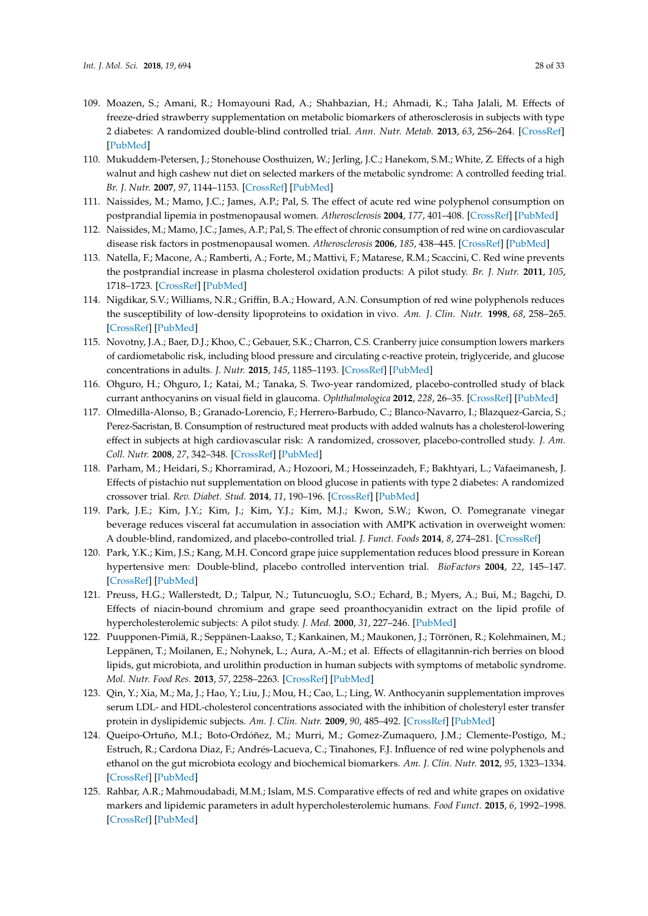- 109. Moazen, S.; Amani, R.; Homayouni Rad, A.; Shahbazian, H.; Ahmadi, K.; Taha Jalali, M. Effects of freeze-dried strawberry supplementation on metabolic biomarkers of atherosclerosis in subjects with type 2 diabetes: A randomized double-blind controlled trial. *Ann. Nutr. Metab.* **2013**, *63*, 256–264. [\[CrossRef\]](http://dx.doi.org/10.1159/000356053) [\[PubMed\]](http://www.ncbi.nlm.nih.gov/pubmed/24334868)
- 110. Mukuddem-Petersen, J.; Stonehouse Oosthuizen, W.; Jerling, J.C.; Hanekom, S.M.; White, Z. Effects of a high walnut and high cashew nut diet on selected markers of the metabolic syndrome: A controlled feeding trial. *Br. J. Nutr.* **2007**, *97*, 1144–1153. [\[CrossRef\]](http://dx.doi.org/10.1017/S0007114507682944) [\[PubMed\]](http://www.ncbi.nlm.nih.gov/pubmed/17381974)
- 111. Naissides, M.; Mamo, J.C.; James, A.P.; Pal, S. The effect of acute red wine polyphenol consumption on postprandial lipemia in postmenopausal women. *Atherosclerosis* **2004**, *177*, 401–408. [\[CrossRef\]](http://dx.doi.org/10.1016/j.atherosclerosis.2004.07.025) [\[PubMed\]](http://www.ncbi.nlm.nih.gov/pubmed/15530916)
- 112. Naissides, M.; Mamo, J.C.; James, A.P.; Pal, S. The effect of chronic consumption of red wine on cardiovascular disease risk factors in postmenopausal women. *Atherosclerosis* **2006**, *185*, 438–445. [\[CrossRef\]](http://dx.doi.org/10.1016/j.atherosclerosis.2005.06.027) [\[PubMed\]](http://www.ncbi.nlm.nih.gov/pubmed/16095600)
- 113. Natella, F.; Macone, A.; Ramberti, A.; Forte, M.; Mattivi, F.; Matarese, R.M.; Scaccini, C. Red wine prevents the postprandial increase in plasma cholesterol oxidation products: A pilot study. *Br. J. Nutr.* **2011**, *105*, 1718–1723. [\[CrossRef\]](http://dx.doi.org/10.1017/S0007114510005544) [\[PubMed\]](http://www.ncbi.nlm.nih.gov/pubmed/21294933)
- 114. Nigdikar, S.V.; Williams, N.R.; Griffin, B.A.; Howard, A.N. Consumption of red wine polyphenols reduces the susceptibility of low-density lipoproteins to oxidation in vivo. *Am. J. Clin. Nutr.* **1998**, *68*, 258–265. [\[CrossRef\]](http://dx.doi.org/10.1093/ajcn/68.2.258) [\[PubMed\]](http://www.ncbi.nlm.nih.gov/pubmed/9701181)
- 115. Novotny, J.A.; Baer, D.J.; Khoo, C.; Gebauer, S.K.; Charron, C.S. Cranberry juice consumption lowers markers of cardiometabolic risk, including blood pressure and circulating c-reactive protein, triglyceride, and glucose concentrations in adults. *J. Nutr.* **2015**, *145*, 1185–1193. [\[CrossRef\]](http://dx.doi.org/10.3945/jn.114.203190) [\[PubMed\]](http://www.ncbi.nlm.nih.gov/pubmed/25904733)
- 116. Ohguro, H.; Ohguro, I.; Katai, M.; Tanaka, S. Two-year randomized, placebo-controlled study of black currant anthocyanins on visual field in glaucoma. *Ophthalmologica* **2012**, *228*, 26–35. [\[CrossRef\]](http://dx.doi.org/10.1159/000335961) [\[PubMed\]](http://www.ncbi.nlm.nih.gov/pubmed/22377796)
- 117. Olmedilla-Alonso, B.; Granado-Lorencio, F.; Herrero-Barbudo, C.; Blanco-Navarro, I.; Blazquez-Garcia, S.; Perez-Sacristan, B. Consumption of restructured meat products with added walnuts has a cholesterol-lowering effect in subjects at high cardiovascular risk: A randomized, crossover, placebo-controlled study. *J. Am. Coll. Nutr.* **2008**, *27*, 342–348. [\[CrossRef\]](http://dx.doi.org/10.1080/07315724.2008.10719710) [\[PubMed\]](http://www.ncbi.nlm.nih.gov/pubmed/18689569)
- 118. Parham, M.; Heidari, S.; Khorramirad, A.; Hozoori, M.; Hosseinzadeh, F.; Bakhtyari, L.; Vafaeimanesh, J. Effects of pistachio nut supplementation on blood glucose in patients with type 2 diabetes: A randomized crossover trial. *Rev. Diabet. Stud.* **2014**, *11*, 190–196. [\[CrossRef\]](http://dx.doi.org/10.1900/RDS.2014.11.190) [\[PubMed\]](http://www.ncbi.nlm.nih.gov/pubmed/25396407)
- 119. Park, J.E.; Kim, J.Y.; Kim, J.; Kim, Y.J.; Kim, M.J.; Kwon, S.W.; Kwon, O. Pomegranate vinegar beverage reduces visceral fat accumulation in association with AMPK activation in overweight women: A double-blind, randomized, and placebo-controlled trial. *J. Funct. Foods* **2014**, *8*, 274–281. [\[CrossRef\]](http://dx.doi.org/10.1016/j.jff.2014.03.028)
- 120. Park, Y.K.; Kim, J.S.; Kang, M.H. Concord grape juice supplementation reduces blood pressure in Korean hypertensive men: Double-blind, placebo controlled intervention trial. *BioFactors* **2004**, *22*, 145–147. [\[CrossRef\]](http://dx.doi.org/10.1002/biof.5520220128) [\[PubMed\]](http://www.ncbi.nlm.nih.gov/pubmed/15630270)
- 121. Preuss, H.G.; Wallerstedt, D.; Talpur, N.; Tutuncuoglu, S.O.; Echard, B.; Myers, A.; Bui, M.; Bagchi, D. Effects of niacin-bound chromium and grape seed proanthocyanidin extract on the lipid profile of hypercholesterolemic subjects: A pilot study. *J. Med.* **2000**, *31*, 227–246. [\[PubMed\]](http://www.ncbi.nlm.nih.gov/pubmed/11508317)
- 122. Puupponen-Pimiä, R.; Seppänen-Laakso, T.; Kankainen, M.; Maukonen, J.; Törrönen, R.; Kolehmainen, M.; Leppänen, T.; Moilanen, E.; Nohynek, L.; Aura, A.-M.; et al. Effects of ellagitannin-rich berries on blood lipids, gut microbiota, and urolithin production in human subjects with symptoms of metabolic syndrome. *Mol. Nutr. Food Res.* **2013**, *57*, 2258–2263. [\[CrossRef\]](http://dx.doi.org/10.1002/mnfr.201300280) [\[PubMed\]](http://www.ncbi.nlm.nih.gov/pubmed/23934737)
- 123. Qin, Y.; Xia, M.; Ma, J.; Hao, Y.; Liu, J.; Mou, H.; Cao, L.; Ling, W. Anthocyanin supplementation improves serum LDL- and HDL-cholesterol concentrations associated with the inhibition of cholesteryl ester transfer protein in dyslipidemic subjects. *Am. J. Clin. Nutr.* **2009**, *90*, 485–492. [\[CrossRef\]](http://dx.doi.org/10.3945/ajcn.2009.27814) [\[PubMed\]](http://www.ncbi.nlm.nih.gov/pubmed/19640950)
- 124. Queipo-Ortuño, M.I.; Boto-Ordóñez, M.; Murri, M.; Gomez-Zumaquero, J.M.; Clemente-Postigo, M.; Estruch, R.; Cardona Diaz, F.; Andrés-Lacueva, C.; Tinahones, F.J. Influence of red wine polyphenols and ethanol on the gut microbiota ecology and biochemical biomarkers. *Am. J. Clin. Nutr.* **2012**, *95*, 1323–1334. [\[CrossRef\]](http://dx.doi.org/10.3945/ajcn.111.027847) [\[PubMed\]](http://www.ncbi.nlm.nih.gov/pubmed/22552027)
- 125. Rahbar, A.R.; Mahmoudabadi, M.M.; Islam, M.S. Comparative effects of red and white grapes on oxidative markers and lipidemic parameters in adult hypercholesterolemic humans. *Food Funct.* **2015**, *6*, 1992–1998. [\[CrossRef\]](http://dx.doi.org/10.1039/C5FO00100E) [\[PubMed\]](http://www.ncbi.nlm.nih.gov/pubmed/26007320)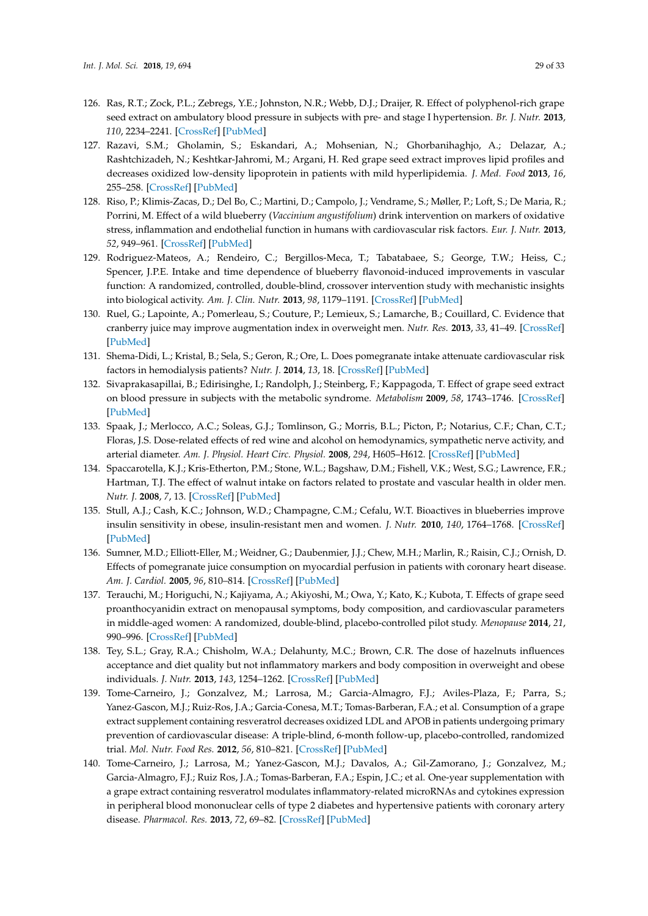- 126. Ras, R.T.; Zock, P.L.; Zebregs, Y.E.; Johnston, N.R.; Webb, D.J.; Draijer, R. Effect of polyphenol-rich grape seed extract on ambulatory blood pressure in subjects with pre- and stage I hypertension. *Br. J. Nutr.* **2013**, *110*, 2234–2241. [\[CrossRef\]](http://dx.doi.org/10.1017/S000711451300161X) [\[PubMed\]](http://www.ncbi.nlm.nih.gov/pubmed/23702253)
- 127. Razavi, S.M.; Gholamin, S.; Eskandari, A.; Mohsenian, N.; Ghorbanihaghjo, A.; Delazar, A.; Rashtchizadeh, N.; Keshtkar-Jahromi, M.; Argani, H. Red grape seed extract improves lipid profiles and decreases oxidized low-density lipoprotein in patients with mild hyperlipidemia. *J. Med. Food* **2013**, *16*, 255–258. [\[CrossRef\]](http://dx.doi.org/10.1089/jmf.2012.2408) [\[PubMed\]](http://www.ncbi.nlm.nih.gov/pubmed/23437789)
- 128. Riso, P.; Klimis-Zacas, D.; Del Bo, C.; Martini, D.; Campolo, J.; Vendrame, S.; Møller, P.; Loft, S.; De Maria, R.; Porrini, M. Effect of a wild blueberry (*Vaccinium angustifolium*) drink intervention on markers of oxidative stress, inflammation and endothelial function in humans with cardiovascular risk factors. *Eur. J. Nutr.* **2013**, *52*, 949–961. [\[CrossRef\]](http://dx.doi.org/10.1007/s00394-012-0402-9) [\[PubMed\]](http://www.ncbi.nlm.nih.gov/pubmed/22733001)
- 129. Rodriguez-Mateos, A.; Rendeiro, C.; Bergillos-Meca, T.; Tabatabaee, S.; George, T.W.; Heiss, C.; Spencer, J.P.E. Intake and time dependence of blueberry flavonoid-induced improvements in vascular function: A randomized, controlled, double-blind, crossover intervention study with mechanistic insights into biological activity. *Am. J. Clin. Nutr.* **2013**, *98*, 1179–1191. [\[CrossRef\]](http://dx.doi.org/10.3945/ajcn.113.066639) [\[PubMed\]](http://www.ncbi.nlm.nih.gov/pubmed/24004888)
- 130. Ruel, G.; Lapointe, A.; Pomerleau, S.; Couture, P.; Lemieux, S.; Lamarche, B.; Couillard, C. Evidence that cranberry juice may improve augmentation index in overweight men. *Nutr. Res.* **2013**, *33*, 41–49. [\[CrossRef\]](http://dx.doi.org/10.1016/j.nutres.2012.11.002) [\[PubMed\]](http://www.ncbi.nlm.nih.gov/pubmed/23351409)
- 131. Shema-Didi, L.; Kristal, B.; Sela, S.; Geron, R.; Ore, L. Does pomegranate intake attenuate cardiovascular risk factors in hemodialysis patients? *Nutr. J.* **2014**, *13*, 18. [\[CrossRef\]](http://dx.doi.org/10.1186/1475-2891-13-18) [\[PubMed\]](http://www.ncbi.nlm.nih.gov/pubmed/24593225)
- 132. Sivaprakasapillai, B.; Edirisinghe, I.; Randolph, J.; Steinberg, F.; Kappagoda, T. Effect of grape seed extract on blood pressure in subjects with the metabolic syndrome. *Metabolism* **2009**, *58*, 1743–1746. [\[CrossRef\]](http://dx.doi.org/10.1016/j.metabol.2009.05.030) [\[PubMed\]](http://www.ncbi.nlm.nih.gov/pubmed/19608210)
- 133. Spaak, J.; Merlocco, A.C.; Soleas, G.J.; Tomlinson, G.; Morris, B.L.; Picton, P.; Notarius, C.F.; Chan, C.T.; Floras, J.S. Dose-related effects of red wine and alcohol on hemodynamics, sympathetic nerve activity, and arterial diameter. *Am. J. Physiol. Heart Circ. Physiol.* **2008**, *294*, H605–H612. [\[CrossRef\]](http://dx.doi.org/10.1152/ajpheart.01162.2007) [\[PubMed\]](http://www.ncbi.nlm.nih.gov/pubmed/18055508)
- 134. Spaccarotella, K.J.; Kris-Etherton, P.M.; Stone, W.L.; Bagshaw, D.M.; Fishell, V.K.; West, S.G.; Lawrence, F.R.; Hartman, T.J. The effect of walnut intake on factors related to prostate and vascular health in older men. *Nutr. J.* **2008**, *7*, 13. [\[CrossRef\]](http://dx.doi.org/10.1186/1475-2891-7-13) [\[PubMed\]](http://www.ncbi.nlm.nih.gov/pubmed/18454862)
- 135. Stull, A.J.; Cash, K.C.; Johnson, W.D.; Champagne, C.M.; Cefalu, W.T. Bioactives in blueberries improve insulin sensitivity in obese, insulin-resistant men and women. *J. Nutr.* **2010**, *140*, 1764–1768. [\[CrossRef\]](http://dx.doi.org/10.3945/jn.110.125336) [\[PubMed\]](http://www.ncbi.nlm.nih.gov/pubmed/20724487)
- 136. Sumner, M.D.; Elliott-Eller, M.; Weidner, G.; Daubenmier, J.J.; Chew, M.H.; Marlin, R.; Raisin, C.J.; Ornish, D. Effects of pomegranate juice consumption on myocardial perfusion in patients with coronary heart disease. *Am. J. Cardiol.* **2005**, *96*, 810–814. [\[CrossRef\]](http://dx.doi.org/10.1016/j.amjcard.2005.05.026) [\[PubMed\]](http://www.ncbi.nlm.nih.gov/pubmed/16169367)
- 137. Terauchi, M.; Horiguchi, N.; Kajiyama, A.; Akiyoshi, M.; Owa, Y.; Kato, K.; Kubota, T. Effects of grape seed proanthocyanidin extract on menopausal symptoms, body composition, and cardiovascular parameters in middle-aged women: A randomized, double-blind, placebo-controlled pilot study. *Menopause* **2014**, *21*, 990–996. [\[CrossRef\]](http://dx.doi.org/10.1097/GME.0000000000000200) [\[PubMed\]](http://www.ncbi.nlm.nih.gov/pubmed/24518152)
- 138. Tey, S.L.; Gray, R.A.; Chisholm, W.A.; Delahunty, M.C.; Brown, C.R. The dose of hazelnuts influences acceptance and diet quality but not inflammatory markers and body composition in overweight and obese individuals. *J. Nutr.* **2013**, *143*, 1254–1262. [\[CrossRef\]](http://dx.doi.org/10.3945/jn.113.174714) [\[PubMed\]](http://www.ncbi.nlm.nih.gov/pubmed/23761651)
- 139. Tome-Carneiro, J.; Gonzalvez, M.; Larrosa, M.; Garcia-Almagro, F.J.; Aviles-Plaza, F.; Parra, S.; Yanez-Gascon, M.J.; Ruiz-Ros, J.A.; Garcia-Conesa, M.T.; Tomas-Barberan, F.A.; et al. Consumption of a grape extract supplement containing resveratrol decreases oxidized LDL and APOB in patients undergoing primary prevention of cardiovascular disease: A triple-blind, 6-month follow-up, placebo-controlled, randomized trial. *Mol. Nutr. Food Res.* **2012**, *56*, 810–821. [\[CrossRef\]](http://dx.doi.org/10.1002/mnfr.201100673) [\[PubMed\]](http://www.ncbi.nlm.nih.gov/pubmed/22648627)
- 140. Tome-Carneiro, J.; Larrosa, M.; Yanez-Gascon, M.J.; Davalos, A.; Gil-Zamorano, J.; Gonzalvez, M.; Garcia-Almagro, F.J.; Ruiz Ros, J.A.; Tomas-Barberan, F.A.; Espin, J.C.; et al. One-year supplementation with a grape extract containing resveratrol modulates inflammatory-related microRNAs and cytokines expression in peripheral blood mononuclear cells of type 2 diabetes and hypertensive patients with coronary artery disease. *Pharmacol. Res.* **2013**, *72*, 69–82. [\[CrossRef\]](http://dx.doi.org/10.1016/j.phrs.2013.03.011) [\[PubMed\]](http://www.ncbi.nlm.nih.gov/pubmed/23557933)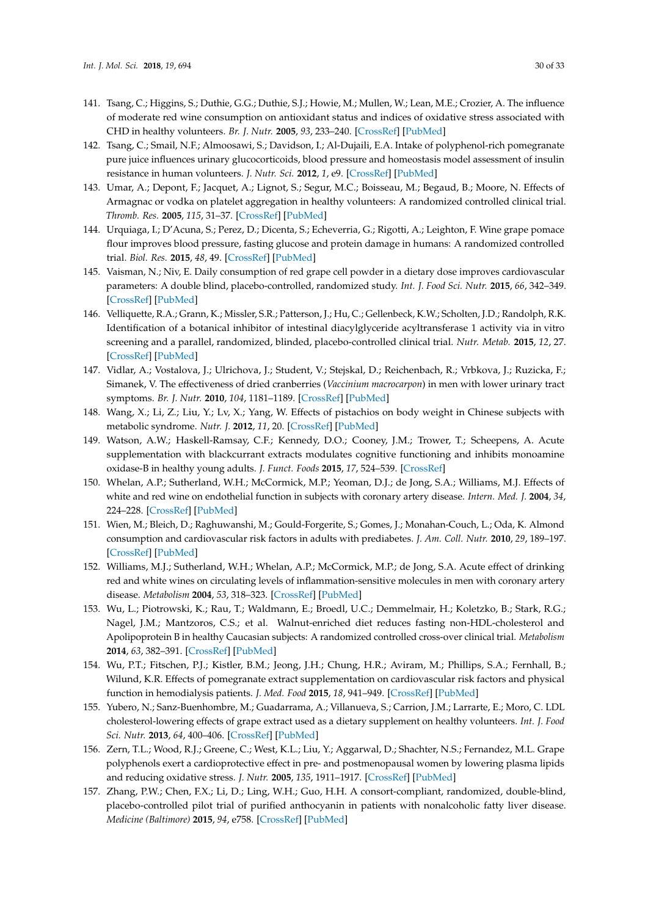- 141. Tsang, C.; Higgins, S.; Duthie, G.G.; Duthie, S.J.; Howie, M.; Mullen, W.; Lean, M.E.; Crozier, A. The influence of moderate red wine consumption on antioxidant status and indices of oxidative stress associated with CHD in healthy volunteers. *Br. J. Nutr.* **2005**, *93*, 233–240. [\[CrossRef\]](http://dx.doi.org/10.1079/BJN20041311) [\[PubMed\]](http://www.ncbi.nlm.nih.gov/pubmed/15788107)
- 142. Tsang, C.; Smail, N.F.; Almoosawi, S.; Davidson, I.; Al-Dujaili, E.A. Intake of polyphenol-rich pomegranate pure juice influences urinary glucocorticoids, blood pressure and homeostasis model assessment of insulin resistance in human volunteers. *J. Nutr. Sci.* **2012**, *1*, e9. [\[CrossRef\]](http://dx.doi.org/10.1017/jns.2012.10) [\[PubMed\]](http://www.ncbi.nlm.nih.gov/pubmed/25191556)
- 143. Umar, A.; Depont, F.; Jacquet, A.; Lignot, S.; Segur, M.C.; Boisseau, M.; Begaud, B.; Moore, N. Effects of Armagnac or vodka on platelet aggregation in healthy volunteers: A randomized controlled clinical trial. *Thromb. Res.* **2005**, *115*, 31–37. [\[CrossRef\]](http://dx.doi.org/10.1016/j.thromres.2004.07.006) [\[PubMed\]](http://www.ncbi.nlm.nih.gov/pubmed/15567450)
- 144. Urquiaga, I.; D'Acuna, S.; Perez, D.; Dicenta, S.; Echeverria, G.; Rigotti, A.; Leighton, F. Wine grape pomace flour improves blood pressure, fasting glucose and protein damage in humans: A randomized controlled trial. *Biol. Res.* **2015**, *48*, 49. [\[CrossRef\]](http://dx.doi.org/10.1186/s40659-015-0040-9) [\[PubMed\]](http://www.ncbi.nlm.nih.gov/pubmed/26337448)
- 145. Vaisman, N.; Niv, E. Daily consumption of red grape cell powder in a dietary dose improves cardiovascular parameters: A double blind, placebo-controlled, randomized study. *Int. J. Food Sci. Nutr.* **2015**, *66*, 342–349. [\[CrossRef\]](http://dx.doi.org/10.3109/09637486.2014.1000840) [\[PubMed\]](http://www.ncbi.nlm.nih.gov/pubmed/25666417)
- 146. Velliquette, R.A.; Grann, K.; Missler, S.R.; Patterson, J.; Hu, C.; Gellenbeck, K.W.; Scholten, J.D.; Randolph, R.K. Identification of a botanical inhibitor of intestinal diacylglyceride acyltransferase 1 activity via in vitro screening and a parallel, randomized, blinded, placebo-controlled clinical trial. *Nutr. Metab.* **2015**, *12*, 27. [\[CrossRef\]](http://dx.doi.org/10.1186/s12986-015-0025-2) [\[PubMed\]](http://www.ncbi.nlm.nih.gov/pubmed/26246845)
- 147. Vidlar, A.; Vostalova, J.; Ulrichova, J.; Student, V.; Stejskal, D.; Reichenbach, R.; Vrbkova, J.; Ruzicka, F.; Simanek, V. The effectiveness of dried cranberries (*Vaccinium macrocarpon*) in men with lower urinary tract symptoms. *Br. J. Nutr.* **2010**, *104*, 1181–1189. [\[CrossRef\]](http://dx.doi.org/10.1017/S0007114510002059) [\[PubMed\]](http://www.ncbi.nlm.nih.gov/pubmed/20804630)
- 148. Wang, X.; Li, Z.; Liu, Y.; Lv, X.; Yang, W. Effects of pistachios on body weight in Chinese subjects with metabolic syndrome. *Nutr. J.* **2012**, *11*, 20. [\[CrossRef\]](http://dx.doi.org/10.1186/1475-2891-11-20) [\[PubMed\]](http://www.ncbi.nlm.nih.gov/pubmed/22472037)
- 149. Watson, A.W.; Haskell-Ramsay, C.F.; Kennedy, D.O.; Cooney, J.M.; Trower, T.; Scheepens, A. Acute supplementation with blackcurrant extracts modulates cognitive functioning and inhibits monoamine oxidase-B in healthy young adults. *J. Funct. Foods* **2015**, *17*, 524–539. [\[CrossRef\]](http://dx.doi.org/10.1016/j.jff.2015.06.005)
- 150. Whelan, A.P.; Sutherland, W.H.; McCormick, M.P.; Yeoman, D.J.; de Jong, S.A.; Williams, M.J. Effects of white and red wine on endothelial function in subjects with coronary artery disease. *Intern. Med. J.* **2004**, *34*, 224–228. [\[CrossRef\]](http://dx.doi.org/10.1111/j.1444-0903.2004.00507.x) [\[PubMed\]](http://www.ncbi.nlm.nih.gov/pubmed/15151666)
- 151. Wien, M.; Bleich, D.; Raghuwanshi, M.; Gould-Forgerite, S.; Gomes, J.; Monahan-Couch, L.; Oda, K. Almond consumption and cardiovascular risk factors in adults with prediabetes. *J. Am. Coll. Nutr.* **2010**, *29*, 189–197. [\[CrossRef\]](http://dx.doi.org/10.1080/07315724.2010.10719833) [\[PubMed\]](http://www.ncbi.nlm.nih.gov/pubmed/20833991)
- 152. Williams, M.J.; Sutherland, W.H.; Whelan, A.P.; McCormick, M.P.; de Jong, S.A. Acute effect of drinking red and white wines on circulating levels of inflammation-sensitive molecules in men with coronary artery disease. *Metabolism* **2004**, *53*, 318–323. [\[CrossRef\]](http://dx.doi.org/10.1016/j.metabol.2003.10.012) [\[PubMed\]](http://www.ncbi.nlm.nih.gov/pubmed/15015143)
- 153. Wu, L.; Piotrowski, K.; Rau, T.; Waldmann, E.; Broedl, U.C.; Demmelmair, H.; Koletzko, B.; Stark, R.G.; Nagel, J.M.; Mantzoros, C.S.; et al. Walnut-enriched diet reduces fasting non-HDL-cholesterol and Apolipoprotein B in healthy Caucasian subjects: A randomized controlled cross-over clinical trial. *Metabolism* **2014**, *63*, 382–391. [\[CrossRef\]](http://dx.doi.org/10.1016/j.metabol.2013.11.005) [\[PubMed\]](http://www.ncbi.nlm.nih.gov/pubmed/24360749)
- 154. Wu, P.T.; Fitschen, P.J.; Kistler, B.M.; Jeong, J.H.; Chung, H.R.; Aviram, M.; Phillips, S.A.; Fernhall, B.; Wilund, K.R. Effects of pomegranate extract supplementation on cardiovascular risk factors and physical function in hemodialysis patients. *J. Med. Food* **2015**, *18*, 941–949. [\[CrossRef\]](http://dx.doi.org/10.1089/jmf.2014.0103) [\[PubMed\]](http://www.ncbi.nlm.nih.gov/pubmed/25826143)
- 155. Yubero, N.; Sanz-Buenhombre, M.; Guadarrama, A.; Villanueva, S.; Carrion, J.M.; Larrarte, E.; Moro, C. LDL cholesterol-lowering effects of grape extract used as a dietary supplement on healthy volunteers. *Int. J. Food Sci. Nutr.* **2013**, *64*, 400–406. [\[CrossRef\]](http://dx.doi.org/10.3109/09637486.2012.753040) [\[PubMed\]](http://www.ncbi.nlm.nih.gov/pubmed/23249415)
- 156. Zern, T.L.; Wood, R.J.; Greene, C.; West, K.L.; Liu, Y.; Aggarwal, D.; Shachter, N.S.; Fernandez, M.L. Grape polyphenols exert a cardioprotective effect in pre- and postmenopausal women by lowering plasma lipids and reducing oxidative stress. *J. Nutr.* **2005**, *135*, 1911–1917. [\[CrossRef\]](http://dx.doi.org/10.1093/jn/135.8.1911) [\[PubMed\]](http://www.ncbi.nlm.nih.gov/pubmed/16046716)
- 157. Zhang, P.W.; Chen, F.X.; Li, D.; Ling, W.H.; Guo, H.H. A consort-compliant, randomized, double-blind, placebo-controlled pilot trial of purified anthocyanin in patients with nonalcoholic fatty liver disease. *Medicine (Baltimore)* **2015**, *94*, e758. [\[CrossRef\]](http://dx.doi.org/10.1097/MD.0000000000000758) [\[PubMed\]](http://www.ncbi.nlm.nih.gov/pubmed/25997043)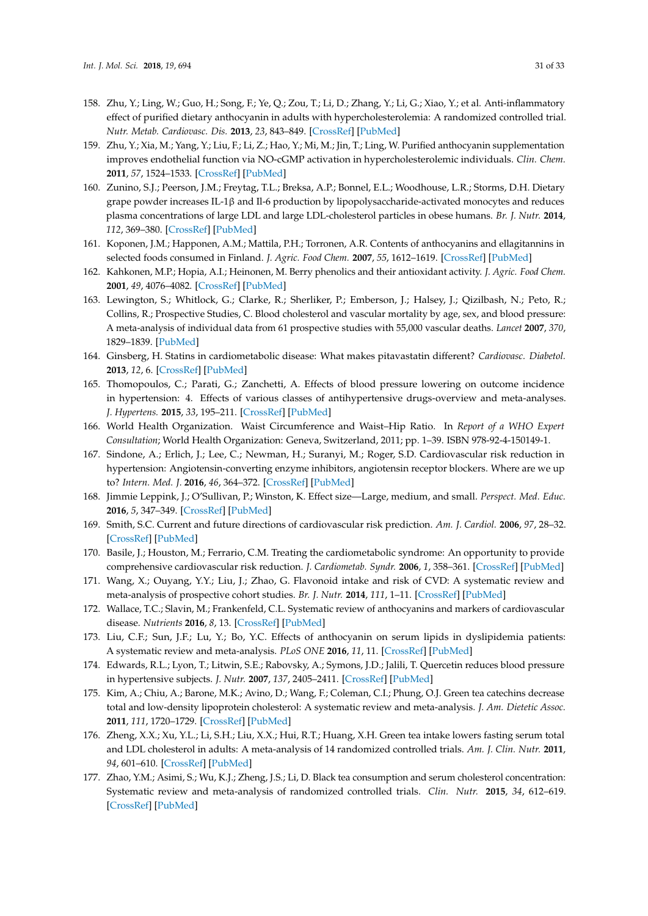- 158. Zhu, Y.; Ling, W.; Guo, H.; Song, F.; Ye, Q.; Zou, T.; Li, D.; Zhang, Y.; Li, G.; Xiao, Y.; et al. Anti-inflammatory effect of purified dietary anthocyanin in adults with hypercholesterolemia: A randomized controlled trial. *Nutr. Metab. Cardiovasc. Dis.* **2013**, *23*, 843–849. [\[CrossRef\]](http://dx.doi.org/10.1016/j.numecd.2012.06.005) [\[PubMed\]](http://www.ncbi.nlm.nih.gov/pubmed/22906565)
- 159. Zhu, Y.; Xia, M.; Yang, Y.; Liu, F.; Li, Z.; Hao, Y.; Mi, M.; Jin, T.; Ling, W. Purified anthocyanin supplementation improves endothelial function via NO-cGMP activation in hypercholesterolemic individuals. *Clin. Chem.* **2011**, *57*, 1524–1533. [\[CrossRef\]](http://dx.doi.org/10.1373/clinchem.2011.167361) [\[PubMed\]](http://www.ncbi.nlm.nih.gov/pubmed/21926181)
- <span id="page-30-0"></span>160. Zunino, S.J.; Peerson, J.M.; Freytag, T.L.; Breksa, A.P.; Bonnel, E.L.; Woodhouse, L.R.; Storms, D.H. Dietary grape powder increases IL-1β and Il-6 production by lipopolysaccharide-activated monocytes and reduces plasma concentrations of large LDL and large LDL-cholesterol particles in obese humans. *Br. J. Nutr.* **2014**, *112*, 369–380. [\[CrossRef\]](http://dx.doi.org/10.1017/S0007114514000890) [\[PubMed\]](http://www.ncbi.nlm.nih.gov/pubmed/24832727)
- <span id="page-30-1"></span>161. Koponen, J.M.; Happonen, A.M.; Mattila, P.H.; Torronen, A.R. Contents of anthocyanins and ellagitannins in selected foods consumed in Finland. *J. Agric. Food Chem.* **2007**, *55*, 1612–1619. [\[CrossRef\]](http://dx.doi.org/10.1021/jf062897a) [\[PubMed\]](http://www.ncbi.nlm.nih.gov/pubmed/17261015)
- <span id="page-30-2"></span>162. Kahkonen, M.P.; Hopia, A.I.; Heinonen, M. Berry phenolics and their antioxidant activity. *J. Agric. Food Chem.* **2001**, *49*, 4076–4082. [\[CrossRef\]](http://dx.doi.org/10.1021/jf010152t) [\[PubMed\]](http://www.ncbi.nlm.nih.gov/pubmed/11513713)
- <span id="page-30-3"></span>163. Lewington, S.; Whitlock, G.; Clarke, R.; Sherliker, P.; Emberson, J.; Halsey, J.; Qizilbash, N.; Peto, R.; Collins, R.; Prospective Studies, C. Blood cholesterol and vascular mortality by age, sex, and blood pressure: A meta-analysis of individual data from 61 prospective studies with 55,000 vascular deaths. *Lancet* **2007**, *370*, 1829–1839. [\[PubMed\]](http://www.ncbi.nlm.nih.gov/pubmed/18061058)
- <span id="page-30-4"></span>164. Ginsberg, H. Statins in cardiometabolic disease: What makes pitavastatin different? *Cardiovasc. Diabetol.* **2013**, *12*, 6. [\[CrossRef\]](http://dx.doi.org/10.1186/1475-2840-12-S1-S1) [\[PubMed\]](http://www.ncbi.nlm.nih.gov/pubmed/23819727)
- <span id="page-30-5"></span>165. Thomopoulos, C.; Parati, G.; Zanchetti, A. Effects of blood pressure lowering on outcome incidence in hypertension: 4. Effects of various classes of antihypertensive drugs-overview and meta-analyses. *J. Hypertens.* **2015**, *33*, 195–211. [\[CrossRef\]](http://dx.doi.org/10.1097/HJH.0000000000000447) [\[PubMed\]](http://www.ncbi.nlm.nih.gov/pubmed/25485720)
- <span id="page-30-6"></span>166. World Health Organization. Waist Circumference and Waist–Hip Ratio. In *Report of a WHO Expert Consultation*; World Health Organization: Geneva, Switzerland, 2011; pp. 1–39. ISBN 978-92-4-150149-1.
- <span id="page-30-7"></span>167. Sindone, A.; Erlich, J.; Lee, C.; Newman, H.; Suranyi, M.; Roger, S.D. Cardiovascular risk reduction in hypertension: Angiotensin-converting enzyme inhibitors, angiotensin receptor blockers. Where are we up to? *Intern. Med. J.* **2016**, *46*, 364–372. [\[CrossRef\]](http://dx.doi.org/10.1111/imj.12975) [\[PubMed\]](http://www.ncbi.nlm.nih.gov/pubmed/26968600)
- <span id="page-30-8"></span>168. Jimmie Leppink, J.; O'Sullivan, P.; Winston, K. Effect size—Large, medium, and small. *Perspect. Med. Educ.* **2016**, *5*, 347–349. [\[CrossRef\]](http://dx.doi.org/10.1007/s40037-016-0308-y) [\[PubMed\]](http://www.ncbi.nlm.nih.gov/pubmed/27752936)
- <span id="page-30-9"></span>169. Smith, S.C. Current and future directions of cardiovascular risk prediction. *Am. J. Cardiol.* **2006**, *97*, 28–32. [\[CrossRef\]](http://dx.doi.org/10.1016/j.amjcard.2005.11.013) [\[PubMed\]](http://www.ncbi.nlm.nih.gov/pubmed/16442934)
- <span id="page-30-10"></span>170. Basile, J.; Houston, M.; Ferrario, C.M. Treating the cardiometabolic syndrome: An opportunity to provide comprehensive cardiovascular risk reduction. *J. Cardiometab. Syndr.* **2006**, *1*, 358–361. [\[CrossRef\]](http://dx.doi.org/10.1111/j.1559-4564.2006.06035.x) [\[PubMed\]](http://www.ncbi.nlm.nih.gov/pubmed/17679795)
- <span id="page-30-11"></span>171. Wang, X.; Ouyang, Y.Y.; Liu, J.; Zhao, G. Flavonoid intake and risk of CVD: A systematic review and meta-analysis of prospective cohort studies. *Br. J. Nutr.* **2014**, *111*, 1–11. [\[CrossRef\]](http://dx.doi.org/10.1017/S000711451300278X) [\[PubMed\]](http://www.ncbi.nlm.nih.gov/pubmed/23953879)
- <span id="page-30-12"></span>172. Wallace, T.C.; Slavin, M.; Frankenfeld, C.L. Systematic review of anthocyanins and markers of cardiovascular disease. *Nutrients* **2016**, *8*, 13. [\[CrossRef\]](http://dx.doi.org/10.3390/nu8010032) [\[PubMed\]](http://www.ncbi.nlm.nih.gov/pubmed/26761031)
- <span id="page-30-13"></span>173. Liu, C.F.; Sun, J.F.; Lu, Y.; Bo, Y.C. Effects of anthocyanin on serum lipids in dyslipidemia patients: A systematic review and meta-analysis. *PLoS ONE* **2016**, *11*, 11. [\[CrossRef\]](http://dx.doi.org/10.1371/journal.pone.0162089) [\[PubMed\]](http://www.ncbi.nlm.nih.gov/pubmed/27589062)
- <span id="page-30-14"></span>174. Edwards, R.L.; Lyon, T.; Litwin, S.E.; Rabovsky, A.; Symons, J.D.; Jalili, T. Quercetin reduces blood pressure in hypertensive subjects. *J. Nutr.* **2007**, *137*, 2405–2411. [\[CrossRef\]](http://dx.doi.org/10.1093/jn/137.11.2405) [\[PubMed\]](http://www.ncbi.nlm.nih.gov/pubmed/17951477)
- <span id="page-30-15"></span>175. Kim, A.; Chiu, A.; Barone, M.K.; Avino, D.; Wang, F.; Coleman, C.I.; Phung, O.J. Green tea catechins decrease total and low-density lipoprotein cholesterol: A systematic review and meta-analysis. *J. Am. Dietetic Assoc.* **2011**, *111*, 1720–1729. [\[CrossRef\]](http://dx.doi.org/10.1016/j.jada.2011.08.009) [\[PubMed\]](http://www.ncbi.nlm.nih.gov/pubmed/22027055)
- <span id="page-30-16"></span>176. Zheng, X.X.; Xu, Y.L.; Li, S.H.; Liu, X.X.; Hui, R.T.; Huang, X.H. Green tea intake lowers fasting serum total and LDL cholesterol in adults: A meta-analysis of 14 randomized controlled trials. *Am. J. Clin. Nutr.* **2011**, *94*, 601–610. [\[CrossRef\]](http://dx.doi.org/10.3945/ajcn.110.010926) [\[PubMed\]](http://www.ncbi.nlm.nih.gov/pubmed/21715508)
- <span id="page-30-17"></span>177. Zhao, Y.M.; Asimi, S.; Wu, K.J.; Zheng, J.S.; Li, D. Black tea consumption and serum cholesterol concentration: Systematic review and meta-analysis of randomized controlled trials. *Clin. Nutr.* **2015**, *34*, 612–619. [\[CrossRef\]](http://dx.doi.org/10.1016/j.clnu.2014.06.003) [\[PubMed\]](http://www.ncbi.nlm.nih.gov/pubmed/24972454)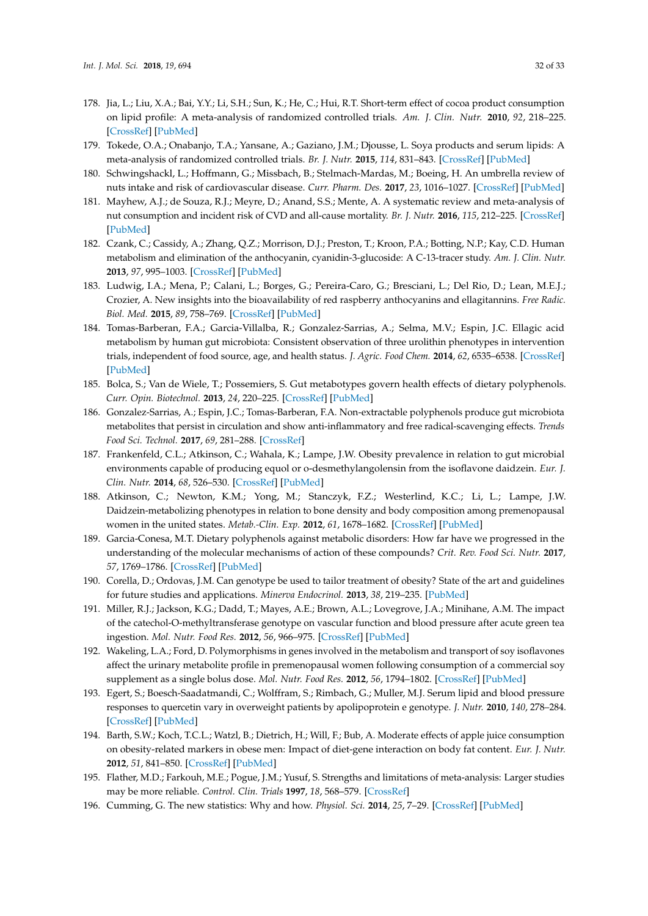- <span id="page-31-0"></span>178. Jia, L.; Liu, X.A.; Bai, Y.Y.; Li, S.H.; Sun, K.; He, C.; Hui, R.T. Short-term effect of cocoa product consumption on lipid profile: A meta-analysis of randomized controlled trials. *Am. J. Clin. Nutr.* **2010**, *92*, 218–225. [\[CrossRef\]](http://dx.doi.org/10.3945/ajcn.2009.28202) [\[PubMed\]](http://www.ncbi.nlm.nih.gov/pubmed/20504978)
- <span id="page-31-1"></span>179. Tokede, O.A.; Onabanjo, T.A.; Yansane, A.; Gaziano, J.M.; Djousse, L. Soya products and serum lipids: A meta-analysis of randomized controlled trials. *Br. J. Nutr.* **2015**, *114*, 831–843. [\[CrossRef\]](http://dx.doi.org/10.1017/S0007114515002603) [\[PubMed\]](http://www.ncbi.nlm.nih.gov/pubmed/26268987)
- <span id="page-31-2"></span>180. Schwingshackl, L.; Hoffmann, G.; Missbach, B.; Stelmach-Mardas, M.; Boeing, H. An umbrella review of nuts intake and risk of cardiovascular disease. *Curr. Pharm. Des.* **2017**, *23*, 1016–1027. [\[CrossRef\]](http://dx.doi.org/10.2174/1381612822666161010121356) [\[PubMed\]](http://www.ncbi.nlm.nih.gov/pubmed/27748190)
- <span id="page-31-3"></span>181. Mayhew, A.J.; de Souza, R.J.; Meyre, D.; Anand, S.S.; Mente, A. A systematic review and meta-analysis of nut consumption and incident risk of CVD and all-cause mortality. *Br. J. Nutr.* **2016**, *115*, 212–225. [\[CrossRef\]](http://dx.doi.org/10.1017/S0007114515004316) [\[PubMed\]](http://www.ncbi.nlm.nih.gov/pubmed/26548503)
- <span id="page-31-4"></span>182. Czank, C.; Cassidy, A.; Zhang, Q.Z.; Morrison, D.J.; Preston, T.; Kroon, P.A.; Botting, N.P.; Kay, C.D. Human metabolism and elimination of the anthocyanin, cyanidin-3-glucoside: A C-13-tracer study. *Am. J. Clin. Nutr.* **2013**, *97*, 995–1003. [\[CrossRef\]](http://dx.doi.org/10.3945/ajcn.112.049247) [\[PubMed\]](http://www.ncbi.nlm.nih.gov/pubmed/23604435)
- <span id="page-31-5"></span>183. Ludwig, I.A.; Mena, P.; Calani, L.; Borges, G.; Pereira-Caro, G.; Bresciani, L.; Del Rio, D.; Lean, M.E.J.; Crozier, A. New insights into the bioavailability of red raspberry anthocyanins and ellagitannins. *Free Radic. Biol. Med.* **2015**, *89*, 758–769. [\[CrossRef\]](http://dx.doi.org/10.1016/j.freeradbiomed.2015.10.400) [\[PubMed\]](http://www.ncbi.nlm.nih.gov/pubmed/26475039)
- <span id="page-31-6"></span>184. Tomas-Barberan, F.A.; Garcia-Villalba, R.; Gonzalez-Sarrias, A.; Selma, M.V.; Espin, J.C. Ellagic acid metabolism by human gut microbiota: Consistent observation of three urolithin phenotypes in intervention trials, independent of food source, age, and health status. *J. Agric. Food Chem.* **2014**, *62*, 6535–6538. [\[CrossRef\]](http://dx.doi.org/10.1021/jf5024615) [\[PubMed\]](http://www.ncbi.nlm.nih.gov/pubmed/24976365)
- <span id="page-31-7"></span>185. Bolca, S.; Van de Wiele, T.; Possemiers, S. Gut metabotypes govern health effects of dietary polyphenols. *Curr. Opin. Biotechnol.* **2013**, *24*, 220–225. [\[CrossRef\]](http://dx.doi.org/10.1016/j.copbio.2012.09.009) [\[PubMed\]](http://www.ncbi.nlm.nih.gov/pubmed/23040410)
- <span id="page-31-8"></span>186. Gonzalez-Sarrias, A.; Espin, J.C.; Tomas-Barberan, F.A. Non-extractable polyphenols produce gut microbiota metabolites that persist in circulation and show anti-inflammatory and free radical-scavenging effects. *Trends Food Sci. Technol.* **2017**, *69*, 281–288. [\[CrossRef\]](http://dx.doi.org/10.1016/j.tifs.2017.07.010)
- <span id="page-31-9"></span>187. Frankenfeld, C.L.; Atkinson, C.; Wahala, K.; Lampe, J.W. Obesity prevalence in relation to gut microbial environments capable of producing equol or o-desmethylangolensin from the isoflavone daidzein. *Eur. J. Clin. Nutr.* **2014**, *68*, 526–530. [\[CrossRef\]](http://dx.doi.org/10.1038/ejcn.2014.23) [\[PubMed\]](http://www.ncbi.nlm.nih.gov/pubmed/24569543)
- <span id="page-31-10"></span>188. Atkinson, C.; Newton, K.M.; Yong, M.; Stanczyk, F.Z.; Westerlind, K.C.; Li, L.; Lampe, J.W. Daidzein-metabolizing phenotypes in relation to bone density and body composition among premenopausal women in the united states. *Metab.-Clin. Exp.* **2012**, *61*, 1678–1682. [\[CrossRef\]](http://dx.doi.org/10.1016/j.metabol.2012.05.012) [\[PubMed\]](http://www.ncbi.nlm.nih.gov/pubmed/22819530)
- <span id="page-31-11"></span>189. Garcia-Conesa, M.T. Dietary polyphenols against metabolic disorders: How far have we progressed in the understanding of the molecular mechanisms of action of these compounds? *Crit. Rev. Food Sci. Nutr.* **2017**, *57*, 1769–1786. [\[CrossRef\]](http://dx.doi.org/10.1080/10408398.2014.980499) [\[PubMed\]](http://www.ncbi.nlm.nih.gov/pubmed/26054941)
- <span id="page-31-12"></span>190. Corella, D.; Ordovas, J.M. Can genotype be used to tailor treatment of obesity? State of the art and guidelines for future studies and applications. *Minerva Endocrinol.* **2013**, *38*, 219–235. [\[PubMed\]](http://www.ncbi.nlm.nih.gov/pubmed/24126543)
- <span id="page-31-13"></span>191. Miller, R.J.; Jackson, K.G.; Dadd, T.; Mayes, A.E.; Brown, A.L.; Lovegrove, J.A.; Minihane, A.M. The impact of the catechol-O-methyltransferase genotype on vascular function and blood pressure after acute green tea ingestion. *Mol. Nutr. Food Res.* **2012**, *56*, 966–975. [\[CrossRef\]](http://dx.doi.org/10.1002/mnfr.201100726) [\[PubMed\]](http://www.ncbi.nlm.nih.gov/pubmed/22707271)
- <span id="page-31-14"></span>192. Wakeling, L.A.; Ford, D. Polymorphisms in genes involved in the metabolism and transport of soy isoflavones affect the urinary metabolite profile in premenopausal women following consumption of a commercial soy supplement as a single bolus dose. *Mol. Nutr. Food Res.* **2012**, *56*, 1794–1802. [\[CrossRef\]](http://dx.doi.org/10.1002/mnfr.201200287) [\[PubMed\]](http://www.ncbi.nlm.nih.gov/pubmed/23097198)
- <span id="page-31-15"></span>193. Egert, S.; Boesch-Saadatmandi, C.; Wolffram, S.; Rimbach, G.; Muller, M.J. Serum lipid and blood pressure responses to quercetin vary in overweight patients by apolipoprotein e genotype. *J. Nutr.* **2010**, *140*, 278–284. [\[CrossRef\]](http://dx.doi.org/10.3945/jn.109.117655) [\[PubMed\]](http://www.ncbi.nlm.nih.gov/pubmed/20032478)
- <span id="page-31-16"></span>194. Barth, S.W.; Koch, T.C.L.; Watzl, B.; Dietrich, H.; Will, F.; Bub, A. Moderate effects of apple juice consumption on obesity-related markers in obese men: Impact of diet-gene interaction on body fat content. *Eur. J. Nutr.* **2012**, *51*, 841–850. [\[CrossRef\]](http://dx.doi.org/10.1007/s00394-011-0264-6) [\[PubMed\]](http://www.ncbi.nlm.nih.gov/pubmed/22038464)
- <span id="page-31-17"></span>195. Flather, M.D.; Farkouh, M.E.; Pogue, J.M.; Yusuf, S. Strengths and limitations of meta-analysis: Larger studies may be more reliable. *Control. Clin. Trials* **1997**, *18*, 568–579. [\[CrossRef\]](http://dx.doi.org/10.1016/S0197-2456(97)00024-X)
- <span id="page-31-18"></span>196. Cumming, G. The new statistics: Why and how. *Physiol. Sci.* **2014**, *25*, 7–29. [\[CrossRef\]](http://dx.doi.org/10.1177/0956797613504966) [\[PubMed\]](http://www.ncbi.nlm.nih.gov/pubmed/24220629)